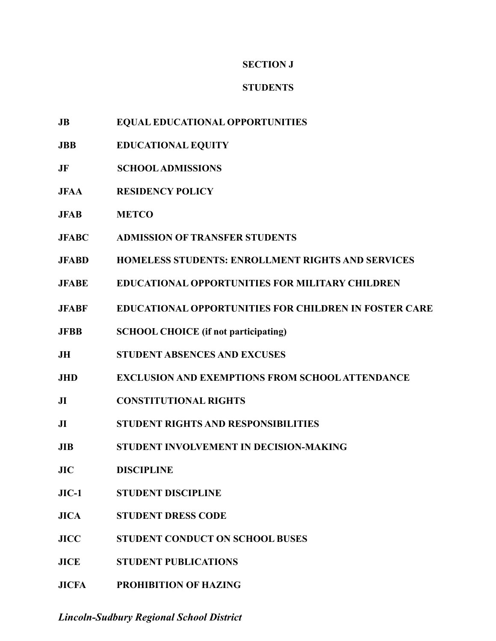### **SECTION J**

## **STUDENTS**

- **JB EQUAL EDUCATIONAL OPPORTUNITIES**
- **JBB EDUCATIONAL EQUITY**
- **JF SCHOOLADMISSIONS**
- **JFAA RESIDENCY POLICY**
- **JFAB METCO**
- **JFABC ADMISSION OF TRANSFER STUDENTS**
- **JFABD HOMELESS STUDENTS: ENROLLMENT RIGHTS AND SERVICES**
- **JFABE EDUCATIONAL OPPORTUNITIES FOR MILITARY CHILDREN**
- **JFABF EDUCATIONAL OPPORTUNITIES FOR CHILDREN IN FOSTER CARE**
- **JFBB SCHOOL CHOICE (if not participating)**
- **JH STUDENT ABSENCES AND EXCUSES**
- **JHD EXCLUSION AND EXEMPTIONS FROM SCHOOL ATTENDANCE**
- **JI CONSTITUTIONAL RIGHTS**
- **JI STUDENT RIGHTS AND RESPONSIBILITIES**
- **JIB STUDENT INVOLVEMENT IN DECISION-MAKING**
- **JIC DISCIPLINE**
- **JIC-1 STUDENT DISCIPLINE**
- **JICA STUDENT DRESS CODE**
- **JICC STUDENT CONDUCT ON SCHOOL BUSES**
- **JICE STUDENT PUBLICATIONS**
- **JICFA PROHIBITION OF HAZING**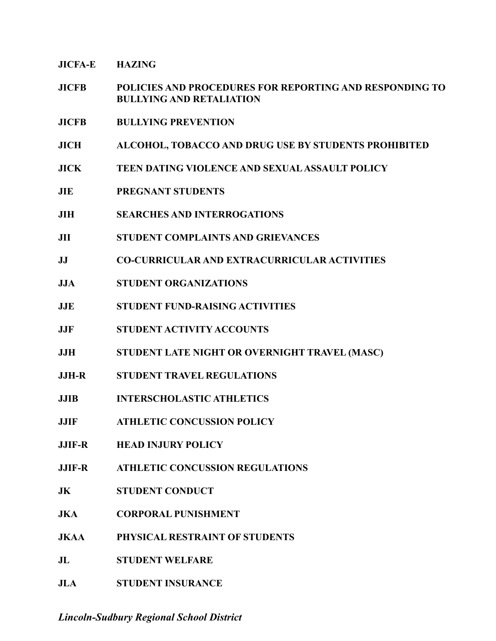**JICFA-E HAZING**

- **JICFB POLICIES AND PROCEDURES FOR REPORTING AND RESPONDING TO BULLYING AND RETALIATION**
- **JICFB BULLYING PREVENTION**
- **JICH ALCOHOL, TOBACCO AND DRUG USE BY STUDENTS PROHIBITED**
- **JICK TEEN DATING VIOLENCE AND SEXUALASSAULT POLICY**
- **JIE PREGNANT STUDENTS**
- **JIH SEARCHES AND INTERROGATIONS**
- **JII STUDENT COMPLAINTS AND GRIEVANCES**
- **JJ CO-CURRICULAR AND EXTRACURRICULAR ACTIVITIES**
- **JJA STUDENT ORGANIZATIONS**
- **JJE STUDENT FUND-RAISING ACTIVITIES**
- **JJF STUDENT ACTIVITY ACCOUNTS**
- **JJH STUDENT LATE NIGHT OR OVERNIGHT TRAVEL (MASC)**
- **JJH-R STUDENT TRAVEL REGULATIONS**
- **JJIB INTERSCHOLASTIC ATHLETICS**
- **JJIF ATHLETIC CONCUSSION POLICY**
- **JJIF-R HEAD INJURY POLICY**
- **JJIF-R ATHLETIC CONCUSSION REGULATIONS**
- **JK STUDENT CONDUCT**
- **JKA CORPORAL PUNISHMENT**
- **JKAA PHYSICAL RESTRAINT OF STUDENTS**
- **JL STUDENT WELFARE**
- **JLA STUDENT INSURANCE**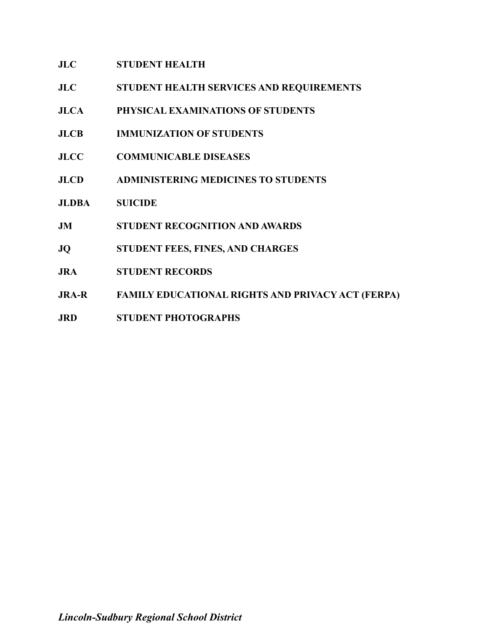### **JLC STUDENT HEALTH**

- **JLC STUDENT HEALTH SERVICES AND REQUIREMENTS**
- **JLCA PHYSICAL EXAMINATIONS OF STUDENTS**
- **JLCB IMMUNIZATION OF STUDENTS**
- **JLCC COMMUNICABLE DISEASES**
- **JLCD ADMINISTERING MEDICINES TO STUDENTS**
- **JLDBA SUICIDE**
- **JM STUDENT RECOGNITION AND AWARDS**
- **JQ STUDENT FEES, FINES, AND CHARGES**
- **JRA STUDENT RECORDS**
- **JRA-R FAMILY EDUCATIONAL RIGHTS AND PRIVACY ACT (FERPA)**
- **JRD STUDENT PHOTOGRAPHS**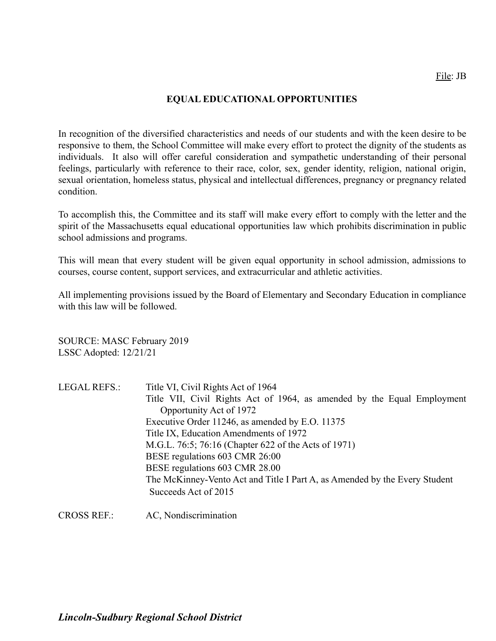### **EQUAL EDUCATIONAL OPPORTUNITIES**

In recognition of the diversified characteristics and needs of our students and with the keen desire to be responsive to them, the School Committee will make every effort to protect the dignity of the students as individuals. It also will offer careful consideration and sympathetic understanding of their personal feelings, particularly with reference to their race, color, sex, gender identity, religion, national origin, sexual orientation, homeless status, physical and intellectual differences, pregnancy or pregnancy related condition.

To accomplish this, the Committee and its staff will make every effort to comply with the letter and the spirit of the Massachusetts equal educational opportunities law which prohibits discrimination in public school admissions and programs.

This will mean that every student will be given equal opportunity in school admission, admissions to courses, course content, support services, and extracurricular and athletic activities.

All implementing provisions issued by the Board of Elementary and Secondary Education in compliance with this law will be followed.

SOURCE: MASC February 2019 LSSC Adopted: 12/21/21

| <b>LEGAL REFS.:</b> | Title VI, Civil Rights Act of 1964                                         |
|---------------------|----------------------------------------------------------------------------|
|                     | Title VII, Civil Rights Act of 1964, as amended by the Equal Employment    |
|                     | Opportunity Act of 1972                                                    |
|                     | Executive Order 11246, as amended by E.O. 11375                            |
|                     | Title IX, Education Amendments of 1972                                     |
|                     | M.G.L. 76:5; 76:16 (Chapter 622 of the Acts of 1971)                       |
|                     | BESE regulations 603 CMR 26:00                                             |
|                     | BESE regulations 603 CMR 28.00                                             |
|                     | The McKinney-Vento Act and Title I Part A, as Amended by the Every Student |
|                     | Succeeds Act of 2015                                                       |
|                     |                                                                            |

CROSS REF.: AC, Nondiscrimination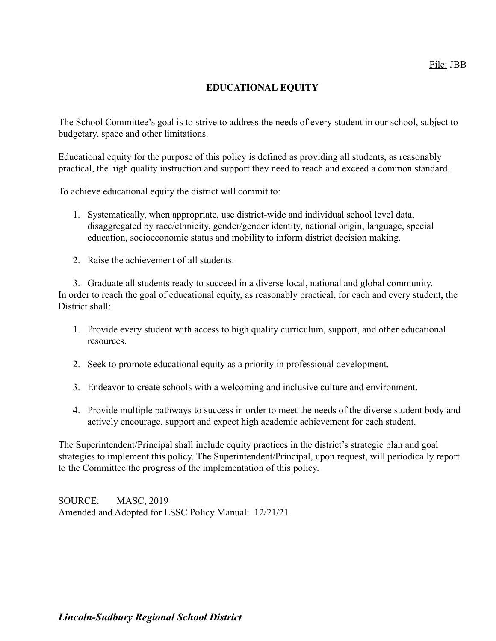### **EDUCATIONAL EQUITY**

The School Committee's goal is to strive to address the needs of every student in our school, subject to budgetary, space and other limitations.

Educational equity for the purpose of this policy is defined as providing all students, as reasonably practical, the high quality instruction and support they need to reach and exceed a common standard.

To achieve educational equity the district will commit to:

- 1. Systematically, when appropriate, use district-wide and individual school level data, disaggregated by race/ethnicity, gender/gender identity, national origin, language, special education, socioeconomic status and mobility to inform district decision making.
- 2. Raise the achievement of all students.

3. Graduate all students ready to succeed in a diverse local, national and global community. In order to reach the goal of educational equity, as reasonably practical, for each and every student, the District shall:

- 1. Provide every student with access to high quality curriculum, support, and other educational resources.
- 2. Seek to promote educational equity as a priority in professional development.
- 3. Endeavor to create schools with a welcoming and inclusive culture and environment.
- 4. Provide multiple pathways to success in order to meet the needs of the diverse student body and actively encourage, support and expect high academic achievement for each student.

The Superintendent/Principal shall include equity practices in the district's strategic plan and goal strategies to implement this policy. The Superintendent/Principal, upon request, will periodically report to the Committee the progress of the implementation of this policy.

SOURCE: MASC, 2019 Amended and Adopted for LSSC Policy Manual: 12/21/21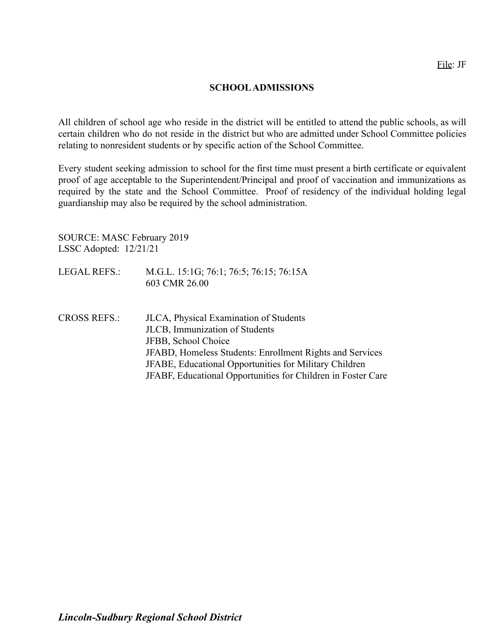#### **SCHOOLADMISSIONS**

All children of school age who reside in the district will be entitled to attend the public schools, as will certain children who do not reside in the district but who are admitted under School Committee policies relating to nonresident students or by specific action of the School Committee.

Every student seeking admission to school for the first time must present a birth certificate or equivalent proof of age acceptable to the Superintendent/Principal and proof of vaccination and immunizations as required by the state and the School Committee. Proof of residency of the individual holding legal guardianship may also be required by the school administration.

SOURCE: MASC February 2019 LSSC Adopted: 12/21/21

- LEGAL REFS.: M.G.L. 15:1G; 76:1; 76:5; 76:15; 76:15A 603 CMR 26.00
- CROSS REFS.: JLCA, Physical Examination of Students JLCB, Immunization of Students JFBB, School Choice JFABD, Homeless Students: Enrollment Rights and Services JFABE, Educational Opportunities for Military Children JFABF, Educational Opportunities for Children in Foster Care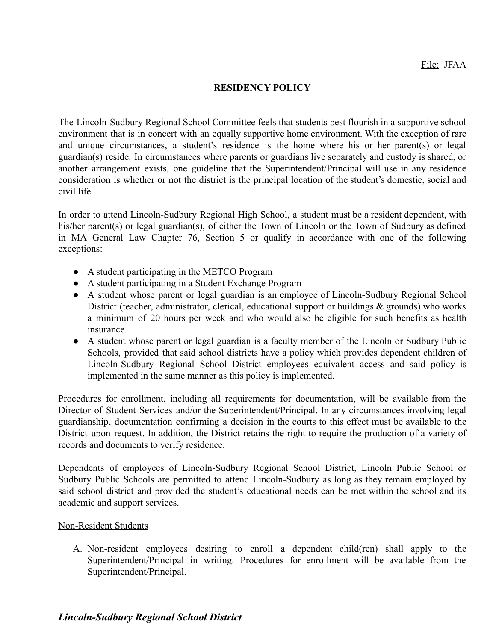### **RESIDENCY POLICY**

The Lincoln-Sudbury Regional School Committee feels that students best flourish in a supportive school environment that is in concert with an equally supportive home environment. With the exception of rare and unique circumstances, a student's residence is the home where his or her parent(s) or legal guardian(s) reside. In circumstances where parents or guardians live separately and custody is shared, or another arrangement exists, one guideline that the Superintendent/Principal will use in any residence consideration is whether or not the district is the principal location of the student's domestic, social and civil life.

In order to attend Lincoln-Sudbury Regional High School, a student must be a resident dependent, with his/her parent(s) or legal guardian(s), of either the Town of Lincoln or the Town of Sudbury as defined in MA General Law Chapter 76, Section 5 or qualify in accordance with one of the following exceptions:

- A student participating in the METCO Program
- A student participating in a Student Exchange Program
- A student whose parent or legal guardian is an employee of Lincoln-Sudbury Regional School District (teacher, administrator, clerical, educational support or buildings & grounds) who works a minimum of 20 hours per week and who would also be eligible for such benefits as health insurance.
- A student whose parent or legal guardian is a faculty member of the Lincoln or Sudbury Public Schools, provided that said school districts have a policy which provides dependent children of Lincoln-Sudbury Regional School District employees equivalent access and said policy is implemented in the same manner as this policy is implemented.

Procedures for enrollment, including all requirements for documentation, will be available from the Director of Student Services and/or the Superintendent/Principal. In any circumstances involving legal guardianship, documentation confirming a decision in the courts to this effect must be available to the District upon request. In addition, the District retains the right to require the production of a variety of records and documents to verify residence.

Dependents of employees of Lincoln-Sudbury Regional School District, Lincoln Public School or Sudbury Public Schools are permitted to attend Lincoln-Sudbury as long as they remain employed by said school district and provided the student's educational needs can be met within the school and its academic and support services.

#### Non-Resident Students

A. Non-resident employees desiring to enroll a dependent child(ren) shall apply to the Superintendent/Principal in writing. Procedures for enrollment will be available from the Superintendent/Principal.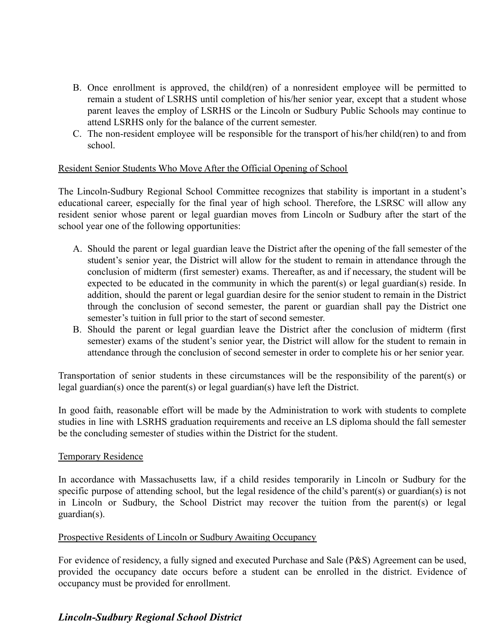- B. Once enrollment is approved, the child(ren) of a nonresident employee will be permitted to remain a student of LSRHS until completion of his/her senior year, except that a student whose parent leaves the employ of LSRHS or the Lincoln or Sudbury Public Schools may continue to attend LSRHS only for the balance of the current semester.
- C. The non-resident employee will be responsible for the transport of his/her child(ren) to and from school.

### Resident Senior Students Who Move After the Official Opening of School

The Lincoln-Sudbury Regional School Committee recognizes that stability is important in a student's educational career, especially for the final year of high school. Therefore, the LSRSC will allow any resident senior whose parent or legal guardian moves from Lincoln or Sudbury after the start of the school year one of the following opportunities:

- A. Should the parent or legal guardian leave the District after the opening of the fall semester of the student's senior year, the District will allow for the student to remain in attendance through the conclusion of midterm (first semester) exams. Thereafter, as and if necessary, the student will be expected to be educated in the community in which the parent(s) or legal guardian(s) reside. In addition, should the parent or legal guardian desire for the senior student to remain in the District through the conclusion of second semester, the parent or guardian shall pay the District one semester's tuition in full prior to the start of second semester.
- B. Should the parent or legal guardian leave the District after the conclusion of midterm (first semester) exams of the student's senior year, the District will allow for the student to remain in attendance through the conclusion of second semester in order to complete his or her senior year.

Transportation of senior students in these circumstances will be the responsibility of the parent(s) or legal guardian(s) once the parent(s) or legal guardian(s) have left the District.

In good faith, reasonable effort will be made by the Administration to work with students to complete studies in line with LSRHS graduation requirements and receive an LS diploma should the fall semester be the concluding semester of studies within the District for the student.

#### Temporary Residence

In accordance with Massachusetts law, if a child resides temporarily in Lincoln or Sudbury for the specific purpose of attending school, but the legal residence of the child's parent(s) or guardian(s) is not in Lincoln or Sudbury, the School District may recover the tuition from the parent(s) or legal guardian(s).

#### Prospective Residents of Lincoln or Sudbury Awaiting Occupancy

For evidence of residency, a fully signed and executed Purchase and Sale (P&S) Agreement can be used, provided the occupancy date occurs before a student can be enrolled in the district. Evidence of occupancy must be provided for enrollment.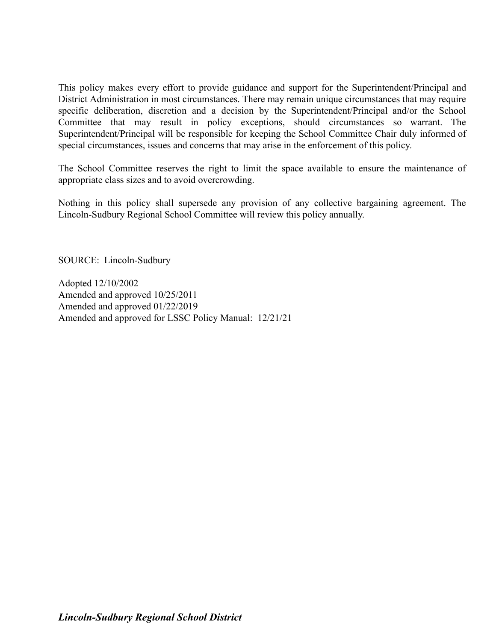This policy makes every effort to provide guidance and support for the Superintendent/Principal and District Administration in most circumstances. There may remain unique circumstances that may require specific deliberation, discretion and a decision by the Superintendent/Principal and/or the School Committee that may result in policy exceptions, should circumstances so warrant. The Superintendent/Principal will be responsible for keeping the School Committee Chair duly informed of special circumstances, issues and concerns that may arise in the enforcement of this policy.

The School Committee reserves the right to limit the space available to ensure the maintenance of appropriate class sizes and to avoid overcrowding.

Nothing in this policy shall supersede any provision of any collective bargaining agreement. The Lincoln-Sudbury Regional School Committee will review this policy annually.

SOURCE: Lincoln-Sudbury

Adopted 12/10/2002 Amended and approved 10/25/2011 Amended and approved 01/22/2019 Amended and approved for LSSC Policy Manual: 12/21/21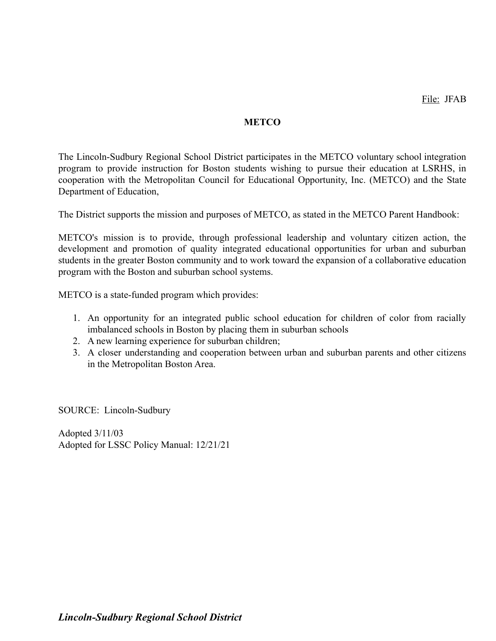### **METCO**

The Lincoln-Sudbury Regional School District participates in the METCO voluntary school integration program to provide instruction for Boston students wishing to pursue their education at LSRHS, in cooperation with the Metropolitan Council for Educational Opportunity, Inc. (METCO) and the State Department of Education,

The District supports the mission and purposes of METCO, as stated in the METCO Parent Handbook:

METCO's mission is to provide, through professional leadership and voluntary citizen action, the development and promotion of quality integrated educational opportunities for urban and suburban students in the greater Boston community and to work toward the expansion of a collaborative education program with the Boston and suburban school systems.

METCO is a state-funded program which provides:

- 1. An opportunity for an integrated public school education for children of color from racially imbalanced schools in Boston by placing them in suburban schools
- 2. A new learning experience for suburban children;
- 3. A closer understanding and cooperation between urban and suburban parents and other citizens in the Metropolitan Boston Area.

SOURCE: Lincoln-Sudbury

Adopted 3/11/03 Adopted for LSSC Policy Manual: 12/21/21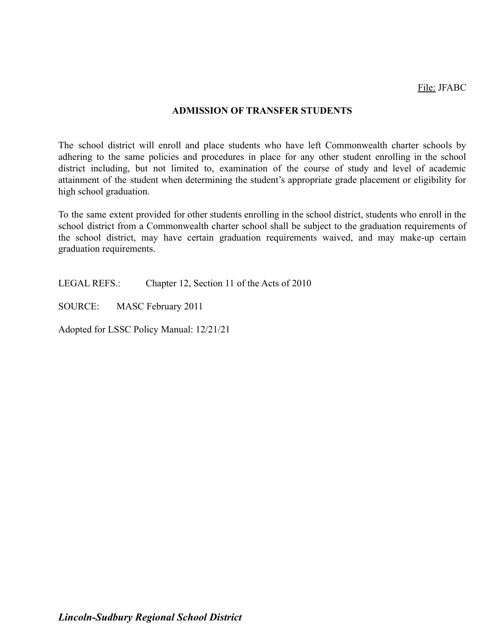File: JFABC

### **ADMISSION OF TRANSFER STUDENTS**

The school district will enroll and place students who have left Commonwealth charter schools by adhering to the same policies and procedures in place for any other student enrolling in the school district including, but not limited to, examination of the course of study and level of academic attainment of the student when determining the student's appropriate grade placement or eligibility for high school graduation.

To the same extent provided for other students enrolling in the school district, students who enroll in the school district from a Commonwealth charter school shall be subject to the graduation requirements of the school district, may have certain graduation requirements waived, and may make-up certain graduation requirements.

LEGAL REFS.: Chapter 12, Section 11 of the Acts of 2010

SOURCE: MASC February 2011

Adopted for LSSC Policy Manual: 12/21/21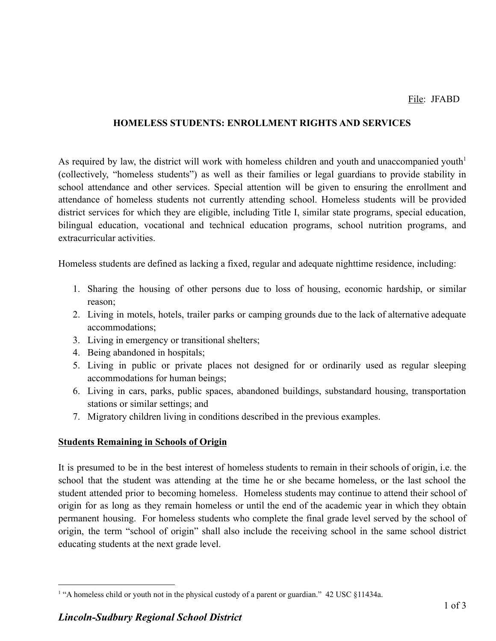### **HOMELESS STUDENTS: ENROLLMENT RIGHTS AND SERVICES**

As required by law, the district will work with homeless children and youth and unaccompanied youth $<sup>1</sup>$ </sup> (collectively, "homeless students") as well as their families or legal guardians to provide stability in school attendance and other services. Special attention will be given to ensuring the enrollment and attendance of homeless students not currently attending school. Homeless students will be provided district services for which they are eligible, including Title I, similar state programs, special education, bilingual education, vocational and technical education programs, school nutrition programs, and extracurricular activities.

Homeless students are defined as lacking a fixed, regular and adequate nighttime residence, including:

- 1. Sharing the housing of other persons due to loss of housing, economic hardship, or similar reason;
- 2. Living in motels, hotels, trailer parks or camping grounds due to the lack of alternative adequate accommodations;
- 3. Living in emergency or transitional shelters;
- 4. Being abandoned in hospitals;
- 5. Living in public or private places not designed for or ordinarily used as regular sleeping accommodations for human beings;
- 6. Living in cars, parks, public spaces, abandoned buildings, substandard housing, transportation stations or similar settings; and
- 7. Migratory children living in conditions described in the previous examples.

### **Students Remaining in Schools of Origin**

It is presumed to be in the best interest of homeless students to remain in their schools of origin, i.e. the school that the student was attending at the time he or she became homeless, or the last school the student attended prior to becoming homeless. Homeless students may continue to attend their school of origin for as long as they remain homeless or until the end of the academic year in which they obtain permanent housing. For homeless students who complete the final grade level served by the school of origin, the term "school of origin" shall also include the receiving school in the same school district educating students at the next grade level.

<sup>&</sup>lt;sup>1</sup> "A homeless child or youth not in the physical custody of a parent or guardian." 42 USC §11434a.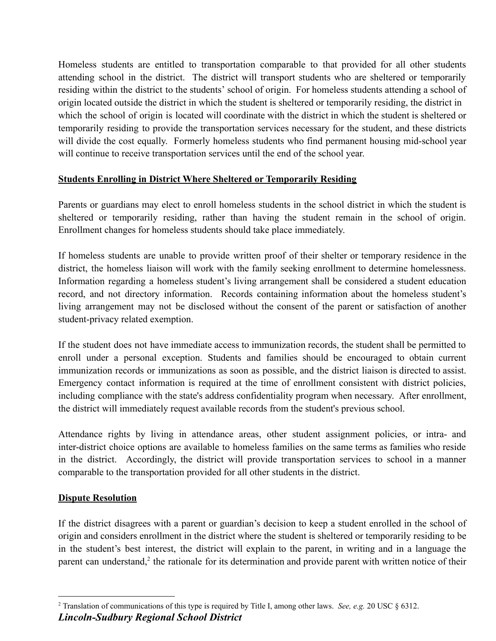Homeless students are entitled to transportation comparable to that provided for all other students attending school in the district. The district will transport students who are sheltered or temporarily residing within the district to the students' school of origin. For homeless students attending a school of origin located outside the district in which the student is sheltered or temporarily residing, the district in which the school of origin is located will coordinate with the district in which the student is sheltered or temporarily residing to provide the transportation services necessary for the student, and these districts will divide the cost equally. Formerly homeless students who find permanent housing mid-school year will continue to receive transportation services until the end of the school year.

## **Students Enrolling in District Where Sheltered or Temporarily Residing**

Parents or guardians may elect to enroll homeless students in the school district in which the student is sheltered or temporarily residing, rather than having the student remain in the school of origin. Enrollment changes for homeless students should take place immediately.

If homeless students are unable to provide written proof of their shelter or temporary residence in the district, the homeless liaison will work with the family seeking enrollment to determine homelessness. Information regarding a homeless student's living arrangement shall be considered a student education record, and not directory information. Records containing information about the homeless student's living arrangement may not be disclosed without the consent of the parent or satisfaction of another student-privacy related exemption.

If the student does not have immediate access to immunization records, the student shall be permitted to enroll under a personal exception. Students and families should be encouraged to obtain current immunization records or immunizations as soon as possible, and the district liaison is directed to assist. Emergency contact information is required at the time of enrollment consistent with district policies, including compliance with the state's address confidentiality program when necessary. After enrollment, the district will immediately request available records from the student's previous school.

Attendance rights by living in attendance areas, other student assignment policies, or intra- and inter-district choice options are available to homeless families on the same terms as families who reside in the district. Accordingly, the district will provide transportation services to school in a manner comparable to the transportation provided for all other students in the district.

## **Dispute Resolution**

If the district disagrees with a parent or guardian's decision to keep a student enrolled in the school of origin and considers enrollment in the district where the student is sheltered or temporarily residing to be in the student's best interest, the district will explain to the parent, in writing and in a language the parent can understand,<sup>2</sup> the rationale for its determination and provide parent with written notice of their

<sup>2</sup> Translation of communications of this type is required by Title I, among other laws. *See, e.g.* 20 USC § 6312. *Lincoln-Sudbury Regional School District*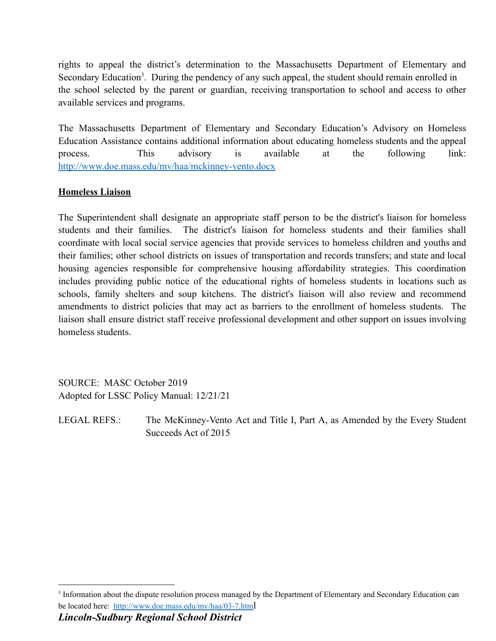rights to appeal the district's determination to the Massachusetts Department of Elementary and Secondary Education<sup>3</sup>. During the pendency of any such appeal, the student should remain enrolled in the school selected by the parent or guardian, receiving transportation to school and access to other available services and programs.

The Massachusetts Department of Elementary and Secondary Education's Advisory on Homeless Education Assistance contains additional information about educating homeless students and the appeal process. This advisory is available at the following link: <http://www.doe.mass.edu/mv/haa/mckinney-vento.docx>

### **Homeless Liaison**

The Superintendent shall designate an appropriate staff person to be the district's liaison for homeless students and their families. The district's liaison for homeless students and their families shall coordinate with local social service agencies that provide services to homeless children and youths and their families; other school districts on issues of transportation and records transfers; and state and local housing agencies responsible for comprehensive housing affordability strategies. This coordination includes providing public notice of the educational rights of homeless students in locations such as schools, family shelters and soup kitchens. The district's liaison will also review and recommend amendments to district policies that may act as barriers to the enrollment of homeless students. The liaison shall ensure district staff receive professional development and other support on issues involving homeless students.

SOURCE: MASC October 2019 Adopted for LSSC Policy Manual: 12/21/21

LEGAL REFS.: The McKinney-Vento Act and Title I, Part A, as Amended by the Every Student Succeeds Act of 2015

<sup>&</sup>lt;sup>3</sup> Information about the dispute resolution process managed by the Department of Elementary and Secondary Education can be located here: [http://www.doe.mass.edu/mv/haa/03-7.htm](http://www.doe.mass.edu/mv/haa/03-7.html)l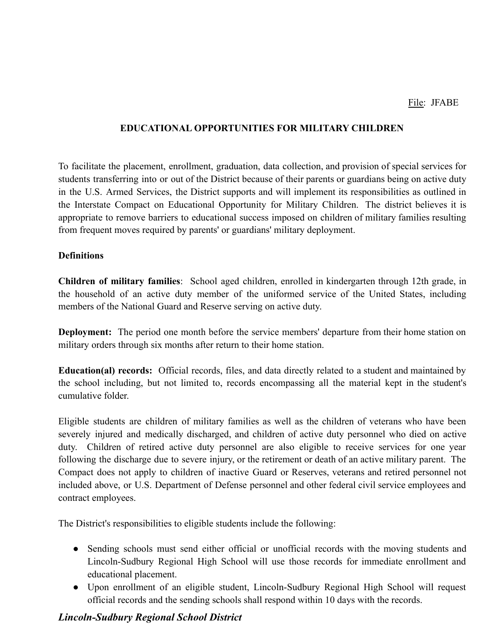### **EDUCATIONAL OPPORTUNITIES FOR MILITARY CHILDREN**

To facilitate the placement, enrollment, graduation, data collection, and provision of special services for students transferring into or out of the District because of their parents or guardians being on active duty in the U.S. Armed Services, the District supports and will implement its responsibilities as outlined in the Interstate Compact on Educational Opportunity for Military Children. The district believes it is appropriate to remove barriers to educational success imposed on children of military families resulting from frequent moves required by parents' or guardians' military deployment.

#### **Definitions**

**Children of military families**: School aged children, enrolled in kindergarten through 12th grade, in the household of an active duty member of the uniformed service of the United States, including members of the National Guard and Reserve serving on active duty.

**Deployment:** The period one month before the service members' departure from their home station on military orders through six months after return to their home station.

**Education(al) records:** Official records, files, and data directly related to a student and maintained by the school including, but not limited to, records encompassing all the material kept in the student's cumulative folder.

Eligible students are children of military families as well as the children of veterans who have been severely injured and medically discharged, and children of active duty personnel who died on active duty. Children of retired active duty personnel are also eligible to receive services for one year following the discharge due to severe injury, or the retirement or death of an active military parent. The Compact does not apply to children of inactive Guard or Reserves, veterans and retired personnel not included above, or U.S. Department of Defense personnel and other federal civil service employees and contract employees.

The District's responsibilities to eligible students include the following:

- Sending schools must send either official or unofficial records with the moving students and Lincoln-Sudbury Regional High School will use those records for immediate enrollment and educational placement.
- Upon enrollment of an eligible student, Lincoln-Sudbury Regional High School will request official records and the sending schools shall respond within 10 days with the records.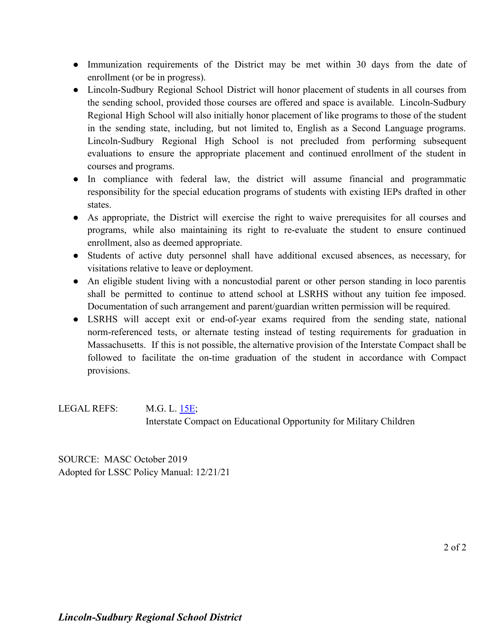- Immunization requirements of the District may be met within 30 days from the date of enrollment (or be in progress).
- Lincoln-Sudbury Regional School District will honor placement of students in all courses from the sending school, provided those courses are offered and space is available. Lincoln-Sudbury Regional High School will also initially honor placement of like programs to those of the student in the sending state, including, but not limited to, English as a Second Language programs. Lincoln-Sudbury Regional High School is not precluded from performing subsequent evaluations to ensure the appropriate placement and continued enrollment of the student in courses and programs.
- In compliance with federal law, the district will assume financial and programmatic responsibility for the special education programs of students with existing IEPs drafted in other states.
- As appropriate, the District will exercise the right to waive prerequisites for all courses and programs, while also maintaining its right to re-evaluate the student to ensure continued enrollment, also as deemed appropriate.
- Students of active duty personnel shall have additional excused absences, as necessary, for visitations relative to leave or deployment.
- An eligible student living with a noncustodial parent or other person standing in loco parentis shall be permitted to continue to attend school at LSRHS without any tuition fee imposed. Documentation of such arrangement and parent/guardian written permission will be required.
- LSRHS will accept exit or end-of-year exams required from the sending state, national norm-referenced tests, or alternate testing instead of testing requirements for graduation in Massachusetts. If this is not possible, the alternative provision of the Interstate Compact shall be followed to facilitate the on-time graduation of the student in accordance with Compact provisions.

LEGAL REFS: M.G. L. [15E;](https://malegislature.gov/Laws/GeneralLaws/PartI/TitleII/Chapter15e) Interstate Compact on Educational Opportunity for Military Children

SOURCE: MASC October 2019 Adopted for LSSC Policy Manual: 12/21/21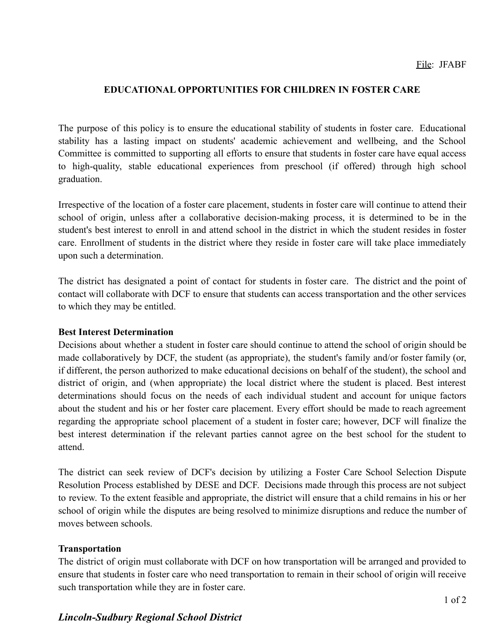## **EDUCATIONAL OPPORTUNITIES FOR CHILDREN IN FOSTER CARE**

The purpose of this policy is to ensure the educational stability of students in foster care. Educational stability has a lasting impact on students' academic achievement and wellbeing, and the School Committee is committed to supporting all efforts to ensure that students in foster care have equal access to high-quality, stable educational experiences from preschool (if offered) through high school graduation.

Irrespective of the location of a foster care placement, students in foster care will continue to attend their school of origin, unless after a collaborative decision-making process, it is determined to be in the student's best interest to enroll in and attend school in the district in which the student resides in foster care. Enrollment of students in the district where they reside in foster care will take place immediately upon such a determination.

The district has designated a point of contact for students in foster care. The district and the point of contact will collaborate with DCF to ensure that students can access transportation and the other services to which they may be entitled.

#### **Best Interest Determination**

Decisions about whether a student in foster care should continue to attend the school of origin should be made collaboratively by DCF, the student (as appropriate), the student's family and/or foster family (or, if different, the person authorized to make educational decisions on behalf of the student), the school and district of origin, and (when appropriate) the local district where the student is placed. Best interest determinations should focus on the needs of each individual student and account for unique factors about the student and his or her foster care placement. Every effort should be made to reach agreement regarding the appropriate school placement of a student in foster care; however, DCF will finalize the best interest determination if the relevant parties cannot agree on the best school for the student to attend.

The district can seek review of DCF's decision by utilizing a Foster Care School Selection Dispute Resolution Process established by DESE and DCF. Decisions made through this process are not subject to review. To the extent feasible and appropriate, the district will ensure that a child remains in his or her school of origin while the disputes are being resolved to minimize disruptions and reduce the number of moves between schools.

#### **Transportation**

The district of origin must collaborate with DCF on how transportation will be arranged and provided to ensure that students in foster care who need transportation to remain in their school of origin will receive such transportation while they are in foster care.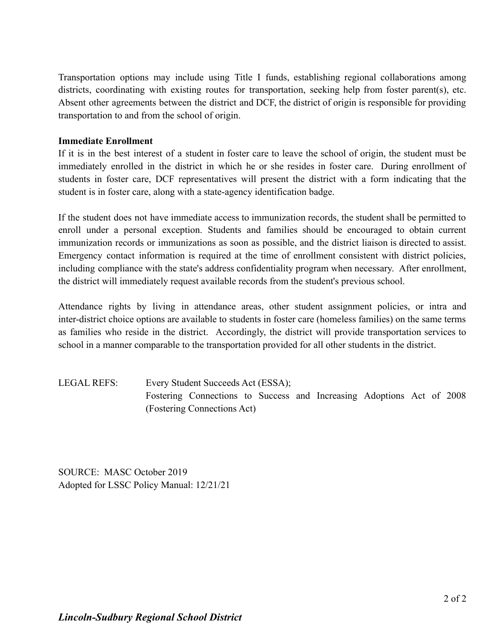Transportation options may include using Title I funds, establishing regional collaborations among districts, coordinating with existing routes for transportation, seeking help from foster parent(s), etc. Absent other agreements between the district and DCF, the district of origin is responsible for providing transportation to and from the school of origin.

### **Immediate Enrollment**

If it is in the best interest of a student in foster care to leave the school of origin, the student must be immediately enrolled in the district in which he or she resides in foster care. During enrollment of students in foster care, DCF representatives will present the district with a form indicating that the student is in foster care, along with a state-agency identification badge.

If the student does not have immediate access to immunization records, the student shall be permitted to enroll under a personal exception. Students and families should be encouraged to obtain current immunization records or immunizations as soon as possible, and the district liaison is directed to assist. Emergency contact information is required at the time of enrollment consistent with district policies, including compliance with the state's address confidentiality program when necessary. After enrollment, the district will immediately request available records from the student's previous school.

Attendance rights by living in attendance areas, other student assignment policies, or intra and inter-district choice options are available to students in foster care (homeless families) on the same terms as families who reside in the district. Accordingly, the district will provide transportation services to school in a manner comparable to the transportation provided for all other students in the district.

LEGAL REFS: Every Student Succeeds Act (ESSA); Fostering Connections to Success and Increasing Adoptions Act of 2008 (Fostering Connections Act)

SOURCE: MASC October 2019 Adopted for LSSC Policy Manual: 12/21/21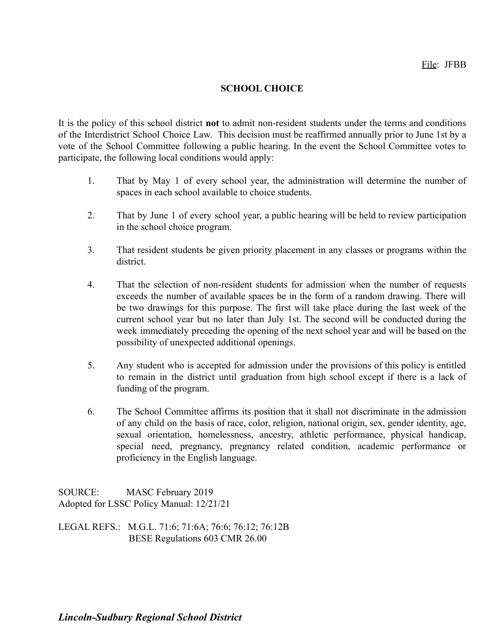### **SCHOOL CHOICE**

It is the policy of this school district **not** to admit non-resident students under the terms and conditions of the Interdistrict School Choice Law. This decision must be reaffirmed annually prior to June 1st by a vote of the School Committee following a public hearing. In the event the School Committee votes to participate, the following local conditions would apply:

- 1. That by May 1 of every school year, the administration will determine the number of spaces in each school available to choice students.
- 2. That by June 1 of every school year, a public hearing will be held to review participation in the school choice program.
- 3. That resident students be given priority placement in any classes or programs within the district.
- 4. That the selection of non-resident students for admission when the number of requests exceeds the number of available spaces be in the form of a random drawing. There will be two drawings for this purpose. The first will take place during the last week of the current school year but no later than July 1st. The second will be conducted during the week immediately preceding the opening of the next school year and will be based on the possibility of unexpected additional openings.
- 5. Any student who is accepted for admission under the provisions of this policy is entitled to remain in the district until graduation from high school except if there is a lack of funding of the program.
- 6. The School Committee affirms its position that it shall not discriminate in the admission of any child on the basis of race, color, religion, national origin, sex, gender identity, age, sexual orientation, homelessness, ancestry, athletic performance, physical handicap, special need, pregnancy, pregnancy related condition, academic performance or proficiency in the English language.

SOURCE: MASC February 2019 Adopted for LSSC Policy Manual: 12/21/21

LEGAL REFS.: M.G.L. 71:6; 71:6A; 76:6; 76:12; 76:12B BESE Regulations 603 CMR 26.00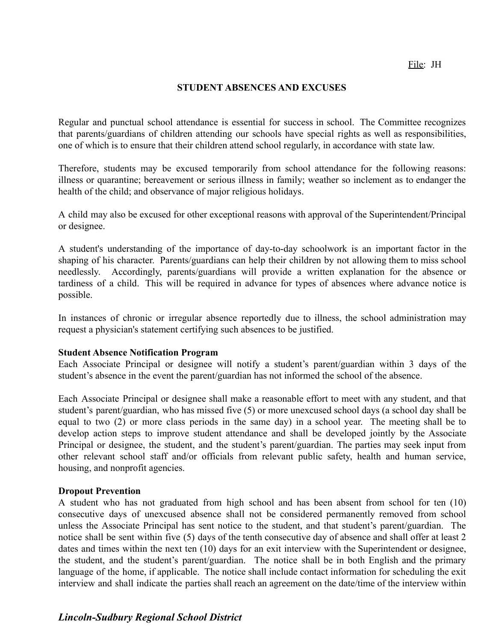#### **STUDENT ABSENCES AND EXCUSES**

Regular and punctual school attendance is essential for success in school. The Committee recognizes that parents/guardians of children attending our schools have special rights as well as responsibilities, one of which is to ensure that their children attend school regularly, in accordance with state law.

Therefore, students may be excused temporarily from school attendance for the following reasons: illness or quarantine; bereavement or serious illness in family; weather so inclement as to endanger the health of the child; and observance of major religious holidays.

A child may also be excused for other exceptional reasons with approval of the Superintendent/Principal or designee.

A student's understanding of the importance of day-to-day schoolwork is an important factor in the shaping of his character. Parents/guardians can help their children by not allowing them to miss school needlessly. Accordingly, parents/guardians will provide a written explanation for the absence or tardiness of a child. This will be required in advance for types of absences where advance notice is possible.

In instances of chronic or irregular absence reportedly due to illness, the school administration may request a physician's statement certifying such absences to be justified.

#### **Student Absence Notification Program**

Each Associate Principal or designee will notify a student's parent/guardian within 3 days of the student's absence in the event the parent/guardian has not informed the school of the absence.

Each Associate Principal or designee shall make a reasonable effort to meet with any student, and that student's parent/guardian, who has missed five (5) or more unexcused school days (a school day shall be equal to two (2) or more class periods in the same day) in a school year. The meeting shall be to develop action steps to improve student attendance and shall be developed jointly by the Associate Principal or designee, the student, and the student's parent/guardian. The parties may seek input from other relevant school staff and/or officials from relevant public safety, health and human service, housing, and nonprofit agencies.

#### **Dropout Prevention**

A student who has not graduated from high school and has been absent from school for ten (10) consecutive days of unexcused absence shall not be considered permanently removed from school unless the Associate Principal has sent notice to the student, and that student's parent/guardian. The notice shall be sent within five (5) days of the tenth consecutive day of absence and shall offer at least 2 dates and times within the next ten (10) days for an exit interview with the Superintendent or designee, the student, and the student's parent/guardian. The notice shall be in both English and the primary language of the home, if applicable. The notice shall include contact information for scheduling the exit interview and shall indicate the parties shall reach an agreement on the date/time of the interview within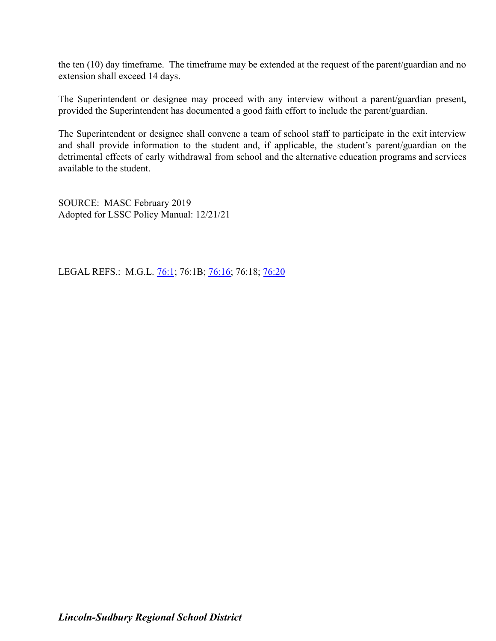the ten (10) day timeframe. The timeframe may be extended at the request of the parent/guardian and no extension shall exceed 14 days.

The Superintendent or designee may proceed with any interview without a parent/guardian present, provided the Superintendent has documented a good faith effort to include the parent/guardian.

The Superintendent or designee shall convene a team of school staff to participate in the exit interview and shall provide information to the student and, if applicable, the student's parent/guardian on the detrimental effects of early withdrawal from school and the alternative education programs and services available to the student.

SOURCE: MASC February 2019 Adopted for LSSC Policy Manual: 12/21/21

LEGAL REFS.: M.G.L. [76:1](http://www.malegislature.gov/Laws/GeneralLaws/PartI/TitleII/Chapter76/Section1); 76:1B; [76:16;](http://www.malegislature.gov/Laws/GeneralLaws/PartI/TitleXII/Chapter76/Section16) 76:18; [76:20](http://www.malegislature.gov/Laws/GeneralLaws/PartI/TitleXII/Chapter76/Section20)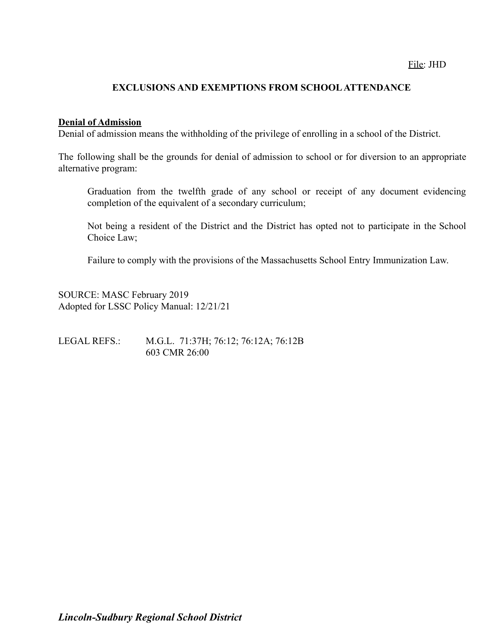### **EXCLUSIONS AND EXEMPTIONS FROM SCHOOL ATTENDANCE**

#### **Denial of Admission**

Denial of admission means the withholding of the privilege of enrolling in a school of the District.

The following shall be the grounds for denial of admission to school or for diversion to an appropriate alternative program:

Graduation from the twelfth grade of any school or receipt of any document evidencing completion of the equivalent of a secondary curriculum;

Not being a resident of the District and the District has opted not to participate in the School Choice Law;

Failure to comply with the provisions of the Massachusetts School Entry Immunization Law.

SOURCE: MASC February 2019 Adopted for LSSC Policy Manual: 12/21/21

LEGAL REFS.: M.G.L. 71:37H; 76:12; 76:12A; 76:12B 603 CMR 26:00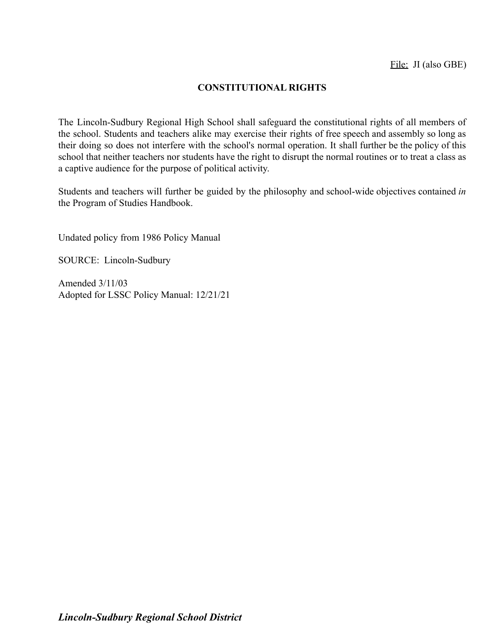## **CONSTITUTIONAL RIGHTS**

The Lincoln-Sudbury Regional High School shall safeguard the constitutional rights of all members of the school. Students and teachers alike may exercise their rights of free speech and assembly so long as their doing so does not interfere with the school's normal operation. It shall further be the policy of this school that neither teachers nor students have the right to disrupt the normal routines or to treat a class as a captive audience for the purpose of political activity.

Students and teachers will further be guided by the philosophy and school-wide objectives contained *in* the Program of Studies Handbook.

Undated policy from 1986 Policy Manual

SOURCE: Lincoln-Sudbury

Amended 3/11/03 Adopted for LSSC Policy Manual: 12/21/21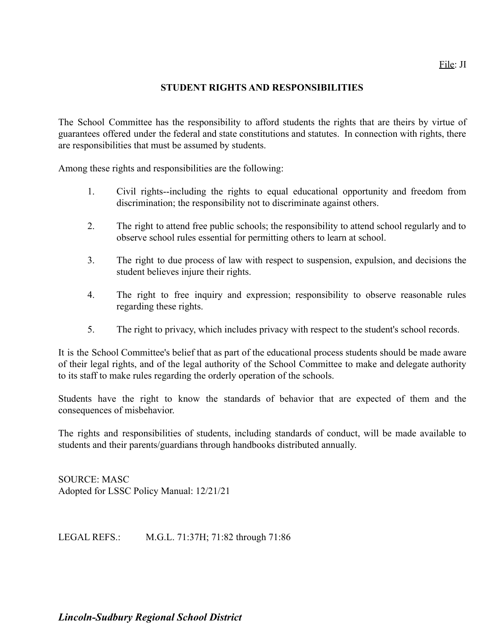### File: JI

### **STUDENT RIGHTS AND RESPONSIBILITIES**

The School Committee has the responsibility to afford students the rights that are theirs by virtue of guarantees offered under the federal and state constitutions and statutes. In connection with rights, there are responsibilities that must be assumed by students.

Among these rights and responsibilities are the following:

- 1. Civil rights--including the rights to equal educational opportunity and freedom from discrimination; the responsibility not to discriminate against others.
- 2. The right to attend free public schools; the responsibility to attend school regularly and to observe school rules essential for permitting others to learn at school.
- 3. The right to due process of law with respect to suspension, expulsion, and decisions the student believes injure their rights.
- 4. The right to free inquiry and expression; responsibility to observe reasonable rules regarding these rights.
- 5. The right to privacy, which includes privacy with respect to the student's school records.

It is the School Committee's belief that as part of the educational process students should be made aware of their legal rights, and of the legal authority of the School Committee to make and delegate authority to its staff to make rules regarding the orderly operation of the schools.

Students have the right to know the standards of behavior that are expected of them and the consequences of misbehavior.

The rights and responsibilities of students, including standards of conduct, will be made available to students and their parents/guardians through handbooks distributed annually.

SOURCE: MASC Adopted for LSSC Policy Manual: 12/21/21

LEGAL REFS.: M.G.L. 71:37H; 71:82 through 71:86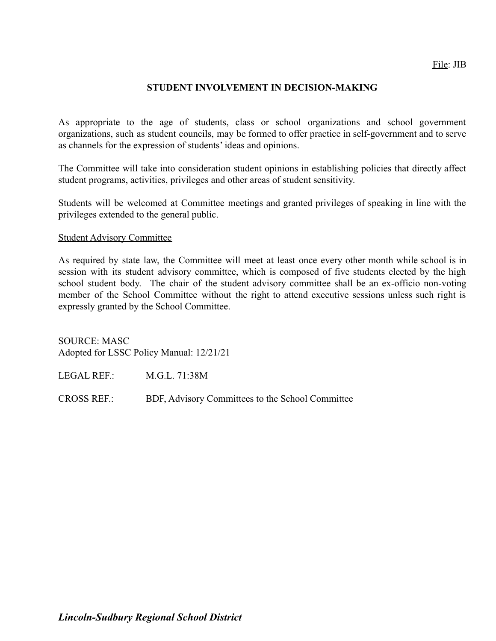### **STUDENT INVOLVEMENT IN DECISION-MAKING**

As appropriate to the age of students, class or school organizations and school government organizations, such as student councils, may be formed to offer practice in self-government and to serve as channels for the expression of students' ideas and opinions.

The Committee will take into consideration student opinions in establishing policies that directly affect student programs, activities, privileges and other areas of student sensitivity.

Students will be welcomed at Committee meetings and granted privileges of speaking in line with the privileges extended to the general public.

#### Student Advisory Committee

As required by state law, the Committee will meet at least once every other month while school is in session with its student advisory committee, which is composed of five students elected by the high school student body. The chair of the student advisory committee shall be an ex-officio non-voting member of the School Committee without the right to attend executive sessions unless such right is expressly granted by the School Committee.

SOURCE: MASC Adopted for LSSC Policy Manual: 12/21/21

LEGAL REF.: M.G.L. 71:38M

CROSS REF.: BDF, Advisory Committees to the School Committee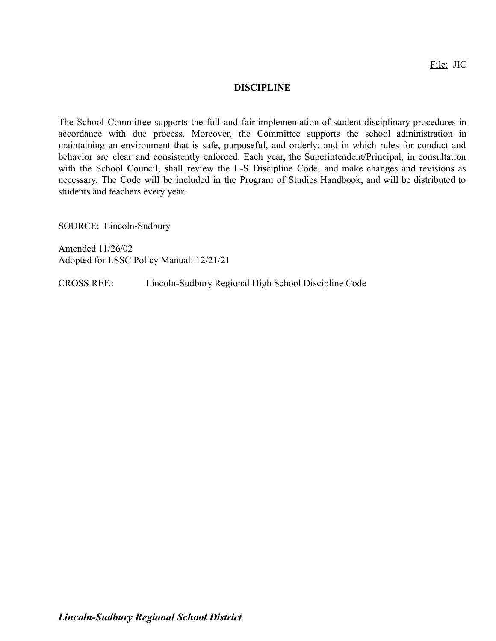File: JIC

#### **DISCIPLINE**

The School Committee supports the full and fair implementation of student disciplinary procedures in accordance with due process. Moreover, the Committee supports the school administration in maintaining an environment that is safe, purposeful, and orderly; and in which rules for conduct and behavior are clear and consistently enforced. Each year, the Superintendent/Principal, in consultation with the School Council, shall review the L-S Discipline Code, and make changes and revisions as necessary. The Code will be included in the Program of Studies Handbook, and will be distributed to students and teachers every year.

SOURCE: Lincoln-Sudbury

Amended 11/26/02 Adopted for LSSC Policy Manual: 12/21/21

CROSS REF.: Lincoln-Sudbury Regional High School Discipline Code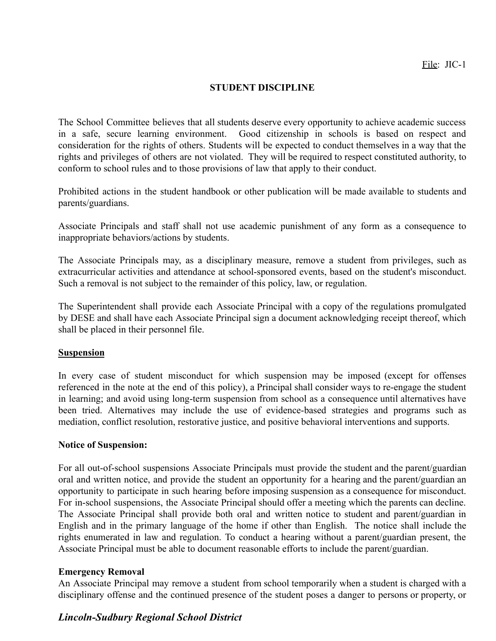### **STUDENT DISCIPLINE**

The School Committee believes that all students deserve every opportunity to achieve academic success in a safe, secure learning environment. Good citizenship in schools is based on respect and consideration for the rights of others. Students will be expected to conduct themselves in a way that the rights and privileges of others are not violated. They will be required to respect constituted authority, to conform to school rules and to those provisions of law that apply to their conduct.

Prohibited actions in the student handbook or other publication will be made available to students and parents/guardians.

Associate Principals and staff shall not use academic punishment of any form as a consequence to inappropriate behaviors/actions by students.

The Associate Principals may, as a disciplinary measure, remove a student from privileges, such as extracurricular activities and attendance at school-sponsored events, based on the student's misconduct. Such a removal is not subject to the remainder of this policy, law, or regulation.

The Superintendent shall provide each Associate Principal with a copy of the regulations promulgated by DESE and shall have each Associate Principal sign a document acknowledging receipt thereof, which shall be placed in their personnel file.

#### **Suspension**

In every case of student misconduct for which suspension may be imposed (except for offenses referenced in the note at the end of this policy), a Principal shall consider ways to re-engage the student in learning; and avoid using long-term suspension from school as a consequence until alternatives have been tried. Alternatives may include the use of evidence-based strategies and programs such as mediation, conflict resolution, restorative justice, and positive behavioral interventions and supports.

#### **Notice of Suspension:**

For all out-of-school suspensions Associate Principals must provide the student and the parent/guardian oral and written notice, and provide the student an opportunity for a hearing and the parent/guardian an opportunity to participate in such hearing before imposing suspension as a consequence for misconduct. For in-school suspensions, the Associate Principal should offer a meeting which the parents can decline. The Associate Principal shall provide both oral and written notice to student and parent/guardian in English and in the primary language of the home if other than English. The notice shall include the rights enumerated in law and regulation. To conduct a hearing without a parent/guardian present, the Associate Principal must be able to document reasonable efforts to include the parent/guardian.

#### **Emergency Removal**

An Associate Principal may remove a student from school temporarily when a student is charged with a disciplinary offense and the continued presence of the student poses a danger to persons or property, or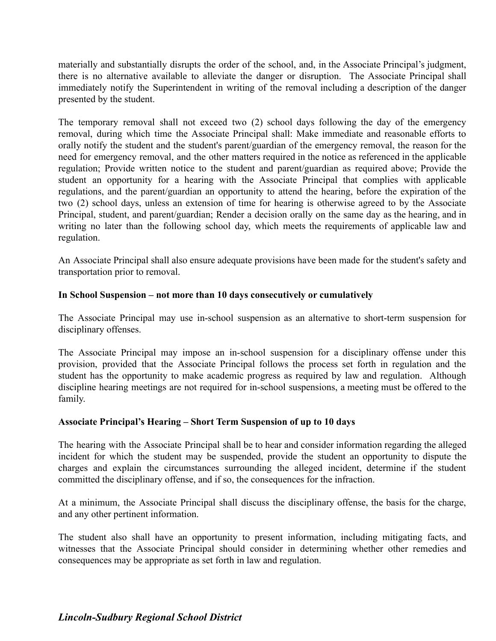materially and substantially disrupts the order of the school, and, in the Associate Principal's judgment, there is no alternative available to alleviate the danger or disruption. The Associate Principal shall immediately notify the Superintendent in writing of the removal including a description of the danger presented by the student.

The temporary removal shall not exceed two (2) school days following the day of the emergency removal, during which time the Associate Principal shall: Make immediate and reasonable efforts to orally notify the student and the student's parent/guardian of the emergency removal, the reason for the need for emergency removal, and the other matters required in the notice as referenced in the applicable regulation; Provide written notice to the student and parent/guardian as required above; Provide the student an opportunity for a hearing with the Associate Principal that complies with applicable regulations, and the parent/guardian an opportunity to attend the hearing, before the expiration of the two (2) school days, unless an extension of time for hearing is otherwise agreed to by the Associate Principal, student, and parent/guardian; Render a decision orally on the same day as the hearing, and in writing no later than the following school day, which meets the requirements of applicable law and regulation.

An Associate Principal shall also ensure adequate provisions have been made for the student's safety and transportation prior to removal.

### **In School Suspension – not more than 10 days consecutively or cumulatively**

The Associate Principal may use in-school suspension as an alternative to short-term suspension for disciplinary offenses.

The Associate Principal may impose an in-school suspension for a disciplinary offense under this provision, provided that the Associate Principal follows the process set forth in regulation and the student has the opportunity to make academic progress as required by law and regulation. Although discipline hearing meetings are not required for in-school suspensions, a meeting must be offered to the family.

#### **Associate Principal's Hearing – Short Term Suspension of up to 10 days**

The hearing with the Associate Principal shall be to hear and consider information regarding the alleged incident for which the student may be suspended, provide the student an opportunity to dispute the charges and explain the circumstances surrounding the alleged incident, determine if the student committed the disciplinary offense, and if so, the consequences for the infraction.

At a minimum, the Associate Principal shall discuss the disciplinary offense, the basis for the charge, and any other pertinent information.

The student also shall have an opportunity to present information, including mitigating facts, and witnesses that the Associate Principal should consider in determining whether other remedies and consequences may be appropriate as set forth in law and regulation.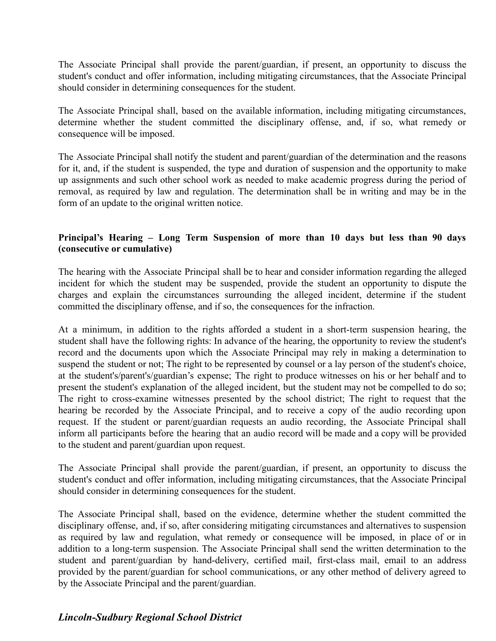The Associate Principal shall provide the parent/guardian, if present, an opportunity to discuss the student's conduct and offer information, including mitigating circumstances, that the Associate Principal should consider in determining consequences for the student.

The Associate Principal shall, based on the available information, including mitigating circumstances, determine whether the student committed the disciplinary offense, and, if so, what remedy or consequence will be imposed.

The Associate Principal shall notify the student and parent/guardian of the determination and the reasons for it, and, if the student is suspended, the type and duration of suspension and the opportunity to make up assignments and such other school work as needed to make academic progress during the period of removal, as required by law and regulation. The determination shall be in writing and may be in the form of an update to the original written notice.

## **Principal's Hearing – Long Term Suspension of more than 10 days but less than 90 days (consecutive or cumulative)**

The hearing with the Associate Principal shall be to hear and consider information regarding the alleged incident for which the student may be suspended, provide the student an opportunity to dispute the charges and explain the circumstances surrounding the alleged incident, determine if the student committed the disciplinary offense, and if so, the consequences for the infraction.

At a minimum, in addition to the rights afforded a student in a short-term suspension hearing, the student shall have the following rights: In advance of the hearing, the opportunity to review the student's record and the documents upon which the Associate Principal may rely in making a determination to suspend the student or not; The right to be represented by counsel or a lay person of the student's choice, at the student's/parent's/guardian's expense; The right to produce witnesses on his or her behalf and to present the student's explanation of the alleged incident, but the student may not be compelled to do so; The right to cross-examine witnesses presented by the school district; The right to request that the hearing be recorded by the Associate Principal, and to receive a copy of the audio recording upon request. If the student or parent/guardian requests an audio recording, the Associate Principal shall inform all participants before the hearing that an audio record will be made and a copy will be provided to the student and parent/guardian upon request.

The Associate Principal shall provide the parent/guardian, if present, an opportunity to discuss the student's conduct and offer information, including mitigating circumstances, that the Associate Principal should consider in determining consequences for the student.

The Associate Principal shall, based on the evidence, determine whether the student committed the disciplinary offense, and, if so, after considering mitigating circumstances and alternatives to suspension as required by law and regulation, what remedy or consequence will be imposed, in place of or in addition to a long-term suspension. The Associate Principal shall send the written determination to the student and parent/guardian by hand-delivery, certified mail, first-class mail, email to an address provided by the parent/guardian for school communications, or any other method of delivery agreed to by the Associate Principal and the parent/guardian.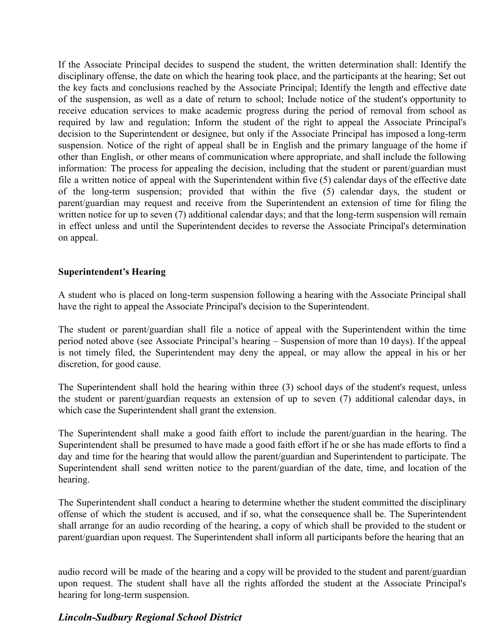If the Associate Principal decides to suspend the student, the written determination shall: Identify the disciplinary offense, the date on which the hearing took place, and the participants at the hearing; Set out the key facts and conclusions reached by the Associate Principal; Identify the length and effective date of the suspension, as well as a date of return to school; Include notice of the student's opportunity to receive education services to make academic progress during the period of removal from school as required by law and regulation; Inform the student of the right to appeal the Associate Principal's decision to the Superintendent or designee, but only if the Associate Principal has imposed a long-term suspension. Notice of the right of appeal shall be in English and the primary language of the home if other than English, or other means of communication where appropriate, and shall include the following information: The process for appealing the decision, including that the student or parent/guardian must file a written notice of appeal with the Superintendent within five (5) calendar days of the effective date of the long-term suspension; provided that within the five (5) calendar days, the student or parent/guardian may request and receive from the Superintendent an extension of time for filing the written notice for up to seven (7) additional calendar days; and that the long-term suspension will remain in effect unless and until the Superintendent decides to reverse the Associate Principal's determination on appeal.

### **Superintendent's Hearing**

A student who is placed on long-term suspension following a hearing with the Associate Principal shall have the right to appeal the Associate Principal's decision to the Superintendent.

The student or parent/guardian shall file a notice of appeal with the Superintendent within the time period noted above (see Associate Principal's hearing – Suspension of more than 10 days). If the appeal is not timely filed, the Superintendent may deny the appeal, or may allow the appeal in his or her discretion, for good cause.

The Superintendent shall hold the hearing within three (3) school days of the student's request, unless the student or parent/guardian requests an extension of up to seven (7) additional calendar days, in which case the Superintendent shall grant the extension.

The Superintendent shall make a good faith effort to include the parent/guardian in the hearing. The Superintendent shall be presumed to have made a good faith effort if he or she has made efforts to find a day and time for the hearing that would allow the parent/guardian and Superintendent to participate. The Superintendent shall send written notice to the parent/guardian of the date, time, and location of the hearing.

The Superintendent shall conduct a hearing to determine whether the student committed the disciplinary offense of which the student is accused, and if so, what the consequence shall be. The Superintendent shall arrange for an audio recording of the hearing, a copy of which shall be provided to the student or parent/guardian upon request. The Superintendent shall inform all participants before the hearing that an

audio record will be made of the hearing and a copy will be provided to the student and parent/guardian upon request. The student shall have all the rights afforded the student at the Associate Principal's hearing for long-term suspension.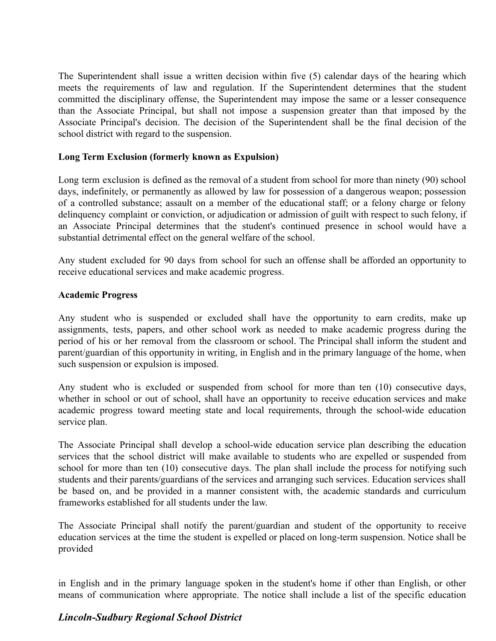The Superintendent shall issue a written decision within five (5) calendar days of the hearing which meets the requirements of law and regulation. If the Superintendent determines that the student committed the disciplinary offense, the Superintendent may impose the same or a lesser consequence than the Associate Principal, but shall not impose a suspension greater than that imposed by the Associate Principal's decision. The decision of the Superintendent shall be the final decision of the school district with regard to the suspension.

### **Long Term Exclusion (formerly known as Expulsion)**

Long term exclusion is defined as the removal of a student from school for more than ninety (90) school days, indefinitely, or permanently as allowed by law for possession of a dangerous weapon; possession of a controlled substance; assault on a member of the educational staff; or a felony charge or felony delinquency complaint or conviction, or adjudication or admission of guilt with respect to such felony, if an Associate Principal determines that the student's continued presence in school would have a substantial detrimental effect on the general welfare of the school.

Any student excluded for 90 days from school for such an offense shall be afforded an opportunity to receive educational services and make academic progress.

### **Academic Progress**

Any student who is suspended or excluded shall have the opportunity to earn credits, make up assignments, tests, papers, and other school work as needed to make academic progress during the period of his or her removal from the classroom or school. The Principal shall inform the student and parent/guardian of this opportunity in writing, in English and in the primary language of the home, when such suspension or expulsion is imposed.

Any student who is excluded or suspended from school for more than ten (10) consecutive days, whether in school or out of school, shall have an opportunity to receive education services and make academic progress toward meeting state and local requirements, through the school-wide education service plan.

The Associate Principal shall develop a school-wide education service plan describing the education services that the school district will make available to students who are expelled or suspended from school for more than ten (10) consecutive days. The plan shall include the process for notifying such students and their parents/guardians of the services and arranging such services. Education services shall be based on, and be provided in a manner consistent with, the academic standards and curriculum frameworks established for all students under the law.

The Associate Principal shall notify the parent/guardian and student of the opportunity to receive education services at the time the student is expelled or placed on long-term suspension. Notice shall be provided

in English and in the primary language spoken in the student's home if other than English, or other means of communication where appropriate. The notice shall include a list of the specific education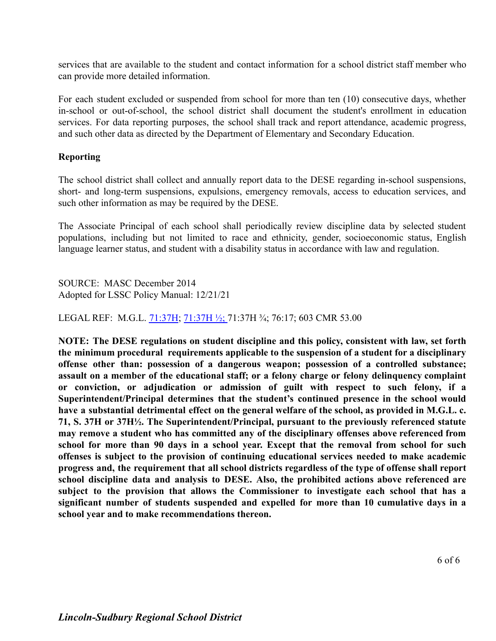services that are available to the student and contact information for a school district staff member who can provide more detailed information.

For each student excluded or suspended from school for more than ten (10) consecutive days, whether in-school or out-of-school, the school district shall document the student's enrollment in education services. For data reporting purposes, the school shall track and report attendance, academic progress, and such other data as directed by the Department of Elementary and Secondary Education.

### **Reporting**

The school district shall collect and annually report data to the DESE regarding in-school suspensions, short- and long-term suspensions, expulsions, emergency removals, access to education services, and such other information as may be required by the DESE.

The Associate Principal of each school shall periodically review discipline data by selected student populations, including but not limited to race and ethnicity, gender, socioeconomic status, English language learner status, and student with a disability status in accordance with law and regulation.

SOURCE: MASC December 2014 Adopted for LSSC Policy Manual: 12/21/21

LEGAL REF: M.G.L. [71:37H](http://www.malegislature.gov/Laws/GeneralLaws/PartI/TitleII/Chapter71/Section37h); [71:37H ½;](http://www.malegislature.gov/Laws/GeneralLaws/PartI/TitleXII/Chapter71/Section37H1%7E2) 71:37H ¾; 76:17; 603 CMR 53.00

**NOTE: The DESE regulations on student discipline and this policy, consistent with law, set forth the minimum procedural requirements applicable to the suspension of a student for a disciplinary offense other than: possession of a dangerous weapon; possession of a controlled substance; assault on a member of the educational staff; or a felony charge or felony delinquency complaint or conviction, or adjudication or admission of guilt with respect to such felony, if a Superintendent/Principal determines that the student's continued presence in the school would have a substantial detrimental effect on the general welfare of the school, as provided in M.G.L. c. 71, S. 37H or 37H½. The Superintendent/Principal, pursuant to the previously referenced statute may remove a student who has committed any of the disciplinary offenses above referenced from school for more than 90 days in a school year. Except that the removal from school for such offenses is subject to the provision of continuing educational services needed to make academic progress and, the requirement that all school districts regardless of the type of offense shall report school discipline data and analysis to DESE. Also, the prohibited actions above referenced are subject to the provision that allows the Commissioner to investigate each school that has a significant number of students suspended and expelled for more than 10 cumulative days in a school year and to make recommendations thereon.**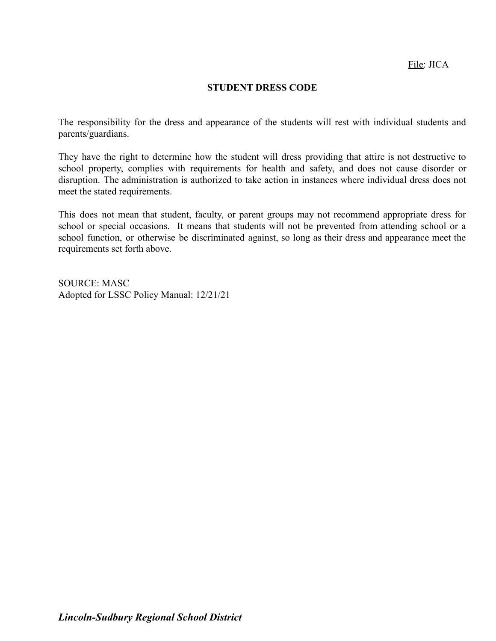#### **STUDENT DRESS CODE**

The responsibility for the dress and appearance of the students will rest with individual students and parents/guardians.

They have the right to determine how the student will dress providing that attire is not destructive to school property, complies with requirements for health and safety, and does not cause disorder or disruption. The administration is authorized to take action in instances where individual dress does not meet the stated requirements.

This does not mean that student, faculty, or parent groups may not recommend appropriate dress for school or special occasions. It means that students will not be prevented from attending school or a school function, or otherwise be discriminated against, so long as their dress and appearance meet the requirements set forth above.

SOURCE: MASC Adopted for LSSC Policy Manual: 12/21/21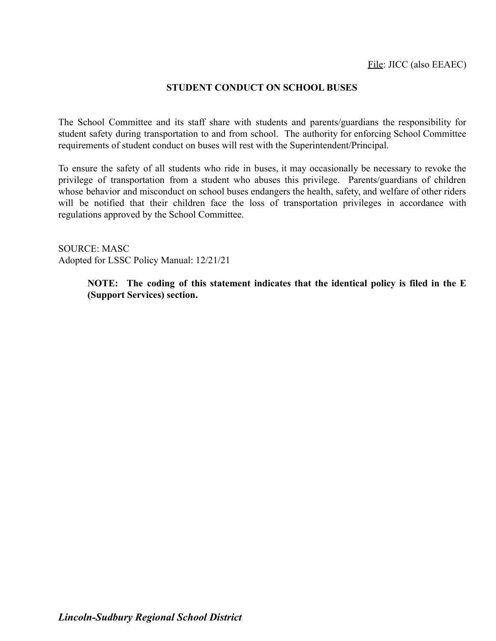### **STUDENT CONDUCT ON SCHOOL BUSES**

The School Committee and its staff share with students and parents/guardians the responsibility for student safety during transportation to and from school. The authority for enforcing School Committee requirements of student conduct on buses will rest with the Superintendent/Principal.

To ensure the safety of all students who ride in buses, it may occasionally be necessary to revoke the privilege of transportation from a student who abuses this privilege. Parents/guardians of children whose behavior and misconduct on school buses endangers the health, safety, and welfare of other riders will be notified that their children face the loss of transportation privileges in accordance with regulations approved by the School Committee.

SOURCE: MASC Adopted for LSSC Policy Manual: 12/21/21

> **NOTE: The coding of this statement indicates that the identical policy is filed in the E (Support Services) section.**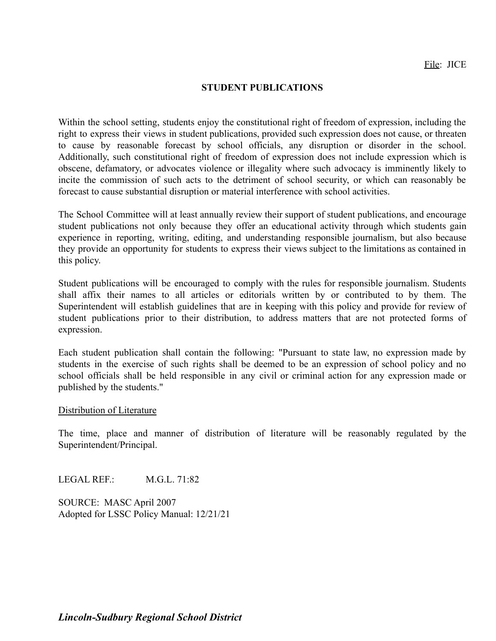#### **STUDENT PUBLICATIONS**

Within the school setting, students enjoy the constitutional right of freedom of expression, including the right to express their views in student publications, provided such expression does not cause, or threaten to cause by reasonable forecast by school officials, any disruption or disorder in the school. Additionally, such constitutional right of freedom of expression does not include expression which is obscene, defamatory, or advocates violence or illegality where such advocacy is imminently likely to incite the commission of such acts to the detriment of school security, or which can reasonably be forecast to cause substantial disruption or material interference with school activities.

The School Committee will at least annually review their support of student publications, and encourage student publications not only because they offer an educational activity through which students gain experience in reporting, writing, editing, and understanding responsible journalism, but also because they provide an opportunity for students to express their views subject to the limitations as contained in this policy.

Student publications will be encouraged to comply with the rules for responsible journalism. Students shall affix their names to all articles or editorials written by or contributed to by them. The Superintendent will establish guidelines that are in keeping with this policy and provide for review of student publications prior to their distribution, to address matters that are not protected forms of expression.

Each student publication shall contain the following: "Pursuant to state law, no expression made by students in the exercise of such rights shall be deemed to be an expression of school policy and no school officials shall be held responsible in any civil or criminal action for any expression made or published by the students."

#### Distribution of Literature

The time, place and manner of distribution of literature will be reasonably regulated by the Superintendent/Principal.

LEGAL REF.: M.G.L. 71:82

SOURCE: MASC April 2007 Adopted for LSSC Policy Manual: 12/21/21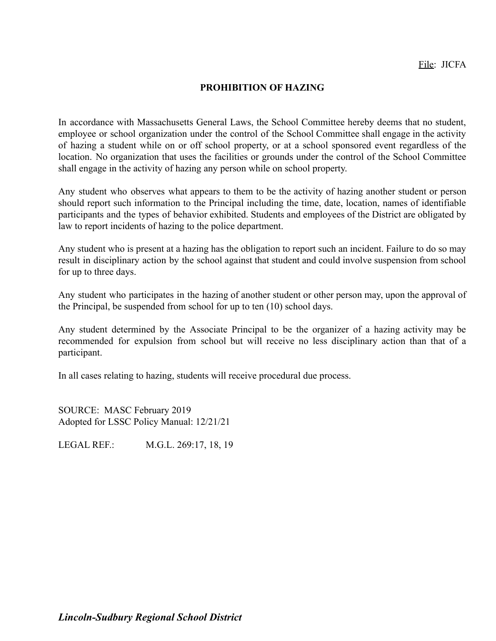## **PROHIBITION OF HAZING**

In accordance with Massachusetts General Laws, the School Committee hereby deems that no student, employee or school organization under the control of the School Committee shall engage in the activity of hazing a student while on or off school property, or at a school sponsored event regardless of the location. No organization that uses the facilities or grounds under the control of the School Committee shall engage in the activity of hazing any person while on school property.

Any student who observes what appears to them to be the activity of hazing another student or person should report such information to the Principal including the time, date, location, names of identifiable participants and the types of behavior exhibited. Students and employees of the District are obligated by law to report incidents of hazing to the police department.

Any student who is present at a hazing has the obligation to report such an incident. Failure to do so may result in disciplinary action by the school against that student and could involve suspension from school for up to three days.

Any student who participates in the hazing of another student or other person may, upon the approval of the Principal, be suspended from school for up to ten (10) school days.

Any student determined by the Associate Principal to be the organizer of a hazing activity may be recommended for expulsion from school but will receive no less disciplinary action than that of a participant.

In all cases relating to hazing, students will receive procedural due process.

SOURCE: MASC February 2019 Adopted for LSSC Policy Manual: 12/21/21

LEGAL REF.: M.G.L. 269:17, 18, 19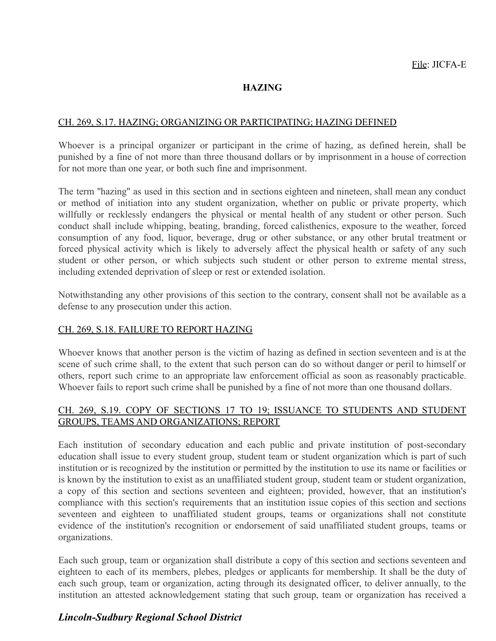## **HAZING**

### CH. 269, S.17. HAZING; ORGANIZING OR PARTICIPATING; HAZING DEFINED

Whoever is a principal organizer or participant in the crime of hazing, as defined herein, shall be punished by a fine of not more than three thousand dollars or by imprisonment in a house of correction for not more than one year, or both such fine and imprisonment.

The term ''hazing'' as used in this section and in sections eighteen and nineteen, shall mean any conduct or method of initiation into any student organization, whether on public or private property, which willfully or recklessly endangers the physical or mental health of any student or other person. Such conduct shall include whipping, beating, branding, forced calisthenics, exposure to the weather, forced consumption of any food, liquor, beverage, drug or other substance, or any other brutal treatment or forced physical activity which is likely to adversely affect the physical health or safety of any such student or other person, or which subjects such student or other person to extreme mental stress, including extended deprivation of sleep or rest or extended isolation.

Notwithstanding any other provisions of this section to the contrary, consent shall not be available as a defense to any prosecution under this action.

## CH. 269, S.18. FAILURE TO REPORT HAZING

Whoever knows that another person is the victim of hazing as defined in section seventeen and is at the scene of such crime shall, to the extent that such person can do so without danger or peril to himself or others, report such crime to an appropriate law enforcement official as soon as reasonably practicable. Whoever fails to report such crime shall be punished by a fine of not more than one thousand dollars.

## CH. 269, S.19. COPY OF SECTIONS 17 TO 19; ISSUANCE TO STUDENTS AND STUDENT GROUPS, TEAMS AND ORGANIZATIONS; REPORT

Each institution of secondary education and each public and private institution of post-secondary education shall issue to every student group, student team or student organization which is part of such institution or is recognized by the institution or permitted by the institution to use its name or facilities or is known by the institution to exist as an unaffiliated student group, student team or student organization, a copy of this section and sections seventeen and eighteen; provided, however, that an institution's compliance with this section's requirements that an institution issue copies of this section and sections seventeen and eighteen to unaffiliated student groups, teams or organizations shall not constitute evidence of the institution's recognition or endorsement of said unaffiliated student groups, teams or organizations.

Each such group, team or organization shall distribute a copy of this section and sections seventeen and eighteen to each of its members, plebes, pledges or applicants for membership. It shall be the duty of each such group, team or organization, acting through its designated officer, to deliver annually, to the institution an attested acknowledgement stating that such group, team or organization has received a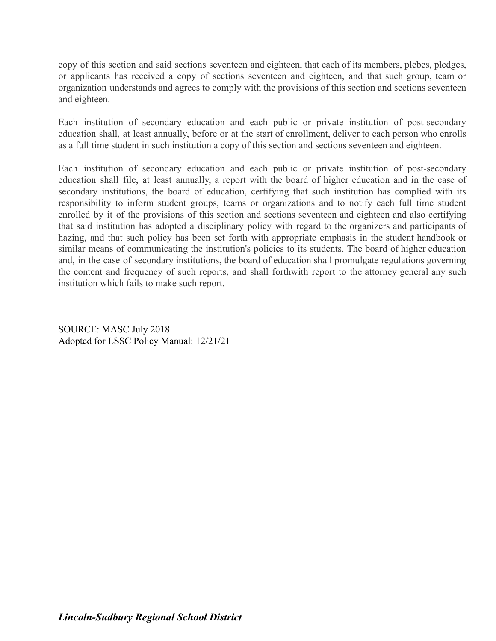copy of this section and said sections seventeen and eighteen, that each of its members, plebes, pledges, or applicants has received a copy of sections seventeen and eighteen, and that such group, team or organization understands and agrees to comply with the provisions of this section and sections seventeen and eighteen.

Each institution of secondary education and each public or private institution of post-secondary education shall, at least annually, before or at the start of enrollment, deliver to each person who enrolls as a full time student in such institution a copy of this section and sections seventeen and eighteen.

Each institution of secondary education and each public or private institution of post-secondary education shall file, at least annually, a report with the board of higher education and in the case of secondary institutions, the board of education, certifying that such institution has complied with its responsibility to inform student groups, teams or organizations and to notify each full time student enrolled by it of the provisions of this section and sections seventeen and eighteen and also certifying that said institution has adopted a disciplinary policy with regard to the organizers and participants of hazing, and that such policy has been set forth with appropriate emphasis in the student handbook or similar means of communicating the institution's policies to its students. The board of higher education and, in the case of secondary institutions, the board of education shall promulgate regulations governing the content and frequency of such reports, and shall forthwith report to the attorney general any such institution which fails to make such report.

SOURCE: MASC July 2018 Adopted for LSSC Policy Manual: 12/21/21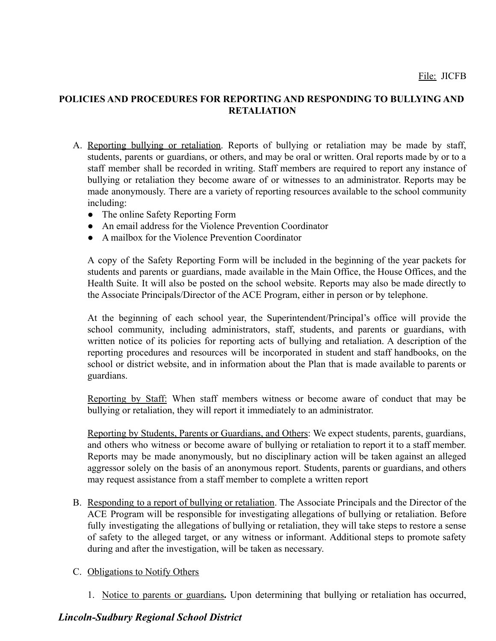## **POLICIES AND PROCEDURES FOR REPORTING AND RESPONDING TO BULLYING AND RETALIATION**

- A. Reporting bullying or retaliation. Reports of bullying or retaliation may be made by staff, students, parents or guardians, or others, and may be oral or written. Oral reports made by or to a staff member shall be recorded in writing. Staff members are required to report any instance of bullying or retaliation they become aware of or witnesses to an administrator. Reports may be made anonymously. There are a variety of reporting resources available to the school community including:
	- The online Safety Reporting Form
	- An email address for the Violence Prevention Coordinator
	- A mailbox for the Violence Prevention Coordinator

A copy of the Safety Reporting Form will be included in the beginning of the year packets for students and parents or guardians, made available in the Main Office, the House Offices, and the Health Suite. It will also be posted on the school website. Reports may also be made directly to the Associate Principals/Director of the ACE Program, either in person or by telephone.

At the beginning of each school year, the Superintendent/Principal's office will provide the school community, including administrators, staff, students, and parents or guardians, with written notice of its policies for reporting acts of bullying and retaliation. A description of the reporting procedures and resources will be incorporated in student and staff handbooks, on the school or district website, and in information about the Plan that is made available to parents or guardians.

Reporting by Staff: When staff members witness or become aware of conduct that may be bullying or retaliation, they will report it immediately to an administrator.

Reporting by Students, Parents or Guardians, and Others: We expect students, parents, guardians, and others who witness or become aware of bullying or retaliation to report it to a staff member. Reports may be made anonymously, but no disciplinary action will be taken against an alleged aggressor solely on the basis of an anonymous report. Students, parents or guardians, and others may request assistance from a staff member to complete a written report

B. Responding to a report of bullying or retaliation. The Associate Principals and the Director of the ACE Program will be responsible for investigating allegations of bullying or retaliation. Before fully investigating the allegations of bullying or retaliation, they will take steps to restore a sense of safety to the alleged target, or any witness or informant. Additional steps to promote safety during and after the investigation, will be taken as necessary.

## C. Obligations to Notify Others

1. Notice to parents or guardians**.** Upon determining that bullying or retaliation has occurred,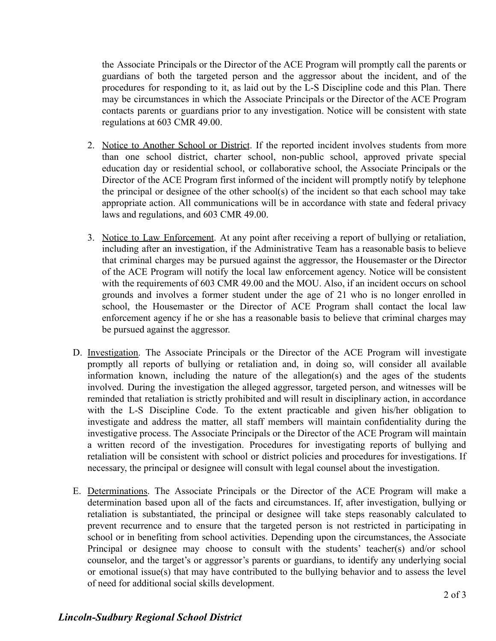the Associate Principals or the Director of the ACE Program will promptly call the parents or guardians of both the targeted person and the aggressor about the incident, and of the procedures for responding to it, as laid out by the L-S Discipline code and this Plan. There may be circumstances in which the Associate Principals or the Director of the ACE Program contacts parents or guardians prior to any investigation. Notice will be consistent with state regulations at 603 CMR 49.00.

- 2. Notice to Another School or District. If the reported incident involves students from more than one school district, charter school, non-public school, approved private special education day or residential school, or collaborative school, the Associate Principals or the Director of the ACE Program first informed of the incident will promptly notify by telephone the principal or designee of the other school(s) of the incident so that each school may take appropriate action. All communications will be in accordance with state and federal privacy laws and regulations, and 603 CMR 49.00.
- 3. Notice to Law Enforcement. At any point after receiving a report of bullying or retaliation, including after an investigation, if the Administrative Team has a reasonable basis to believe that criminal charges may be pursued against the aggressor, the Housemaster or the Director of the ACE Program will notify the local law enforcement agency. Notice will be consistent with the requirements of 603 CMR 49.00 and the MOU. Also, if an incident occurs on school grounds and involves a former student under the age of 21 who is no longer enrolled in school, the Housemaster or the Director of ACE Program shall contact the local law enforcement agency if he or she has a reasonable basis to believe that criminal charges may be pursued against the aggressor.
- D. Investigation. The Associate Principals or the Director of the ACE Program will investigate promptly all reports of bullying or retaliation and, in doing so, will consider all available information known, including the nature of the allegation(s) and the ages of the students involved. During the investigation the alleged aggressor, targeted person, and witnesses will be reminded that retaliation is strictly prohibited and will result in disciplinary action, in accordance with the L-S Discipline Code. To the extent practicable and given his/her obligation to investigate and address the matter, all staff members will maintain confidentiality during the investigative process. The Associate Principals or the Director of the ACE Program will maintain a written record of the investigation. Procedures for investigating reports of bullying and retaliation will be consistent with school or district policies and procedures for investigations. If necessary, the principal or designee will consult with legal counsel about the investigation.
- E. Determinations. The Associate Principals or the Director of the ACE Program will make a determination based upon all of the facts and circumstances. If, after investigation, bullying or retaliation is substantiated, the principal or designee will take steps reasonably calculated to prevent recurrence and to ensure that the targeted person is not restricted in participating in school or in benefiting from school activities. Depending upon the circumstances, the Associate Principal or designee may choose to consult with the students' teacher(s) and/or school counselor, and the target's or aggressor's parents or guardians, to identify any underlying social or emotional issue(s) that may have contributed to the bullying behavior and to assess the level of need for additional social skills development.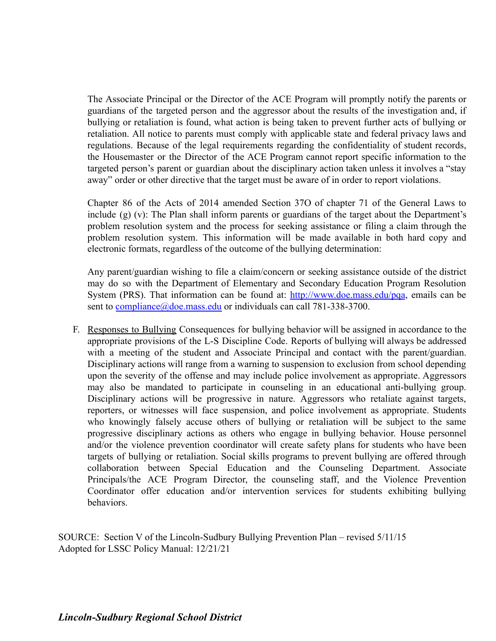The Associate Principal or the Director of the ACE Program will promptly notify the parents or guardians of the targeted person and the aggressor about the results of the investigation and, if bullying or retaliation is found, what action is being taken to prevent further acts of bullying or retaliation. All notice to parents must comply with applicable state and federal privacy laws and regulations. Because of the legal requirements regarding the confidentiality of student records, the Housemaster or the Director of the ACE Program cannot report specific information to the targeted person's parent or guardian about the disciplinary action taken unless it involves a "stay away" order or other directive that the target must be aware of in order to report violations.

Chapter 86 of the Acts of 2014 amended Section 37O of chapter 71 of the General Laws to include (g) (v): The Plan shall inform parents or guardians of the target about the Department's problem resolution system and the process for seeking assistance or filing a claim through the problem resolution system. This information will be made available in both hard copy and electronic formats, regardless of the outcome of the bullying determination:

Any parent/guardian wishing to file a claim/concern or seeking assistance outside of the district may do so with the Department of Elementary and Secondary Education Program Resolution System (PRS). That information can be found at: [http://www.doe.mass.edu/pqa,](http://www.doe.mass.edu/pqa) emails can be sent to [compliance@doe.mass.edu](mailto:compliance@doe.mass.edu) or individuals can call 781-338-3700.

F. Responses to Bullying Consequences for bullying behavior will be assigned in accordance to the appropriate provisions of the L-S Discipline Code. Reports of bullying will always be addressed with a meeting of the student and Associate Principal and contact with the parent/guardian. Disciplinary actions will range from a warning to suspension to exclusion from school depending upon the severity of the offense and may include police involvement as appropriate. Aggressors may also be mandated to participate in counseling in an educational anti-bullying group. Disciplinary actions will be progressive in nature. Aggressors who retaliate against targets, reporters, or witnesses will face suspension, and police involvement as appropriate. Students who knowingly falsely accuse others of bullying or retaliation will be subject to the same progressive disciplinary actions as others who engage in bullying behavior. House personnel and/or the violence prevention coordinator will create safety plans for students who have been targets of bullying or retaliation. Social skills programs to prevent bullying are offered through collaboration between Special Education and the Counseling Department. Associate Principals/the ACE Program Director, the counseling staff, and the Violence Prevention Coordinator offer education and/or intervention services for students exhibiting bullying behaviors.

SOURCE: Section V of the Lincoln-Sudbury Bullying Prevention Plan – revised 5/11/15 Adopted for LSSC Policy Manual: 12/21/21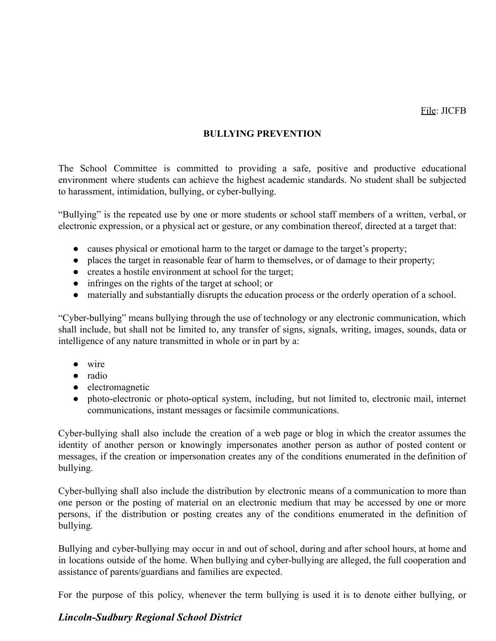## **BULLYING PREVENTION**

The School Committee is committed to providing a safe, positive and productive educational environment where students can achieve the highest academic standards. No student shall be subjected to harassment, intimidation, bullying, or cyber-bullying.

"Bullying" is the repeated use by one or more students or school staff members of a written, verbal, or electronic expression, or a physical act or gesture, or any combination thereof, directed at a target that:

- causes physical or emotional harm to the target or damage to the target's property;
- places the target in reasonable fear of harm to themselves, or of damage to their property;
- creates a hostile environment at school for the target;
- infringes on the rights of the target at school; or
- materially and substantially disrupts the education process or the orderly operation of a school.

"Cyber-bullying" means bullying through the use of technology or any electronic communication, which shall include, but shall not be limited to, any transfer of signs, signals, writing, images, sounds, data or intelligence of any nature transmitted in whole or in part by a:

- wire
- radio
- electromagnetic
- photo-electronic or photo-optical system, including, but not limited to, electronic mail, internet communications, instant messages or facsimile communications.

Cyber-bullying shall also include the creation of a web page or blog in which the creator assumes the identity of another person or knowingly impersonates another person as author of posted content or messages, if the creation or impersonation creates any of the conditions enumerated in the definition of bullying.

Cyber-bullying shall also include the distribution by electronic means of a communication to more than one person or the posting of material on an electronic medium that may be accessed by one or more persons, if the distribution or posting creates any of the conditions enumerated in the definition of bullying.

Bullying and cyber-bullying may occur in and out of school, during and after school hours, at home and in locations outside of the home. When bullying and cyber-bullying are alleged, the full cooperation and assistance of parents/guardians and families are expected.

For the purpose of this policy, whenever the term bullying is used it is to denote either bullying, or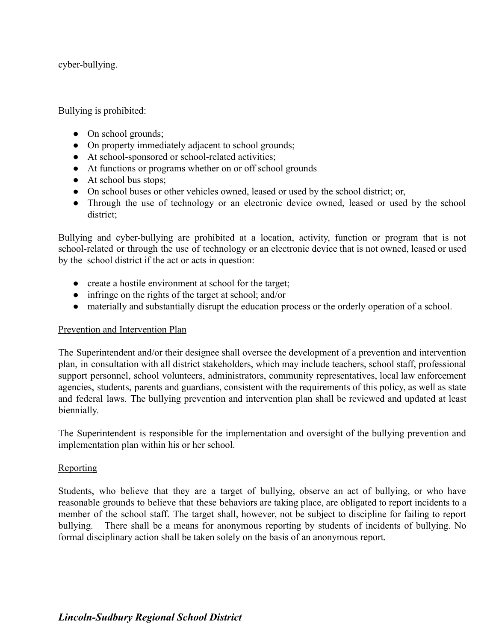cyber-bullying.

Bullying is prohibited:

- On school grounds;
- On property immediately adjacent to school grounds;
- At school-sponsored or school-related activities;
- At functions or programs whether on or off school grounds
- At school bus stops;
- On school buses or other vehicles owned, leased or used by the school district; or,
- Through the use of technology or an electronic device owned, leased or used by the school district;

Bullying and cyber-bullying are prohibited at a location, activity, function or program that is not school-related or through the use of technology or an electronic device that is not owned, leased or used by the school district if the act or acts in question:

- create a hostile environment at school for the target;
- infringe on the rights of the target at school; and/or
- materially and substantially disrupt the education process or the orderly operation of a school.

## Prevention and Intervention Plan

The Superintendent and/or their designee shall oversee the development of a prevention and intervention plan, in consultation with all district stakeholders, which may include teachers, school staff, professional support personnel, school volunteers, administrators, community representatives, local law enforcement agencies, students, parents and guardians, consistent with the requirements of this policy, as well as state and federal laws. The bullying prevention and intervention plan shall be reviewed and updated at least biennially.

The Superintendent is responsible for the implementation and oversight of the bullying prevention and implementation plan within his or her school.

### Reporting

Students, who believe that they are a target of bullying, observe an act of bullying, or who have reasonable grounds to believe that these behaviors are taking place, are obligated to report incidents to a member of the school staff. The target shall, however, not be subject to discipline for failing to report bullying. There shall be a means for anonymous reporting by students of incidents of bullying. No formal disciplinary action shall be taken solely on the basis of an anonymous report.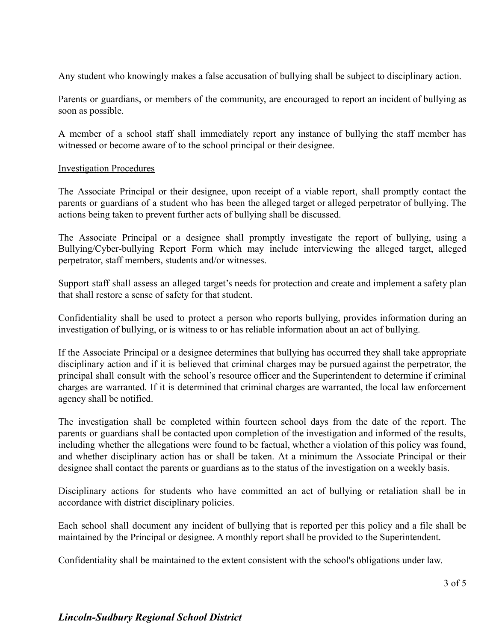Any student who knowingly makes a false accusation of bullying shall be subject to disciplinary action.

Parents or guardians, or members of the community, are encouraged to report an incident of bullying as soon as possible.

A member of a school staff shall immediately report any instance of bullying the staff member has witnessed or become aware of to the school principal or their designee.

### Investigation Procedures

The Associate Principal or their designee, upon receipt of a viable report, shall promptly contact the parents or guardians of a student who has been the alleged target or alleged perpetrator of bullying. The actions being taken to prevent further acts of bullying shall be discussed.

The Associate Principal or a designee shall promptly investigate the report of bullying, using a Bullying/Cyber-bullying Report Form which may include interviewing the alleged target, alleged perpetrator, staff members, students and/or witnesses.

Support staff shall assess an alleged target's needs for protection and create and implement a safety plan that shall restore a sense of safety for that student.

Confidentiality shall be used to protect a person who reports bullying, provides information during an investigation of bullying, or is witness to or has reliable information about an act of bullying.

If the Associate Principal or a designee determines that bullying has occurred they shall take appropriate disciplinary action and if it is believed that criminal charges may be pursued against the perpetrator, the principal shall consult with the school's resource officer and the Superintendent to determine if criminal charges are warranted. If it is determined that criminal charges are warranted, the local law enforcement agency shall be notified.

The investigation shall be completed within fourteen school days from the date of the report. The parents or guardians shall be contacted upon completion of the investigation and informed of the results, including whether the allegations were found to be factual, whether a violation of this policy was found, and whether disciplinary action has or shall be taken. At a minimum the Associate Principal or their designee shall contact the parents or guardians as to the status of the investigation on a weekly basis.

Disciplinary actions for students who have committed an act of bullying or retaliation shall be in accordance with district disciplinary policies.

Each school shall document any incident of bullying that is reported per this policy and a file shall be maintained by the Principal or designee. A monthly report shall be provided to the Superintendent.

Confidentiality shall be maintained to the extent consistent with the school's obligations under law.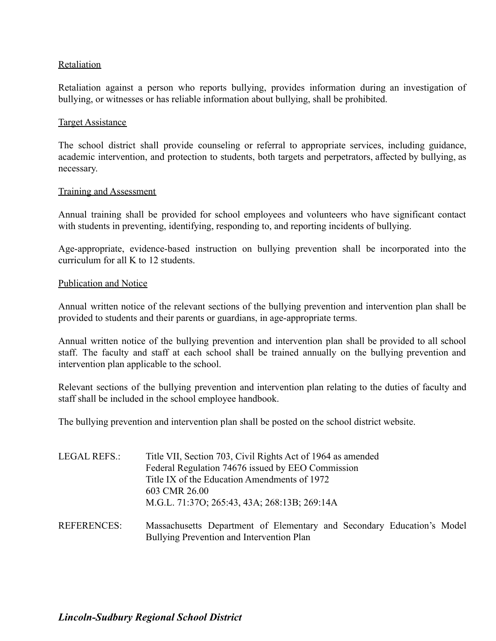### Retaliation

Retaliation against a person who reports bullying, provides information during an investigation of bullying, or witnesses or has reliable information about bullying, shall be prohibited.

#### Target Assistance

The school district shall provide counseling or referral to appropriate services, including guidance, academic intervention, and protection to students, both targets and perpetrators, affected by bullying, as necessary.

#### Training and Assessment

Annual training shall be provided for school employees and volunteers who have significant contact with students in preventing, identifying, responding to, and reporting incidents of bullying.

Age-appropriate, evidence-based instruction on bullying prevention shall be incorporated into the curriculum for all K to 12 students.

#### Publication and Notice

Annual written notice of the relevant sections of the bullying prevention and intervention plan shall be provided to students and their parents or guardians, in age-appropriate terms.

Annual written notice of the bullying prevention and intervention plan shall be provided to all school staff. The faculty and staff at each school shall be trained annually on the bullying prevention and intervention plan applicable to the school.

Relevant sections of the bullying prevention and intervention plan relating to the duties of faculty and staff shall be included in the school employee handbook.

The bullying prevention and intervention plan shall be posted on the school district website.

| LEGAL REFS.:       | Title VII, Section 703, Civil Rights Act of 1964 as amended<br>Federal Regulation 74676 issued by EEO Commission<br>Title IX of the Education Amendments of 1972 |  |  |
|--------------------|------------------------------------------------------------------------------------------------------------------------------------------------------------------|--|--|
|                    | 603 CMR 26.00<br>M.G.L. 71:37O; 265:43, 43A; 268:13B; 269:14A                                                                                                    |  |  |
| <b>REFERENCES:</b> | Massachusetts Department of Elementary and Secondary Education's Model<br>Bullying Prevention and Intervention Plan                                              |  |  |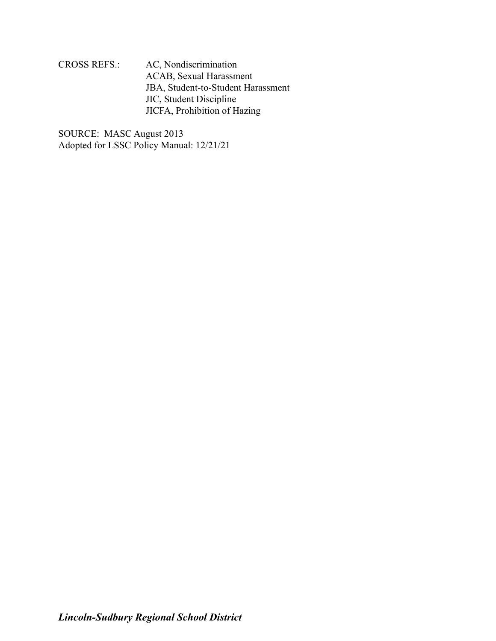CROSS REFS.: AC, Nondiscrimination ACAB, Sexual Harassment JBA, Student-to-Student Harassment JIC, Student Discipline JICFA, Prohibition of Hazing

SOURCE: MASC August 2013 Adopted for LSSC Policy Manual: 12/21/21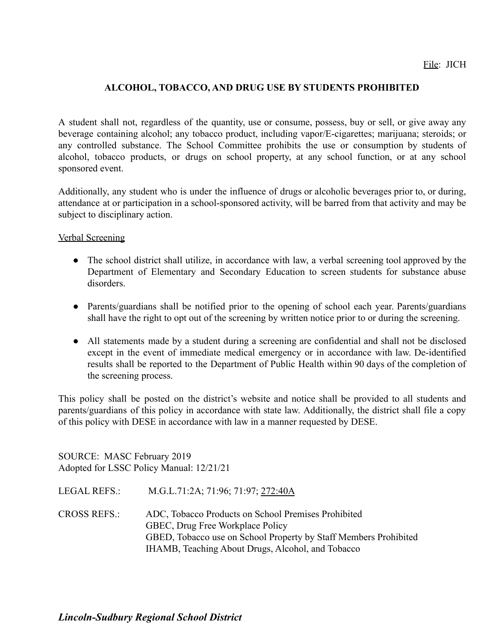## **ALCOHOL, TOBACCO, AND DRUG USE BY STUDENTS PROHIBITED**

A student shall not, regardless of the quantity, use or consume, possess, buy or sell, or give away any beverage containing alcohol; any tobacco product, including vapor/E-cigarettes; marijuana; steroids; or any controlled substance. The School Committee prohibits the use or consumption by students of alcohol, tobacco products, or drugs on school property, at any school function, or at any school sponsored event.

Additionally, any student who is under the influence of drugs or alcoholic beverages prior to, or during, attendance at or participation in a school-sponsored activity, will be barred from that activity and may be subject to disciplinary action.

### Verbal Screening

- The school district shall utilize, in accordance with law, a verbal screening tool approved by the Department of Elementary and Secondary Education to screen students for substance abuse disorders.
- Parents/guardians shall be notified prior to the opening of school each year. Parents/guardians shall have the right to opt out of the screening by written notice prior to or during the screening.
- All statements made by a student during a screening are confidential and shall not be disclosed except in the event of immediate medical emergency or in accordance with law. De-identified results shall be reported to the Department of Public Health within 90 days of the completion of the screening process.

This policy shall be posted on the district's website and notice shall be provided to all students and parents/guardians of this policy in accordance with state law. Additionally, the district shall file a copy of this policy with DESE in accordance with law in a manner requested by DESE.

SOURCE: MASC February 2019 Adopted for LSSC Policy Manual: 12/21/21

LEGAL REFS.: M.G.L.71:2A; 71:96; 71:97; [272:40A](http://www.malegislature.gov/Laws/GeneralLaws/PartI/TitleXII/Chapter272/Section40a)

CROSS REFS.: ADC, Tobacco Products on School Premises Prohibited [GBEC](http://z2policy.ctspublish.com/masc/DocViewer.jsp?docid=126&z2collection=master#JD_GBEC), Drug Free Workplace Policy GBED, Tobacco use on School Property by Staff Members Prohibited IHAMB, Teaching About Drugs, Alcohol, and Tobacco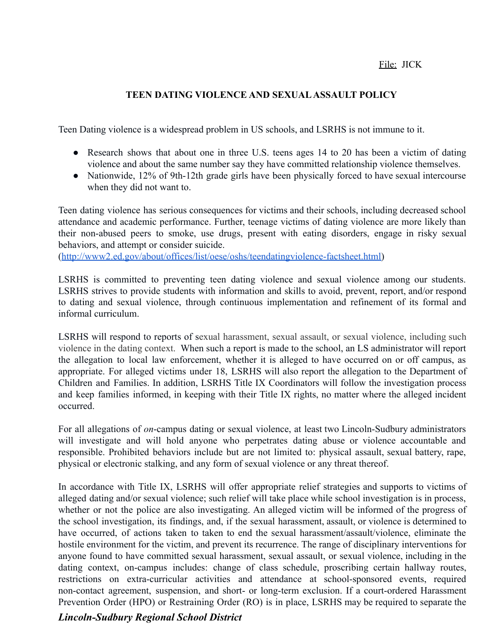## File: JICK

## **TEEN DATING VIOLENCE AND SEXUALASSAULT POLICY**

Teen Dating violence is a widespread problem in US schools, and LSRHS is not immune to it.

- Research shows that about one in three U.S. teens ages 14 to 20 has been a victim of dating violence and about the same number say they have committed relationship violence themselves.
- Nationwide, 12% of 9th-12th grade girls have been physically forced to have sexual intercourse when they did not want to.

Teen dating violence has serious consequences for victims and their schools, including decreased school attendance and academic performance. Further, teenage victims of dating violence are more likely than their non-abused peers to smoke, use drugs, present with eating disorders, engage in risky sexual behaviors, and attempt or consider suicide.

([http://www2.ed.gov/about/offices/list/oese/oshs/teendatingviolence-factsheet.html\)](http://www2.ed.gov/about/offices/list/oese/oshs/teendatingviolence-factsheet.html)

LSRHS is committed to preventing teen dating violence and sexual violence among our students. LSRHS strives to provide students with information and skills to avoid, prevent, report, and/or respond to dating and sexual violence, through continuous implementation and refinement of its formal and informal curriculum.

LSRHS will respond to reports of sexual harassment, sexual assault, or sexual violence, including such violence in the dating context. When such a report is made to the school, an LS administrator will report the allegation to local law enforcement, whether it is alleged to have occurred on or off campus, as appropriate. For alleged victims under 18, LSRHS will also report the allegation to the Department of Children and Families. In addition, LSRHS Title IX Coordinators will follow the investigation process and keep families informed, in keeping with their Title IX rights, no matter where the alleged incident occurred.

For all allegations of *on*-campus dating or sexual violence, at least two Lincoln-Sudbury administrators will investigate and will hold anyone who perpetrates dating abuse or violence accountable and responsible. Prohibited behaviors include but are not limited to: physical assault, sexual battery, rape, physical or electronic stalking, and any form of sexual violence or any threat thereof.

In accordance with Title IX, LSRHS will offer appropriate relief strategies and supports to victims of alleged dating and/or sexual violence; such relief will take place while school investigation is in process, whether or not the police are also investigating. An alleged victim will be informed of the progress of the school investigation, its findings, and, if the sexual harassment, assault, or violence is determined to have occurred, of actions taken to taken to end the sexual harassment/assault/violence, eliminate the hostile environment for the victim, and prevent its recurrence. The range of disciplinary interventions for anyone found to have committed sexual harassment, sexual assault, or sexual violence, including in the dating context, on-campus includes: change of class schedule, proscribing certain hallway routes, restrictions on extra-curricular activities and attendance at school-sponsored events, required non-contact agreement, suspension, and short- or long-term exclusion. If a court-ordered Harassment Prevention Order (HPO) or Restraining Order (RO) is in place, LSRHS may be required to separate the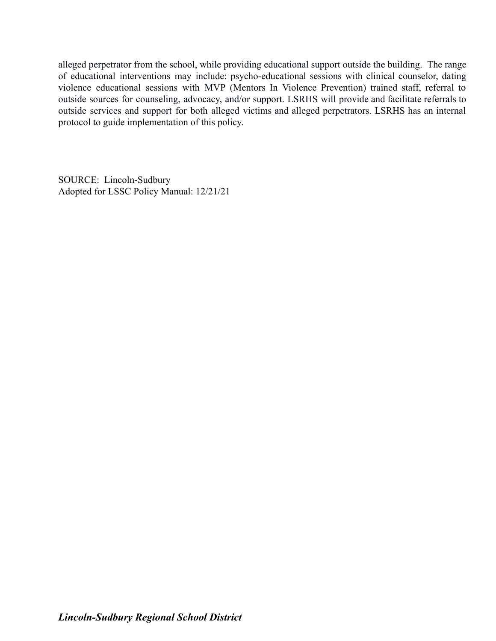alleged perpetrator from the school, while providing educational support outside the building. The range of educational interventions may include: psycho-educational sessions with clinical counselor, dating violence educational sessions with MVP (Mentors In Violence Prevention) trained staff, referral to outside sources for counseling, advocacy, and/or support. LSRHS will provide and facilitate referrals to outside services and support for both alleged victims and alleged perpetrators. LSRHS has an internal protocol to guide implementation of this policy.

SOURCE: Lincoln-Sudbury Adopted for LSSC Policy Manual: 12/21/21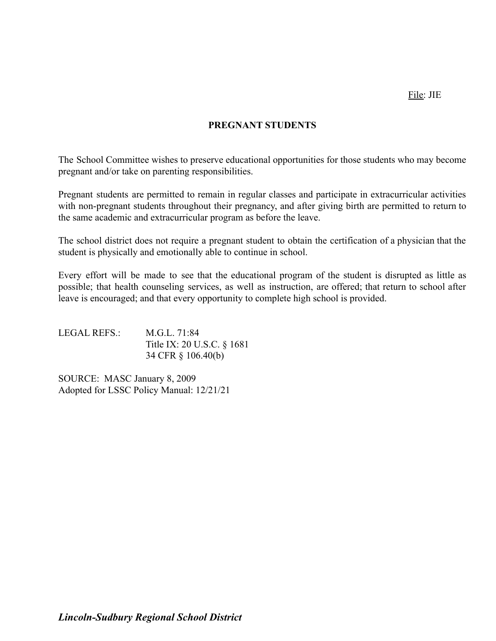File: JIE

## **PREGNANT STUDENTS**

The School Committee wishes to preserve educational opportunities for those students who may become pregnant and/or take on parenting responsibilities.

Pregnant students are permitted to remain in regular classes and participate in extracurricular activities with non-pregnant students throughout their pregnancy, and after giving birth are permitted to return to the same academic and extracurricular program as before the leave.

The school district does not require a pregnant student to obtain the certification of a physician that the student is physically and emotionally able to continue in school.

Every effort will be made to see that the educational program of the student is disrupted as little as possible; that health counseling services, as well as instruction, are offered; that return to school after leave is encouraged; and that every opportunity to complete high school is provided.

LEGAL REFS.: M.G.L. 71:84 Title IX: 20 U.S.C. § 1681 34 CFR § 106.40(b)

SOURCE: MASC January 8, 2009 Adopted for LSSC Policy Manual: 12/21/21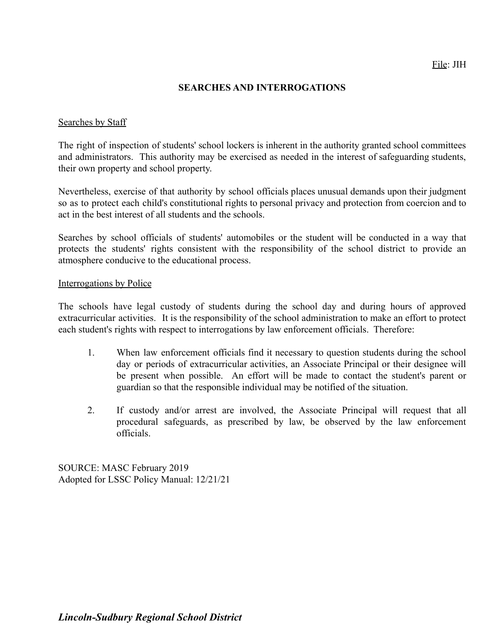### **SEARCHES AND INTERROGATIONS**

### Searches by Staff

The right of inspection of students' school lockers is inherent in the authority granted school committees and administrators. This authority may be exercised as needed in the interest of safeguarding students, their own property and school property.

Nevertheless, exercise of that authority by school officials places unusual demands upon their judgment so as to protect each child's constitutional rights to personal privacy and protection from coercion and to act in the best interest of all students and the schools.

Searches by school officials of students' automobiles or the student will be conducted in a way that protects the students' rights consistent with the responsibility of the school district to provide an atmosphere conducive to the educational process.

#### Interrogations by Police

The schools have legal custody of students during the school day and during hours of approved extracurricular activities. It is the responsibility of the school administration to make an effort to protect each student's rights with respect to interrogations by law enforcement officials. Therefore:

- 1. When law enforcement officials find it necessary to question students during the school day or periods of extracurricular activities, an Associate Principal or their designee will be present when possible. An effort will be made to contact the student's parent or guardian so that the responsible individual may be notified of the situation.
- 2. If custody and/or arrest are involved, the Associate Principal will request that all procedural safeguards, as prescribed by law, be observed by the law enforcement officials.

SOURCE: MASC February 2019 Adopted for LSSC Policy Manual: 12/21/21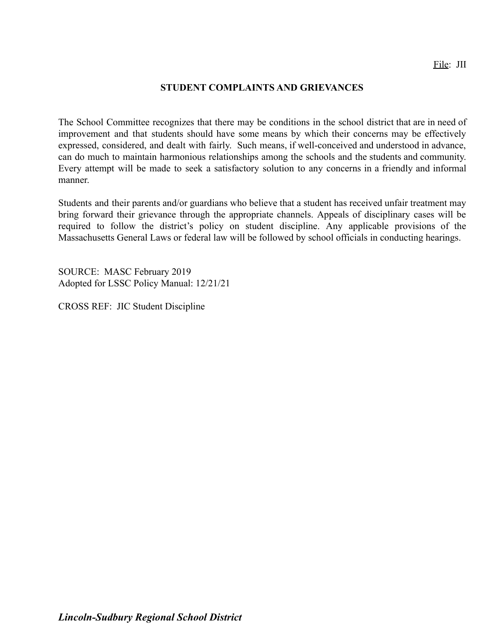### **STUDENT COMPLAINTS AND GRIEVANCES**

The School Committee recognizes that there may be conditions in the school district that are in need of improvement and that students should have some means by which their concerns may be effectively expressed, considered, and dealt with fairly. Such means, if well-conceived and understood in advance, can do much to maintain harmonious relationships among the schools and the students and community. Every attempt will be made to seek a satisfactory solution to any concerns in a friendly and informal manner.

Students and their parents and/or guardians who believe that a student has received unfair treatment may bring forward their grievance through the appropriate channels. Appeals of disciplinary cases will be required to follow the district's policy on student discipline. Any applicable provisions of the Massachusetts General Laws or federal law will be followed by school officials in conducting hearings.

SOURCE: MASC February 2019 Adopted for LSSC Policy Manual: 12/21/21

CROSS REF: JIC Student Discipline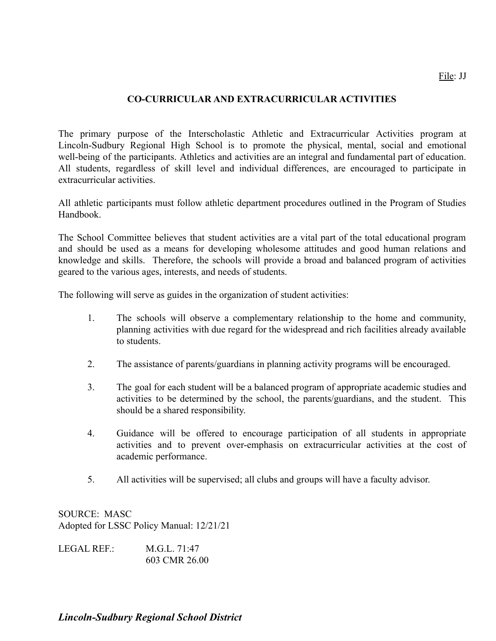## **CO-CURRICULAR AND EXTRACURRICULAR ACTIVITIES**

The primary purpose of the Interscholastic Athletic and Extracurricular Activities program at Lincoln-Sudbury Regional High School is to promote the physical, mental, social and emotional well-being of the participants. Athletics and activities are an integral and fundamental part of education. All students, regardless of skill level and individual differences, are encouraged to participate in extracurricular activities.

All athletic participants must follow athletic department procedures outlined in the Program of Studies Handbook.

The School Committee believes that student activities are a vital part of the total educational program and should be used as a means for developing wholesome attitudes and good human relations and knowledge and skills. Therefore, the schools will provide a broad and balanced program of activities geared to the various ages, interests, and needs of students.

The following will serve as guides in the organization of student activities:

- 1. The schools will observe a complementary relationship to the home and community, planning activities with due regard for the widespread and rich facilities already available to students.
- 2. The assistance of parents/guardians in planning activity programs will be encouraged.
- 3. The goal for each student will be a balanced program of appropriate academic studies and activities to be determined by the school, the parents/guardians, and the student. This should be a shared responsibility.
- 4. Guidance will be offered to encourage participation of all students in appropriate activities and to prevent over-emphasis on extracurricular activities at the cost of academic performance.
- 5. All activities will be supervised; all clubs and groups will have a faculty advisor.

SOURCE: MASC Adopted for LSSC Policy Manual: 12/21/21

| LEGAL REF.: | M.G.L. 71:47  |
|-------------|---------------|
|             | 603 CMR 26.00 |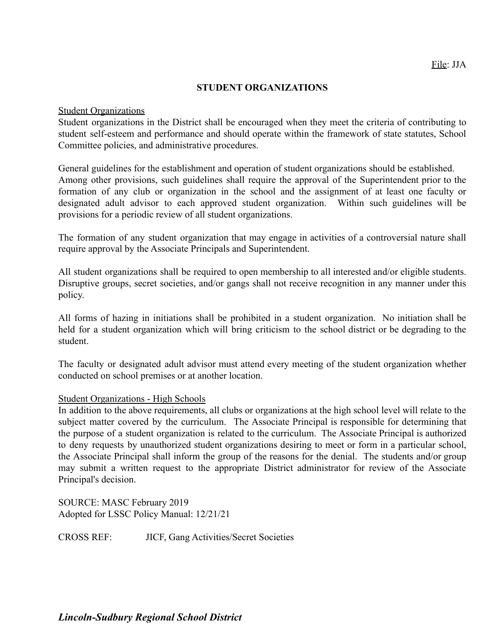### **STUDENT ORGANIZATIONS**

#### Student Organizations

Student organizations in the District shall be encouraged when they meet the criteria of contributing to student self-esteem and performance and should operate within the framework of state statutes, School Committee policies, and administrative procedures.

General guidelines for the establishment and operation of student organizations should be established. Among other provisions, such guidelines shall require the approval of the Superintendent prior to the formation of any club or organization in the school and the assignment of at least one faculty or designated adult advisor to each approved student organization. Within such guidelines will be provisions for a periodic review of all student organizations.

The formation of any student organization that may engage in activities of a controversial nature shall require approval by the Associate Principals and Superintendent.

All student organizations shall be required to open membership to all interested and/or eligible students. Disruptive groups, secret societies, and/or gangs shall not receive recognition in any manner under this policy.

All forms of hazing in initiations shall be prohibited in a student organization. No initiation shall be held for a student organization which will bring criticism to the school district or be degrading to the student.

The faculty or designated adult advisor must attend every meeting of the student organization whether conducted on school premises or at another location.

### Student Organizations - High Schools

In addition to the above requirements, all clubs or organizations at the high school level will relate to the subject matter covered by the curriculum. The Associate Principal is responsible for determining that the purpose of a student organization is related to the curriculum. The Associate Principal is authorized to deny requests by unauthorized student organizations desiring to meet or form in a particular school, the Associate Principal shall inform the group of the reasons for the denial. The students and/or group may submit a written request to the appropriate District administrator for review of the Associate Principal's decision.

SOURCE: MASC February 2019 Adopted for LSSC Policy Manual: 12/21/21

CROSS REF: JICF, Gang Activities/Secret Societies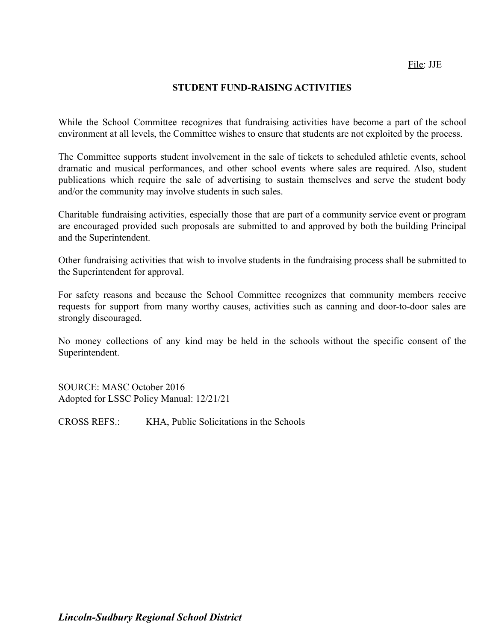File: JJE

### **STUDENT FUND-RAISING ACTIVITIES**

While the School Committee recognizes that fundraising activities have become a part of the school environment at all levels, the Committee wishes to ensure that students are not exploited by the process.

The Committee supports student involvement in the sale of tickets to scheduled athletic events, school dramatic and musical performances, and other school events where sales are required. Also, student publications which require the sale of advertising to sustain themselves and serve the student body and/or the community may involve students in such sales.

Charitable fundraising activities, especially those that are part of a community service event or program are encouraged provided such proposals are submitted to and approved by both the building Principal and the Superintendent.

Other fundraising activities that wish to involve students in the fundraising process shall be submitted to the Superintendent for approval.

For safety reasons and because the School Committee recognizes that community members receive requests for support from many worthy causes, activities such as canning and door-to-door sales are strongly discouraged.

No money collections of any kind may be held in the schools without the specific consent of the Superintendent.

SOURCE: MASC October 2016 Adopted for LSSC Policy Manual: 12/21/21

CROSS REFS.: KHA, Public Solicitations in the Schools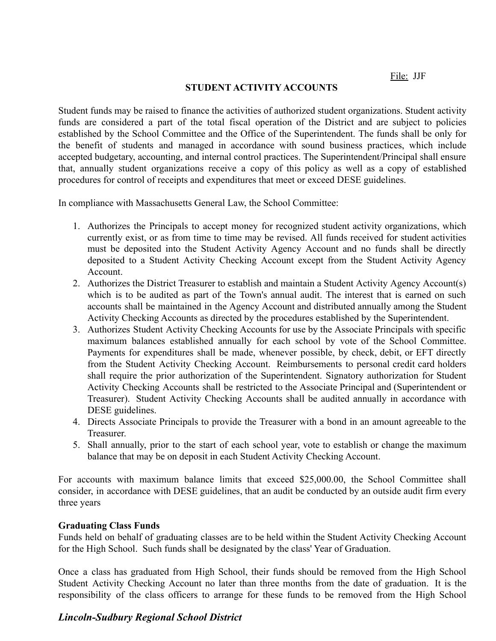File: JJF

### **STUDENT ACTIVITY ACCOUNTS**

Student funds may be raised to finance the activities of authorized student organizations. Student activity funds are considered a part of the total fiscal operation of the District and are subject to policies established by the School Committee and the Office of the Superintendent. The funds shall be only for the benefit of students and managed in accordance with sound business practices, which include accepted budgetary, accounting, and internal control practices. The Superintendent/Principal shall ensure that, annually student organizations receive a copy of this policy as well as a copy of established procedures for control of receipts and expenditures that meet or exceed DESE guidelines.

In compliance with Massachusetts General Law, the School Committee:

- 1. Authorizes the Principals to accept money for recognized student activity organizations, which currently exist, or as from time to time may be revised. All funds received for student activities must be deposited into the Student Activity Agency Account and no funds shall be directly deposited to a Student Activity Checking Account except from the Student Activity Agency Account.
- 2. Authorizes the District Treasurer to establish and maintain a Student Activity Agency Account(s) which is to be audited as part of the Town's annual audit. The interest that is earned on such accounts shall be maintained in the Agency Account and distributed annually among the Student Activity Checking Accounts as directed by the procedures established by the Superintendent.
- 3. Authorizes Student Activity Checking Accounts for use by the Associate Principals with specific maximum balances established annually for each school by vote of the School Committee. Payments for expenditures shall be made, whenever possible, by check, debit, or EFT directly from the Student Activity Checking Account. Reimbursements to personal credit card holders shall require the prior authorization of the Superintendent. Signatory authorization for Student Activity Checking Accounts shall be restricted to the Associate Principal and (Superintendent or Treasurer). Student Activity Checking Accounts shall be audited annually in accordance with DESE guidelines.
- 4. Directs Associate Principals to provide the Treasurer with a bond in an amount agreeable to the **Treasurer**
- 5. Shall annually, prior to the start of each school year, vote to establish or change the maximum balance that may be on deposit in each Student Activity Checking Account.

For accounts with maximum balance limits that exceed \$25,000.00, the School Committee shall consider, in accordance with DESE guidelines, that an audit be conducted by an outside audit firm every three years

## **Graduating Class Funds**

Funds held on behalf of graduating classes are to be held within the Student Activity Checking Account for the High School. Such funds shall be designated by the class' Year of Graduation.

Once a class has graduated from High School, their funds should be removed from the High School Student Activity Checking Account no later than three months from the date of graduation. It is the responsibility of the class officers to arrange for these funds to be removed from the High School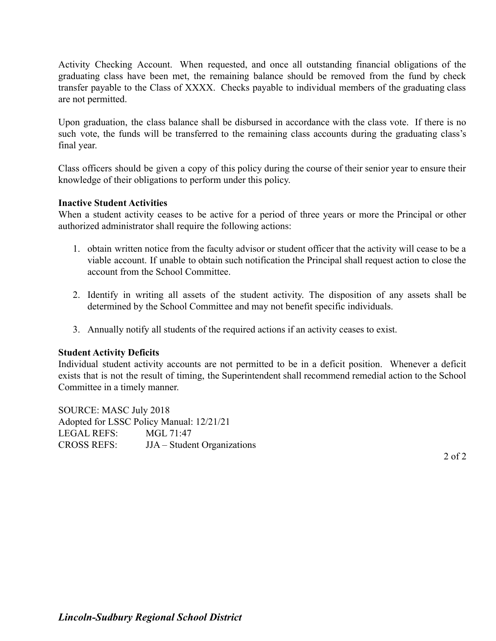Activity Checking Account. When requested, and once all outstanding financial obligations of the graduating class have been met, the remaining balance should be removed from the fund by check transfer payable to the Class of XXXX. Checks payable to individual members of the graduating class are not permitted.

Upon graduation, the class balance shall be disbursed in accordance with the class vote. If there is no such vote, the funds will be transferred to the remaining class accounts during the graduating class's final year.

Class officers should be given a copy of this policy during the course of their senior year to ensure their knowledge of their obligations to perform under this policy.

### **Inactive Student Activities**

When a student activity ceases to be active for a period of three years or more the Principal or other authorized administrator shall require the following actions:

- 1. obtain written notice from the faculty advisor or student officer that the activity will cease to be a viable account. If unable to obtain such notification the Principal shall request action to close the account from the School Committee.
- 2. Identify in writing all assets of the student activity. The disposition of any assets shall be determined by the School Committee and may not benefit specific individuals.
- 3. Annually notify all students of the required actions if an activity ceases to exist.

## **Student Activity Deficits**

Individual student activity accounts are not permitted to be in a deficit position. Whenever a deficit exists that is not the result of timing, the Superintendent shall recommend remedial action to the School Committee in a timely manner.

SOURCE: MASC July 2018 Adopted for LSSC Policy Manual: 12/21/21 LEGAL REFS: MGL 71:47 CROSS REFS: JJA – Student Organizations

2 of 2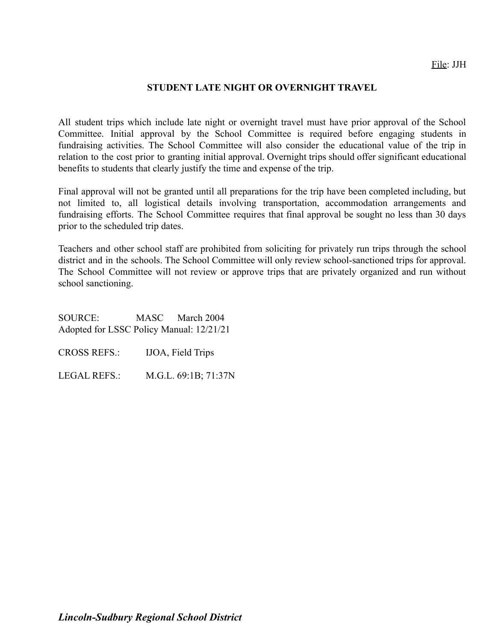### **STUDENT LATE NIGHT OR OVERNIGHT TRAVEL**

All student trips which include late night or overnight travel must have prior approval of the School Committee. Initial approval by the School Committee is required before engaging students in fundraising activities. The School Committee will also consider the educational value of the trip in relation to the cost prior to granting initial approval. Overnight trips should offer significant educational benefits to students that clearly justify the time and expense of the trip.

Final approval will not be granted until all preparations for the trip have been completed including, but not limited to, all logistical details involving transportation, accommodation arrangements and fundraising efforts. The School Committee requires that final approval be sought no less than 30 days prior to the scheduled trip dates.

Teachers and other school staff are prohibited from soliciting for privately run trips through the school district and in the schools. The School Committee will only review school-sanctioned trips for approval. The School Committee will not review or approve trips that are privately organized and run without school sanctioning.

SOURCE: MASC March 2004 Adopted for LSSC Policy Manual: 12/21/21

CROSS REFS.: IJOA, Field Trips

LEGAL REFS.: M.G.L. 69:1B; 71:37N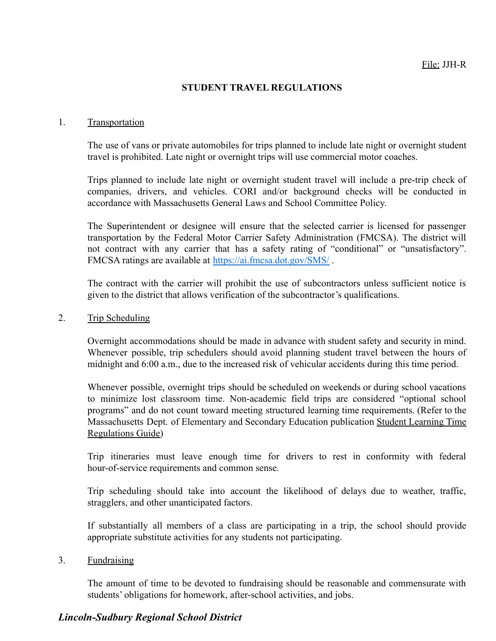### **STUDENT TRAVEL REGULATIONS**

#### 1. Transportation

The use of vans or private automobiles for trips planned to include late night or overnight student travel is prohibited. Late night or overnight trips will use commercial motor coaches.

Trips planned to include late night or overnight student travel will include a pre-trip check of companies, drivers, and vehicles. CORI and/or background checks will be conducted in accordance with Massachusetts General Laws and School Committee Policy.

The Superintendent or designee will ensure that the selected carrier is licensed for passenger transportation by the Federal Motor Carrier Safety Administration (FMCSA). The district will not contract with any carrier that has a safety rating of "conditional" or "unsatisfactory". FMCSA ratings are available at <https://ai.fmcsa.dot.gov/SMS/> .

The contract with the carrier will prohibit the use of subcontractors unless sufficient notice is given to the district that allows verification of the subcontractor's qualifications.

#### 2. Trip Scheduling

Overnight accommodations should be made in advance with student safety and security in mind. Whenever possible, trip schedulers should avoid planning student travel between the hours of midnight and 6:00 a.m., due to the increased risk of vehicular accidents during this time period.

Whenever possible, overnight trips should be scheduled on weekends or during school vacations to minimize lost classroom time. Non-academic field trips are considered "optional school programs" and do not count toward meeting structured learning time requirements. (Refer to the Massachusetts Dept. of Elementary and Secondary Education publication Student Learning Time Regulations Guide)

Trip itineraries must leave enough time for drivers to rest in conformity with federal hour-of-service requirements and common sense.

Trip scheduling should take into account the likelihood of delays due to weather, traffic, stragglers, and other unanticipated factors.

If substantially all members of a class are participating in a trip, the school should provide appropriate substitute activities for any students not participating.

### 3. Fundraising

The amount of time to be devoted to fundraising should be reasonable and commensurate with students' obligations for homework, after-school activities, and jobs.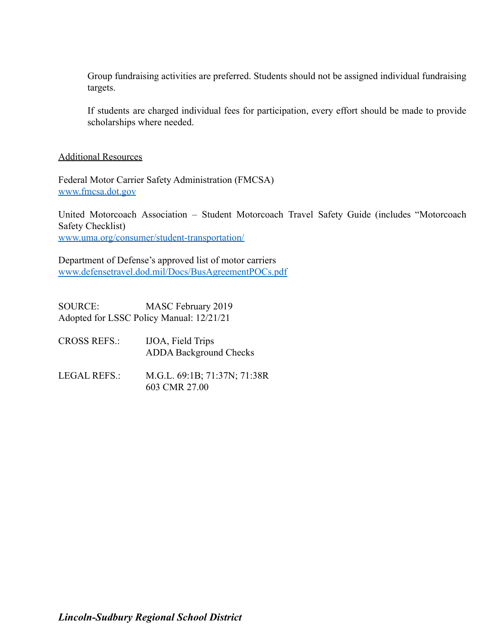Group fundraising activities are preferred. Students should not be assigned individual fundraising targets.

If students are charged individual fees for participation, every effort should be made to provide scholarships where needed.

Additional Resources

Federal Motor Carrier Safety Administration (FMCSA) [www.fmcsa.dot.gov](http://www.fmcsa.dot.gov)

United Motorcoach Association – Student Motorcoach Travel Safety Guide (includes "Motorcoach Safety Checklist) [www.uma.org/consumer/student-transportation/](http://www.uma.org/consumer/student-transportation/)

Department of Defense's approved list of motor carriers [www.defensetravel.dod.mil/Docs/BusAgreementPOCs.pdf](http://www.defensetravel.dod.mil/Docs/BusAgreementPOCs.pdf)

SOURCE: MASC February 2019 Adopted for LSSC Policy Manual: 12/21/21

- CROSS REFS.: IJOA, Field Trips ADDA Background Checks
- LEGAL REFS.: M.G.L. 69:1B; 71:37N; 71:38R 603 CMR 27.00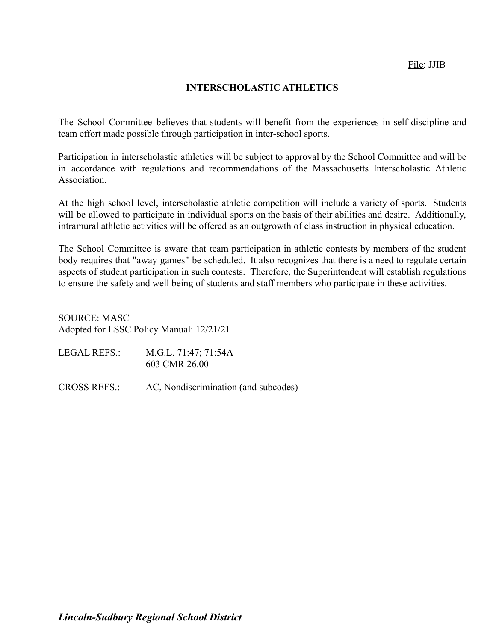### **INTERSCHOLASTIC ATHLETICS**

The School Committee believes that students will benefit from the experiences in self-discipline and team effort made possible through participation in inter-school sports.

Participation in interscholastic athletics will be subject to approval by the School Committee and will be in accordance with regulations and recommendations of the Massachusetts Interscholastic Athletic **Association** 

At the high school level, interscholastic athletic competition will include a variety of sports. Students will be allowed to participate in individual sports on the basis of their abilities and desire. Additionally, intramural athletic activities will be offered as an outgrowth of class instruction in physical education.

The School Committee is aware that team participation in athletic contests by members of the student body requires that "away games" be scheduled. It also recognizes that there is a need to regulate certain aspects of student participation in such contests. Therefore, the Superintendent will establish regulations to ensure the safety and well being of students and staff members who participate in these activities.

SOURCE: MASC Adopted for LSSC Policy Manual: 12/21/21

| LEGAL REFS.: | M.G.L. 71:47; 71:54A |
|--------------|----------------------|
|              | 603 CMR 26.00        |

CROSS REFS.: AC, Nondiscrimination (and subcodes)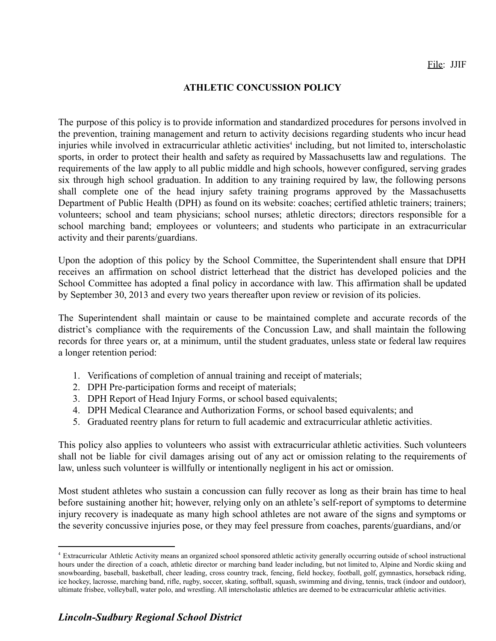### **ATHLETIC CONCUSSION POLICY**

The purpose of this policy is to provide information and standardized procedures for persons involved in the prevention, training management and return to activity decisions regarding students who incur head injuries while involved in extracurricular athletic activities<sup>4</sup> including, but not limited to, interscholastic sports, in order to protect their health and safety as required by Massachusetts law and regulations. The requirements of the law apply to all public middle and high schools, however configured, serving grades six through high school graduation. In addition to any training required by law, the following persons shall complete one of the head injury safety training programs approved by the Massachusetts Department of Public Health (DPH) as found on its website: coaches; certified athletic trainers; trainers; volunteers; school and team physicians; school nurses; athletic directors; directors responsible for a school marching band; employees or volunteers; and students who participate in an extracurricular activity and their parents/guardians.

Upon the adoption of this policy by the School Committee, the Superintendent shall ensure that DPH receives an affirmation on school district letterhead that the district has developed policies and the School Committee has adopted a final policy in accordance with law. This affirmation shall be updated by September 30, 2013 and every two years thereafter upon review or revision of its policies.

The Superintendent shall maintain or cause to be maintained complete and accurate records of the district's compliance with the requirements of the Concussion Law, and shall maintain the following records for three years or, at a minimum, until the student graduates, unless state or federal law requires a longer retention period:

- 1. Verifications of completion of annual training and receipt of materials;
- 2. DPH Pre-participation forms and receipt of materials;
- 3. DPH Report of Head Injury Forms, or school based equivalents;
- 4. DPH Medical Clearance and Authorization Forms, or school based equivalents; and
- 5. Graduated reentry plans for return to full academic and extracurricular athletic activities.

This policy also applies to volunteers who assist with extracurricular athletic activities. Such volunteers shall not be liable for civil damages arising out of any act or omission relating to the requirements of law, unless such volunteer is willfully or intentionally negligent in his act or omission.

Most student athletes who sustain a concussion can fully recover as long as their brain has time to heal before sustaining another hit; however, relying only on an athlete's self-report of symptoms to determine injury recovery is inadequate as many high school athletes are not aware of the signs and symptoms or the severity concussive injuries pose, or they may feel pressure from coaches, parents/guardians, and/or

<sup>4</sup> Extracurricular Athletic Activity means an organized school sponsored athletic activity generally occurring outside of school instructional hours under the direction of a coach, athletic director or marching band leader including, but not limited to, Alpine and Nordic skiing and snowboarding, baseball, basketball, cheer leading, cross country track, fencing, field hockey, football, golf, gymnastics, horseback riding, ice hockey, lacrosse, marching band, rifle, rugby, soccer, skating, softball, squash, swimming and diving, tennis, track (indoor and outdoor), ultimate frisbee, volleyball, water polo, and wrestling. All interscholastic athletics are deemed to be extracurricular athletic activities.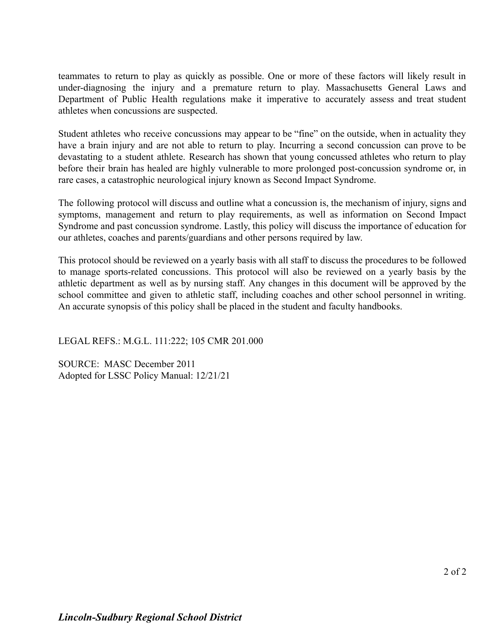teammates to return to play as quickly as possible. One or more of these factors will likely result in under-diagnosing the injury and a premature return to play. Massachusetts General Laws and Department of Public Health regulations make it imperative to accurately assess and treat student athletes when concussions are suspected.

Student athletes who receive concussions may appear to be "fine" on the outside, when in actuality they have a brain injury and are not able to return to play. Incurring a second concussion can prove to be devastating to a student athlete. Research has shown that young concussed athletes who return to play before their brain has healed are highly vulnerable to more prolonged post-concussion syndrome or, in rare cases, a catastrophic neurological injury known as Second Impact Syndrome.

The following protocol will discuss and outline what a concussion is, the mechanism of injury, signs and symptoms, management and return to play requirements, as well as information on Second Impact Syndrome and past concussion syndrome. Lastly, this policy will discuss the importance of education for our athletes, coaches and parents/guardians and other persons required by law.

This protocol should be reviewed on a yearly basis with all staff to discuss the procedures to be followed to manage sports-related concussions. This protocol will also be reviewed on a yearly basis by the athletic department as well as by nursing staff. Any changes in this document will be approved by the school committee and given to athletic staff, including coaches and other school personnel in writing. An accurate synopsis of this policy shall be placed in the student and faculty handbooks.

LEGAL REFS.: M.G.L. 111:222; 105 CMR 201.000

SOURCE: MASC December 2011 Adopted for LSSC Policy Manual: 12/21/21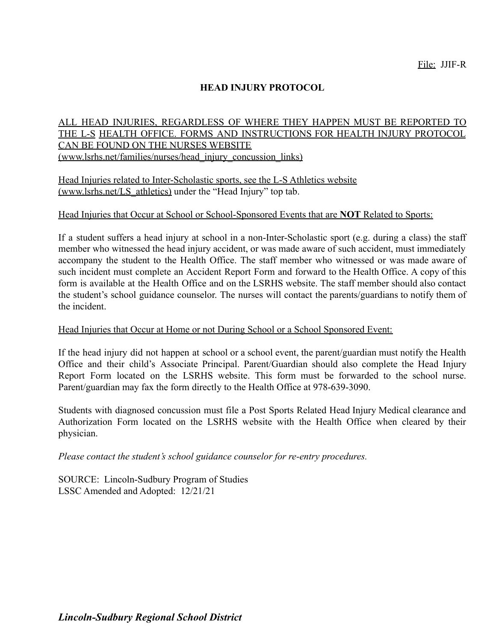## **HEAD INJURY PROTOCOL**

### ALL HEAD INJURIES, REGARDLESS OF WHERE THEY HAPPEN MUST BE REPORTED TO THE L-S HEALTH OFFICE. FORMS AND INSTRUCTIONS FOR HEALTH INJURY PROTOCOL CAN BE FOUND ON THE NURSES WEBSITE ([www.lsrhs.net/families/nurses/head\\_injury\\_concussion\\_links\)](http://www.lsrhs.net/families/nurses/head_injury_concussion_links))

Head Injuries related to Inter-Scholastic sports, see the L-S Athletics website ([www.lsrhs.net/LS\\_athletics\)](http://www.lsrhs.net/LS_athletics)) under the "Head Injury" top tab.

### Head Injuries that Occur at School or School-Sponsored Events that are **NOT** Related to Sports:

If a student suffers a head injury at school in a non-Inter-Scholastic sport (e.g. during a class) the staff member who witnessed the head injury accident, or was made aware of such accident, must immediately accompany the student to the Health Office. The staff member who witnessed or was made aware of such incident must complete an Accident Report Form and forward to the Health Office. A copy of this form is available at the Health Office and on the LSRHS website. The staff member should also contact the student's school guidance counselor. The nurses will contact the parents/guardians to notify them of the incident.

### Head Injuries that Occur at Home or not During School or a School Sponsored Event:

If the head injury did not happen at school or a school event, the parent/guardian must notify the Health Office and their child's Associate Principal. Parent/Guardian should also complete the Head Injury Report Form located on the LSRHS website. This form must be forwarded to the school nurse. Parent/guardian may fax the form directly to the Health Office at 978-639-3090.

Students with diagnosed concussion must file a Post Sports Related Head Injury Medical clearance and Authorization Form located on the LSRHS website with the Health Office when cleared by their physician.

*Please contact the student's school guidance counselor for re-entry procedures.*

SOURCE: Lincoln-Sudbury Program of Studies LSSC Amended and Adopted: 12/21/21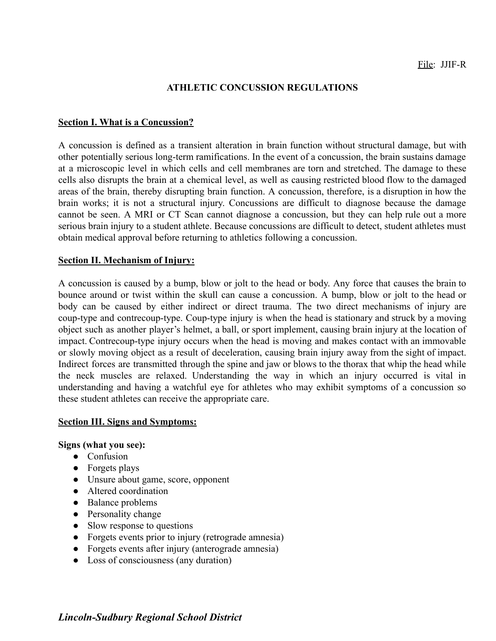### **ATHLETIC CONCUSSION REGULATIONS**

### **Section I. What is a Concussion?**

A concussion is defined as a transient alteration in brain function without structural damage, but with other potentially serious long-term ramifications. In the event of a concussion, the brain sustains damage at a microscopic level in which cells and cell membranes are torn and stretched. The damage to these cells also disrupts the brain at a chemical level, as well as causing restricted blood flow to the damaged areas of the brain, thereby disrupting brain function. A concussion, therefore, is a disruption in how the brain works; it is not a structural injury. Concussions are difficult to diagnose because the damage cannot be seen. A MRI or CT Scan cannot diagnose a concussion, but they can help rule out a more serious brain injury to a student athlete. Because concussions are difficult to detect, student athletes must obtain medical approval before returning to athletics following a concussion.

### **Section II. Mechanism of Injury:**

A concussion is caused by a bump, blow or jolt to the head or body. Any force that causes the brain to bounce around or twist within the skull can cause a concussion. A bump, blow or jolt to the head or body can be caused by either indirect or direct trauma. The two direct mechanisms of injury are coup-type and contrecoup-type. Coup-type injury is when the head is stationary and struck by a moving object such as another player's helmet, a ball, or sport implement, causing brain injury at the location of impact. Contrecoup-type injury occurs when the head is moving and makes contact with an immovable or slowly moving object as a result of deceleration, causing brain injury away from the sight of impact. Indirect forces are transmitted through the spine and jaw or blows to the thorax that whip the head while the neck muscles are relaxed. Understanding the way in which an injury occurred is vital in understanding and having a watchful eye for athletes who may exhibit symptoms of a concussion so these student athletes can receive the appropriate care.

### **Section III. Signs and Symptoms:**

### **Signs (what you see):**

- Confusion
- Forgets plays
- Unsure about game, score, opponent
- Altered coordination
- Balance problems
- Personality change
- Slow response to questions
- Forgets events prior to injury (retrograde amnesia)
- Forgets events after injury (anterograde amnesia)
- Loss of consciousness (any duration)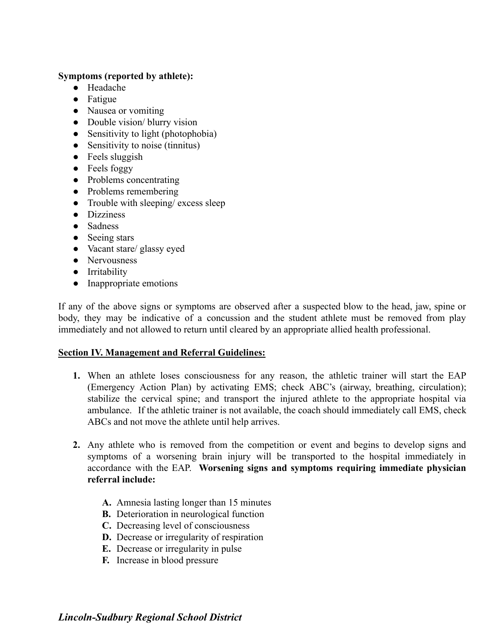## **Symptoms (reported by athlete):**

- Headache
- Fatigue
- Nausea or vomiting
- Double vision/ blurry vision
- Sensitivity to light (photophobia)
- Sensitivity to noise (tinnitus)
- $\bullet$  Feels sluggish
- Feels foggy
- Problems concentrating
- Problems remembering
- Trouble with sleeping/ excess sleep
- Dizziness
- Sadness
- Seeing stars
- Vacant stare/ glassy eyed
- Nervousness
- Irritability
- Inappropriate emotions

If any of the above signs or symptoms are observed after a suspected blow to the head, jaw, spine or body, they may be indicative of a concussion and the student athlete must be removed from play immediately and not allowed to return until cleared by an appropriate allied health professional.

## **Section IV. Management and Referral Guidelines:**

- **1.** When an athlete loses consciousness for any reason, the athletic trainer will start the EAP (Emergency Action Plan) by activating EMS; check ABC's (airway, breathing, circulation); stabilize the cervical spine; and transport the injured athlete to the appropriate hospital via ambulance. If the athletic trainer is not available, the coach should immediately call EMS, check ABCs and not move the athlete until help arrives.
- **2.** Any athlete who is removed from the competition or event and begins to develop signs and symptoms of a worsening brain injury will be transported to the hospital immediately in accordance with the EAP. **Worsening signs and symptoms requiring immediate physician referral include:**
	- **A.** Amnesia lasting longer than 15 minutes
	- **B.** Deterioration in neurological function
	- **C.** Decreasing level of consciousness
	- **D.** Decrease or irregularity of respiration
	- **E.** Decrease or irregularity in pulse
	- **F.** Increase in blood pressure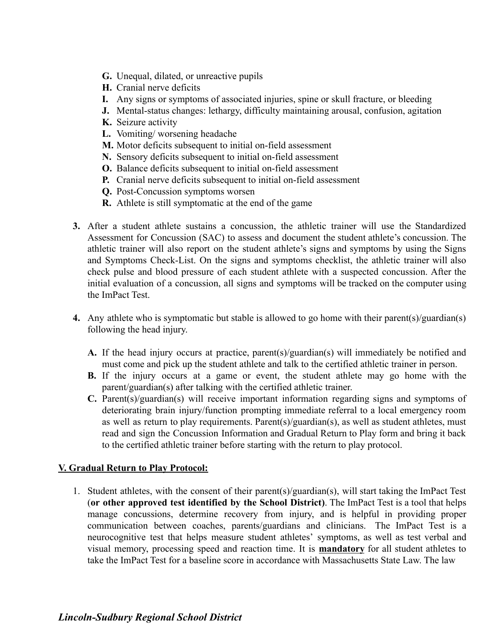- **G.** Unequal, dilated, or unreactive pupils
- **H.** Cranial nerve deficits
- **I.** Any signs or symptoms of associated injuries, spine or skull fracture, or bleeding
- **J.** Mental-status changes: lethargy, difficulty maintaining arousal, confusion, agitation
- **K.** Seizure activity
- **L.** Vomiting/ worsening headache
- **M.** Motor deficits subsequent to initial on-field assessment
- **N.** Sensory deficits subsequent to initial on-field assessment
- **O.** Balance deficits subsequent to initial on-field assessment
- **P.** Cranial nerve deficits subsequent to initial on-field assessment
- **Q.** Post-Concussion symptoms worsen
- **R.** Athlete is still symptomatic at the end of the game
- **3.** After a student athlete sustains a concussion, the athletic trainer will use the Standardized Assessment for Concussion (SAC) to assess and document the student athlete's concussion. The athletic trainer will also report on the student athlete's signs and symptoms by using the Signs and Symptoms Check-List. On the signs and symptoms checklist, the athletic trainer will also check pulse and blood pressure of each student athlete with a suspected concussion. After the initial evaluation of a concussion, all signs and symptoms will be tracked on the computer using the ImPact Test.
- **4.** Any athlete who is symptomatic but stable is allowed to go home with their parent(s)/guardian(s) following the head injury.
	- **A.** If the head injury occurs at practice, parent(s)/guardian(s) will immediately be notified and must come and pick up the student athlete and talk to the certified athletic trainer in person.
	- **B.** If the injury occurs at a game or event, the student athlete may go home with the parent/guardian(s) after talking with the certified athletic trainer.
	- **C.** Parent(s)/guardian(s) will receive important information regarding signs and symptoms of deteriorating brain injury/function prompting immediate referral to a local emergency room as well as return to play requirements. Parent(s)/guardian(s), as well as student athletes, must read and sign the Concussion Information and Gradual Return to Play form and bring it back to the certified athletic trainer before starting with the return to play protocol.

## **V. Gradual Return to Play Protocol:**

1. Student athletes, with the consent of their parent(s)/guardian(s), will start taking the ImPact Test (**or other approved test identified by the School District)**. The ImPact Test is a tool that helps manage concussions, determine recovery from injury, and is helpful in providing proper communication between coaches, parents/guardians and clinicians. The ImPact Test is a neurocognitive test that helps measure student athletes' symptoms, as well as test verbal and visual memory, processing speed and reaction time. It is **mandatory** for all student athletes to take the ImPact Test for a baseline score in accordance with Massachusetts State Law. The law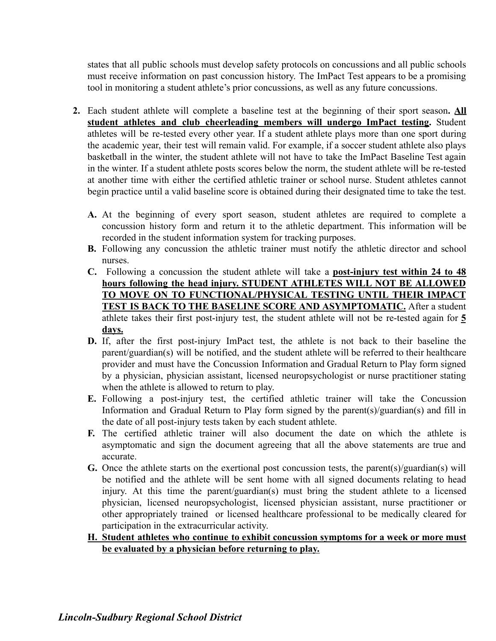states that all public schools must develop safety protocols on concussions and all public schools must receive information on past concussion history. The ImPact Test appears to be a promising tool in monitoring a student athlete's prior concussions, as well as any future concussions.

- **2.** Each student athlete will complete a baseline test at the beginning of their sport season**. All student athletes and club cheerleading members will undergo ImPact testing.** Student athletes will be re-tested every other year. If a student athlete plays more than one sport during the academic year, their test will remain valid. For example, if a soccer student athlete also plays basketball in the winter, the student athlete will not have to take the ImPact Baseline Test again in the winter. If a student athlete posts scores below the norm, the student athlete will be re-tested at another time with either the certified athletic trainer or school nurse. Student athletes cannot begin practice until a valid baseline score is obtained during their designated time to take the test.
	- **A.** At the beginning of every sport season, student athletes are required to complete a concussion history form and return it to the athletic department. This information will be recorded in the student information system for tracking purposes.
	- **B.** Following any concussion the athletic trainer must notify the athletic director and school nurses.
	- **C.** Following a concussion the student athlete will take a **post-injury test within 24 to 48 hours following the head injury. STUDENT ATHLETES WILL NOT BE ALLOWED TO MOVE ON TO FUNCTIONAL/PHYSICAL TESTING UNTIL THEIR IMPACT TEST IS BACK TO THE BASELINE SCORE AND ASYMPTOMATIC.** After a student athlete takes their first post-injury test, the student athlete will not be re-tested again for **5 days.**
	- **D.** If, after the first post-injury ImPact test, the athlete is not back to their baseline the parent/guardian(s) will be notified, and the student athlete will be referred to their healthcare provider and must have the Concussion Information and Gradual Return to Play form signed by a physician, physician assistant, licensed neuropsychologist or nurse practitioner stating when the athlete is allowed to return to play.
	- **E.** Following a post-injury test, the certified athletic trainer will take the Concussion Information and Gradual Return to Play form signed by the parent(s)/guardian(s) and fill in the date of all post-injury tests taken by each student athlete.
	- **F.** The certified athletic trainer will also document the date on which the athlete is asymptomatic and sign the document agreeing that all the above statements are true and accurate.
	- **G.** Once the athlete starts on the exertional post concussion tests, the parent(s)/guardian(s) will be notified and the athlete will be sent home with all signed documents relating to head injury. At this time the parent/guardian(s) must bring the student athlete to a licensed physician, licensed neuropsychologist, licensed physician assistant, nurse practitioner or other appropriately trained or licensed healthcare professional to be medically cleared for participation in the extracurricular activity.
	- **H. Student athletes who continue to exhibit concussion symptoms for a week or more must be evaluated by a physician before returning to play.**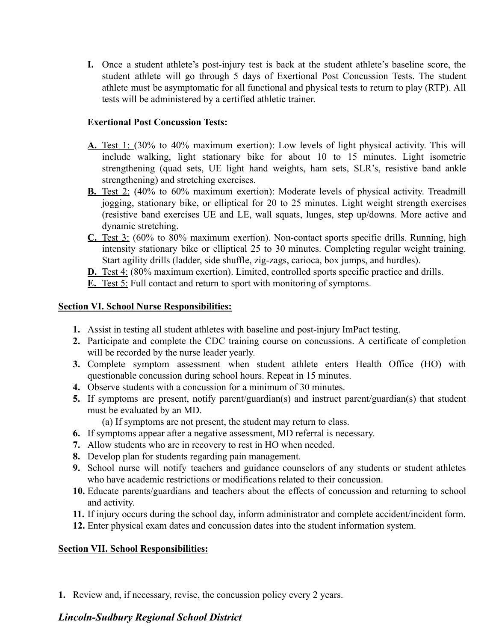**I.** Once a student athlete's post-injury test is back at the student athlete's baseline score, the student athlete will go through 5 days of Exertional Post Concussion Tests. The student athlete must be asymptomatic for all functional and physical tests to return to play (RTP). All tests will be administered by a certified athletic trainer.

## **Exertional Post Concussion Tests:**

- **A.** Test 1: (30% to 40% maximum exertion): Low levels of light physical activity. This will include walking, light stationary bike for about 10 to 15 minutes. Light isometric strengthening (quad sets, UE light hand weights, ham sets, SLR's, resistive band ankle strengthening) and stretching exercises.
- **B.** Test 2: (40% to 60% maximum exertion): Moderate levels of physical activity. Treadmill jogging, stationary bike, or elliptical for 20 to 25 minutes. Light weight strength exercises (resistive band exercises UE and LE, wall squats, lunges, step up/downs. More active and dynamic stretching.
- **C.** Test 3: (60% to 80% maximum exertion). Non-contact sports specific drills. Running, high intensity stationary bike or elliptical 25 to 30 minutes. Completing regular weight training. Start agility drills (ladder, side shuffle, zig-zags, carioca, box jumps, and hurdles).

**D.** Test 4: (80% maximum exertion). Limited, controlled sports specific practice and drills.

**E.** Test 5: Full contact and return to sport with monitoring of symptoms.

## **Section VI. School Nurse Responsibilities:**

- **1.** Assist in testing all student athletes with baseline and post-injury ImPact testing.
- **2.** Participate and complete the CDC training course on concussions. A certificate of completion will be recorded by the nurse leader yearly.
- **3.** Complete symptom assessment when student athlete enters Health Office (HO) with questionable concussion during school hours. Repeat in 15 minutes.
- **4.** Observe students with a concussion for a minimum of 30 minutes.
- **5.** If symptoms are present, notify parent/guardian(s) and instruct parent/guardian(s) that student must be evaluated by an MD.
	- (a) If symptoms are not present, the student may return to class.
- **6.** If symptoms appear after a negative assessment, MD referral is necessary.
- **7.** Allow students who are in recovery to rest in HO when needed.
- **8.** Develop plan for students regarding pain management.
- **9.** School nurse will notify teachers and guidance counselors of any students or student athletes who have academic restrictions or modifications related to their concussion.
- **10.** Educate parents/guardians and teachers about the effects of concussion and returning to school and activity.
- **11.** If injury occurs during the school day, inform administrator and complete accident/incident form.
- **12.** Enter physical exam dates and concussion dates into the student information system.

## **Section VII. School Responsibilities:**

**1.** Review and, if necessary, revise, the concussion policy every 2 years.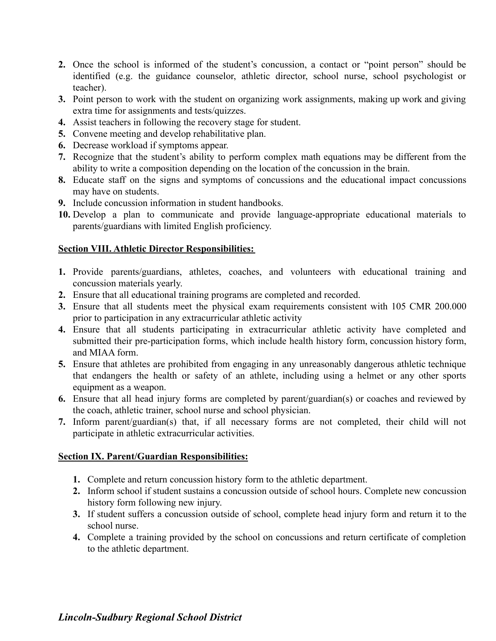- **2.** Once the school is informed of the student's concussion, a contact or "point person" should be identified (e.g. the guidance counselor, athletic director, school nurse, school psychologist or teacher).
- **3.** Point person to work with the student on organizing work assignments, making up work and giving extra time for assignments and tests/quizzes.
- **4.** Assist teachers in following the recovery stage for student.
- **5.** Convene meeting and develop rehabilitative plan.
- **6.** Decrease workload if symptoms appear.
- **7.** Recognize that the student's ability to perform complex math equations may be different from the ability to write a composition depending on the location of the concussion in the brain.
- **8.** Educate staff on the signs and symptoms of concussions and the educational impact concussions may have on students.
- **9.** Include concussion information in student handbooks.
- **10.** Develop a plan to communicate and provide language-appropriate educational materials to parents/guardians with limited English proficiency.

## **Section VIII. Athletic Director Responsibilities:**

- **1.** Provide parents/guardians, athletes, coaches, and volunteers with educational training and concussion materials yearly.
- **2.** Ensure that all educational training programs are completed and recorded.
- **3.** Ensure that all students meet the physical exam requirements consistent with 105 CMR 200.000 prior to participation in any extracurricular athletic activity
- **4.** Ensure that all students participating in extracurricular athletic activity have completed and submitted their pre-participation forms, which include health history form, concussion history form, and MIAA form.
- **5.** Ensure that athletes are prohibited from engaging in any unreasonably dangerous athletic technique that endangers the health or safety of an athlete, including using a helmet or any other sports equipment as a weapon.
- **6.** Ensure that all head injury forms are completed by parent/guardian(s) or coaches and reviewed by the coach, athletic trainer, school nurse and school physician.
- **7.** Inform parent/guardian(s) that, if all necessary forms are not completed, their child will not participate in athletic extracurricular activities.

## **Section IX. Parent/Guardian Responsibilities:**

- **1.** Complete and return concussion history form to the athletic department.
- **2.** Inform school if student sustains a concussion outside of school hours. Complete new concussion history form following new injury.
- **3.** If student suffers a concussion outside of school, complete head injury form and return it to the school nurse.
- **4.** Complete a training provided by the school on concussions and return certificate of completion to the athletic department.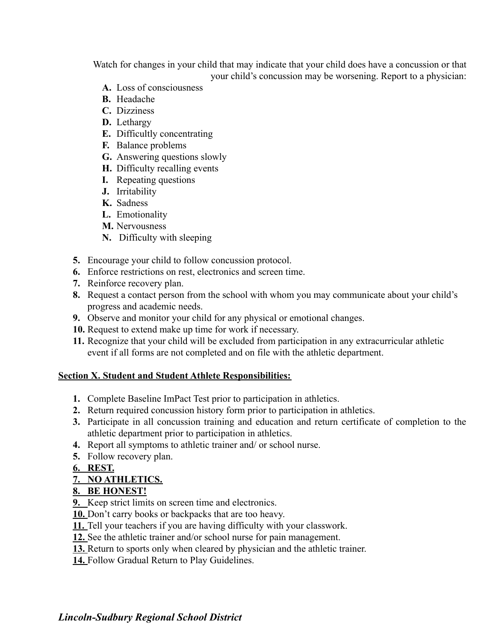Watch for changes in your child that may indicate that your child does have a concussion or that your child's concussion may be worsening. Report to a physician:

- **A.** Loss of consciousness
- **B.** Headache
- **C.** Dizziness
- **D.** Lethargy
- **E.** Difficultly concentrating
- **F.** Balance problems
- **G.** Answering questions slowly
- **H.** Difficulty recalling events
- **I.** Repeating questions
- **J.** Irritability
- **K.** Sadness
- **L.** Emotionality
- **M.** Nervousness
- **N.** Difficulty with sleeping
- **5.** Encourage your child to follow concussion protocol.
- **6.** Enforce restrictions on rest, electronics and screen time.
- **7.** Reinforce recovery plan.
- **8.** Request a contact person from the school with whom you may communicate about your child's progress and academic needs.
- **9.** Observe and monitor your child for any physical or emotional changes.
- **10.** Request to extend make up time for work if necessary.
- **11.** Recognize that your child will be excluded from participation in any extracurricular athletic event if all forms are not completed and on file with the athletic department.

## **Section X. Student and Student Athlete Responsibilities:**

- **1.** Complete Baseline ImPact Test prior to participation in athletics.
- **2.** Return required concussion history form prior to participation in athletics.
- **3.** Participate in all concussion training and education and return certificate of completion to the athletic department prior to participation in athletics.
- **4.** Report all symptoms to athletic trainer and/ or school nurse.
- **5.** Follow recovery plan.
- **6. REST.**

## **7. NO ATHLETICS.**

## **8. BE HONEST!**

- **9.** Keep strict limits on screen time and electronics.
- **10.** Don't carry books or backpacks that are too heavy.
- **11.** Tell your teachers if you are having difficulty with your classwork.
- **12.** See the athletic trainer and/or school nurse for pain management.
- **13.** Return to sports only when cleared by physician and the athletic trainer.
- **14.** Follow Gradual Return to Play Guidelines.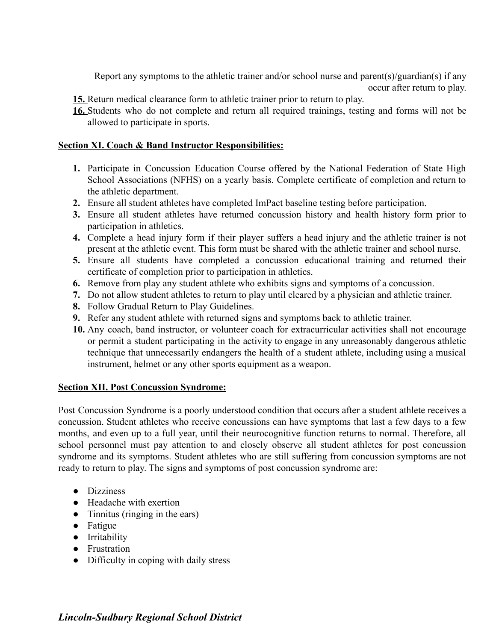Report any symptoms to the athletic trainer and/or school nurse and parent(s)/guardian(s) if any occur after return to play.

- **15.** Return medical clearance form to athletic trainer prior to return to play.
- **16.** Students who do not complete and return all required trainings, testing and forms will not be allowed to participate in sports.

## **Section XI. Coach & Band Instructor Responsibilities:**

- **1.** Participate in Concussion Education Course offered by the National Federation of State High School Associations (NFHS) on a yearly basis. Complete certificate of completion and return to the athletic department.
- **2.** Ensure all student athletes have completed ImPact baseline testing before participation.
- **3.** Ensure all student athletes have returned concussion history and health history form prior to participation in athletics.
- **4.** Complete a head injury form if their player suffers a head injury and the athletic trainer is not present at the athletic event. This form must be shared with the athletic trainer and school nurse.
- **5.** Ensure all students have completed a concussion educational training and returned their certificate of completion prior to participation in athletics.
- **6.** Remove from play any student athlete who exhibits signs and symptoms of a concussion.
- **7.** Do not allow student athletes to return to play until cleared by a physician and athletic trainer.
- **8.** Follow Gradual Return to Play Guidelines.
- **9.** Refer any student athlete with returned signs and symptoms back to athletic trainer.
- **10.** Any coach, band instructor, or volunteer coach for extracurricular activities shall not encourage or permit a student participating in the activity to engage in any unreasonably dangerous athletic technique that unnecessarily endangers the health of a student athlete, including using a musical instrument, helmet or any other sports equipment as a weapon.

## **Section XII. Post Concussion Syndrome:**

Post Concussion Syndrome is a poorly understood condition that occurs after a student athlete receives a concussion. Student athletes who receive concussions can have symptoms that last a few days to a few months, and even up to a full year, until their neurocognitive function returns to normal. Therefore, all school personnel must pay attention to and closely observe all student athletes for post concussion syndrome and its symptoms. Student athletes who are still suffering from concussion symptoms are not ready to return to play. The signs and symptoms of post concussion syndrome are:

- Dizziness
- Headache with exertion
- Tinnitus (ringing in the ears)
- Fatigue
- Irritability
- Frustration
- Difficulty in coping with daily stress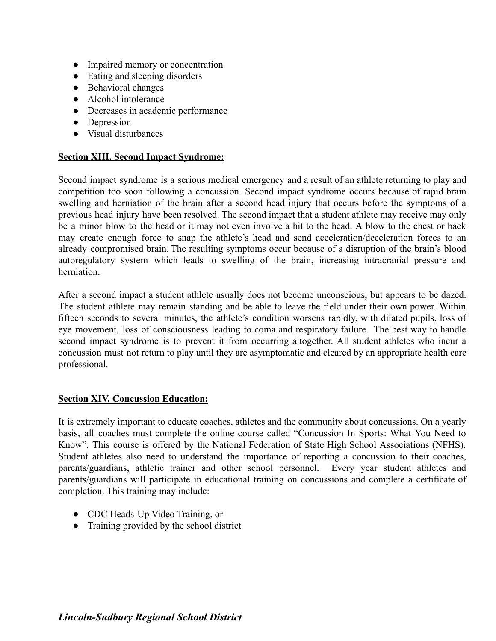- Impaired memory or concentration
- Eating and sleeping disorders
- Behavioral changes
- Alcohol intolerance
- Decreases in academic performance
- Depression
- Visual disturbances

#### **Section XIII. Second Impact Syndrome:**

Second impact syndrome is a serious medical emergency and a result of an athlete returning to play and competition too soon following a concussion. Second impact syndrome occurs because of rapid brain swelling and herniation of the brain after a second head injury that occurs before the symptoms of a previous head injury have been resolved. The second impact that a student athlete may receive may only be a minor blow to the head or it may not even involve a hit to the head. A blow to the chest or back may create enough force to snap the athlete's head and send acceleration/deceleration forces to an already compromised brain. The resulting symptoms occur because of a disruption of the brain's blood autoregulatory system which leads to swelling of the brain, increasing intracranial pressure and herniation.

After a second impact a student athlete usually does not become unconscious, but appears to be dazed. The student athlete may remain standing and be able to leave the field under their own power. Within fifteen seconds to several minutes, the athlete's condition worsens rapidly, with dilated pupils, loss of eye movement, loss of consciousness leading to coma and respiratory failure. The best way to handle second impact syndrome is to prevent it from occurring altogether. All student athletes who incur a concussion must not return to play until they are asymptomatic and cleared by an appropriate health care professional.

#### **Section XIV. Concussion Education:**

It is extremely important to educate coaches, athletes and the community about concussions. On a yearly basis, all coaches must complete the online course called "Concussion In Sports: What You Need to Know". This course is offered by the National Federation of State High School Associations (NFHS). Student athletes also need to understand the importance of reporting a concussion to their coaches, parents/guardians, athletic trainer and other school personnel. Every year student athletes and parents/guardians will participate in educational training on concussions and complete a certificate of completion. This training may include:

- CDC Heads-Up Video Training, or
- Training provided by the school district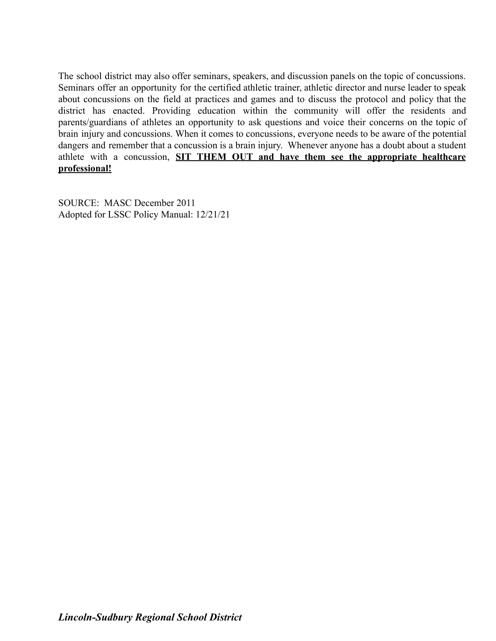The school district may also offer seminars, speakers, and discussion panels on the topic of concussions. Seminars offer an opportunity for the certified athletic trainer, athletic director and nurse leader to speak about concussions on the field at practices and games and to discuss the protocol and policy that the district has enacted. Providing education within the community will offer the residents and parents/guardians of athletes an opportunity to ask questions and voice their concerns on the topic of brain injury and concussions. When it comes to concussions, everyone needs to be aware of the potential dangers and remember that a concussion is a brain injury. Whenever anyone has a doubt about a student athlete with a concussion, **SIT THEM OUT and have them see the appropriate healthcare professional!**

SOURCE: MASC December 2011 Adopted for LSSC Policy Manual: 12/21/21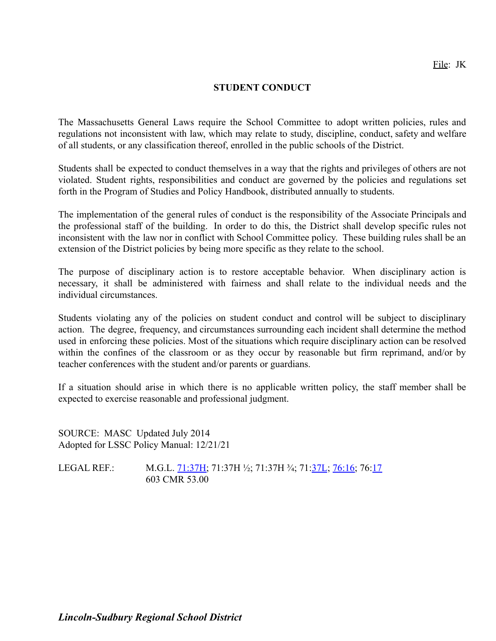## **STUDENT CONDUCT**

The Massachusetts General Laws require the School Committee to adopt written policies, rules and regulations not inconsistent with law, which may relate to study, discipline, conduct, safety and welfare of all students, or any classification thereof, enrolled in the public schools of the District.

Students shall be expected to conduct themselves in a way that the rights and privileges of others are not violated. Student rights, responsibilities and conduct are governed by the policies and regulations set forth in the Program of Studies and Policy Handbook, distributed annually to students.

The implementation of the general rules of conduct is the responsibility of the Associate Principals and the professional staff of the building. In order to do this, the District shall develop specific rules not inconsistent with the law nor in conflict with School Committee policy. These building rules shall be an extension of the District policies by being more specific as they relate to the school.

The purpose of disciplinary action is to restore acceptable behavior. When disciplinary action is necessary, it shall be administered with fairness and shall relate to the individual needs and the individual circumstances.

Students violating any of the policies on student conduct and control will be subject to disciplinary action. The degree, frequency, and circumstances surrounding each incident shall determine the method used in enforcing these policies. Most of the situations which require disciplinary action can be resolved within the confines of the classroom or as they occur by reasonable but firm reprimand, and/or by teacher conferences with the student and/or parents or guardians.

If a situation should arise in which there is no applicable written policy, the staff member shall be expected to exercise reasonable and professional judgment.

SOURCE: MASC Updated July 2014 Adopted for LSSC Policy Manual: 12/21/21

LEGAL REF.: M.G.L. [71:37H;](http://www.malegislature.gov/Laws/GeneralLaws/PartI/TitleII/Chapter71/Section37h) 71:37H ½; 71:37H ¾; 71:[37L](http://www.malegislature.gov/Laws/GeneralLaws/PartI/TitleII/Chapter71/Section37l); [76:16](http://www.malegislature.gov/Laws/GeneralLaws/PartI/TitleXII/Chapter76/Section16); 76:[17](http://www.malegislature.gov/Laws/GeneralLaws/PartI/TitleXII/Chapter76/Section17) 603 CMR 53.00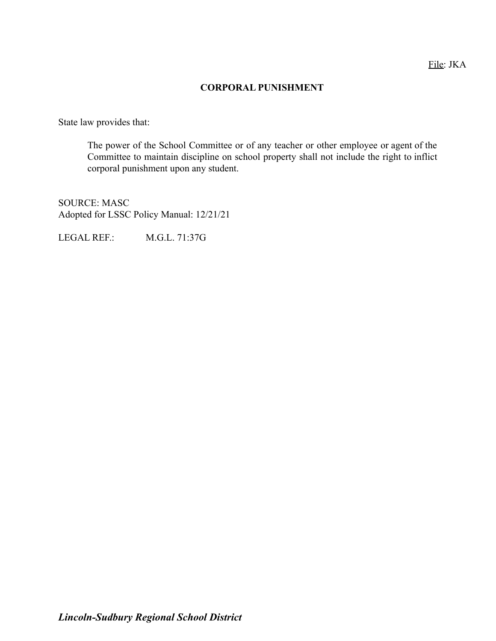## **CORPORAL PUNISHMENT**

State law provides that:

The power of the School Committee or of any teacher or other employee or agent of the Committee to maintain discipline on school property shall not include the right to inflict corporal punishment upon any student.

SOURCE: MASC Adopted for LSSC Policy Manual: 12/21/21

LEGAL REF.: M.G.L. 71:37G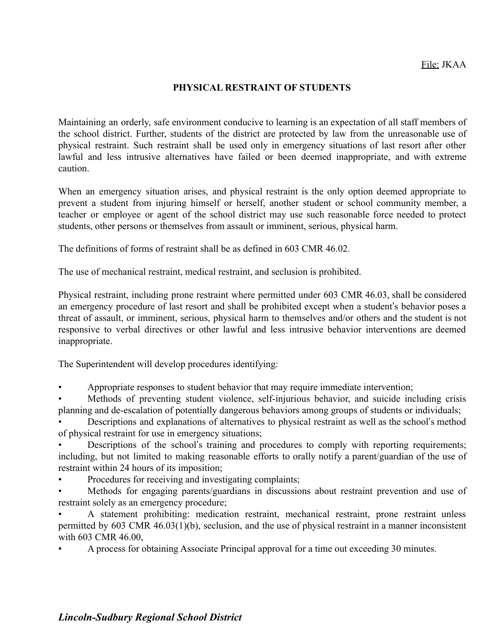## **PHYSICAL RESTRAINT OF STUDENTS**

Maintaining an orderly, safe environment conducive to learning is an expectation of all staff members of the school district. Further, students of the district are protected by law from the unreasonable use of physical restraint. Such restraint shall be used only in emergency situations of last resort after other lawful and less intrusive alternatives have failed or been deemed inappropriate, and with extreme caution.

When an emergency situation arises, and physical restraint is the only option deemed appropriate to prevent a student from injuring himself or herself, another student or school community member, a teacher or employee or agent of the school district may use such reasonable force needed to protect students, other persons or themselves from assault or imminent, serious, physical harm.

The definitions of forms of restraint shall be as defined in 603 CMR 46.02.

The use of mechanical restraint, medical restraint, and seclusion is prohibited.

Physical restraint, including prone restraint where permitted under 603 CMR 46.03, shall be considered an emergency procedure of last resort and shall be prohibited except when a student's behavior poses a threat of assault, or imminent, serious, physical harm to themselves and/or others and the student is not responsive to verbal directives or other lawful and less intrusive behavior interventions are deemed inappropriate.

The Superintendent will develop procedures identifying:

• Appropriate responses to student behavior that may require immediate intervention;

Methods of preventing student violence, self-injurious behavior, and suicide including crisis planning and de-escalation of potentially dangerous behaviors among groups of students or individuals;

• Descriptions and explanations of alternatives to physical restraint as well as the school's method of physical restraint for use in emergency situations;

Descriptions of the school's training and procedures to comply with reporting requirements; including, but not limited to making reasonable efforts to orally notify a parent/guardian of the use of restraint within 24 hours of its imposition;

Procedures for receiving and investigating complaints;

• Methods for engaging parents/guardians in discussions about restraint prevention and use of restraint solely as an emergency procedure;

• A statement prohibiting: medication restraint, mechanical restraint, prone restraint unless permitted by 603 CMR 46.03(1)(b), seclusion, and the use of physical restraint in a manner inconsistent with 603 CMR 46.00,

• A process for obtaining Associate Principal approval for a time out exceeding 30 minutes.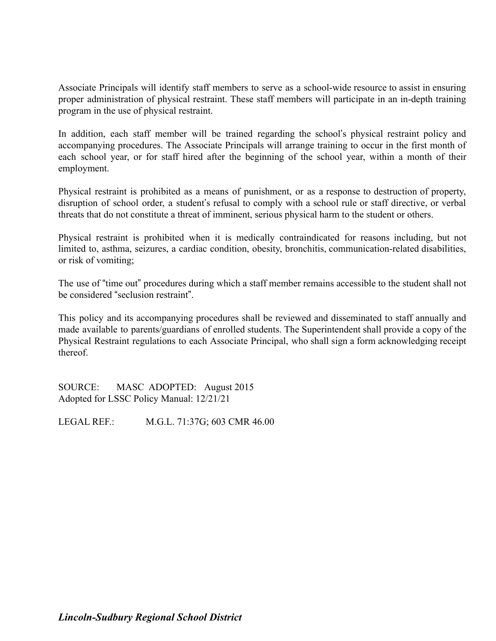Associate Principals will identify staff members to serve as a school-wide resource to assist in ensuring proper administration of physical restraint. These staff members will participate in an in-depth training program in the use of physical restraint.

In addition, each staff member will be trained regarding the school's physical restraint policy and accompanying procedures. The Associate Principals will arrange training to occur in the first month of each school year, or for staff hired after the beginning of the school year, within a month of their employment.

Physical restraint is prohibited as a means of punishment, or as a response to destruction of property, disruption of school order, a student's refusal to comply with a school rule or staff directive, or verbal threats that do not constitute a threat of imminent, serious physical harm to the student or others.

Physical restraint is prohibited when it is medically contraindicated for reasons including, but not limited to, asthma, seizures, a cardiac condition, obesity, bronchitis, communication-related disabilities, or risk of vomiting;

The use of "time out" procedures during which a staff member remains accessible to the student shall not be considered "seclusion restraint".

This policy and its accompanying procedures shall be reviewed and disseminated to staff annually and made available to parents/guardians of enrolled students. The Superintendent shall provide a copy of the Physical Restraint regulations to each Associate Principal, who shall sign a form acknowledging receipt thereof.

SOURCE: MASC ADOPTED: August 2015 Adopted for LSSC Policy Manual: 12/21/21

LEGAL REF.: M.G.L. 71:37G; 603 CMR 46.00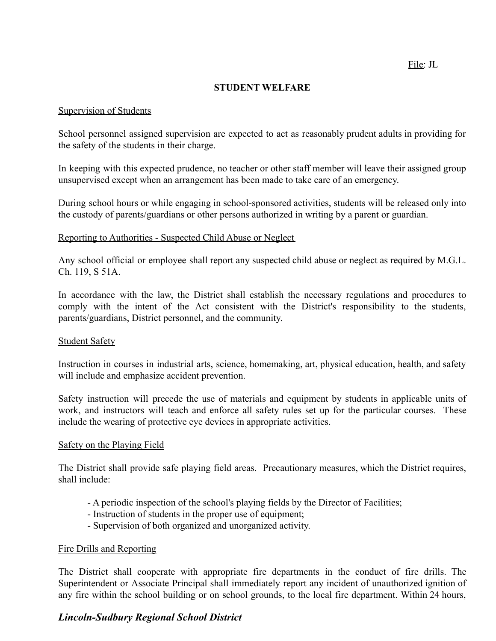File: JL

#### **STUDENT WELFARE**

#### Supervision of Students

School personnel assigned supervision are expected to act as reasonably prudent adults in providing for the safety of the students in their charge.

In keeping with this expected prudence, no teacher or other staff member will leave their assigned group unsupervised except when an arrangement has been made to take care of an emergency.

During school hours or while engaging in school-sponsored activities, students will be released only into the custody of parents/guardians or other persons authorized in writing by a parent or guardian.

## Reporting to Authorities - Suspected Child Abuse or Neglect

Any school official or employee shall report any suspected child abuse or neglect as required by M.G.L. Ch. 119, S 51A.

In accordance with the law, the District shall establish the necessary regulations and procedures to comply with the intent of the Act consistent with the District's responsibility to the students, parents/guardians, District personnel, and the community.

#### Student Safety

Instruction in courses in industrial arts, science, homemaking, art, physical education, health, and safety will include and emphasize accident prevention.

Safety instruction will precede the use of materials and equipment by students in applicable units of work, and instructors will teach and enforce all safety rules set up for the particular courses. These include the wearing of protective eye devices in appropriate activities.

#### Safety on the Playing Field

The District shall provide safe playing field areas. Precautionary measures, which the District requires, shall include:

- A periodic inspection of the school's playing fields by the Director of Facilities;
- Instruction of students in the proper use of equipment;
- Supervision of both organized and unorganized activity.

#### Fire Drills and Reporting

The District shall cooperate with appropriate fire departments in the conduct of fire drills. The Superintendent or Associate Principal shall immediately report any incident of unauthorized ignition of any fire within the school building or on school grounds, to the local fire department. Within 24 hours,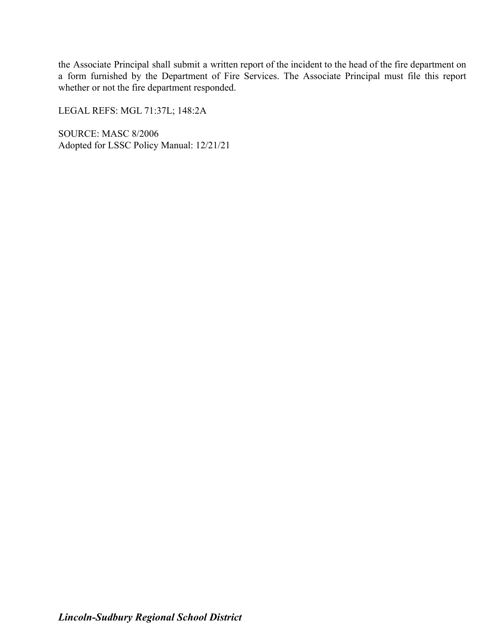the Associate Principal shall submit a written report of the incident to the head of the fire department on a form furnished by the Department of Fire Services. The Associate Principal must file this report whether or not the fire department responded.

LEGAL REFS: MGL 71:37L; 148:2A

SOURCE: MASC 8/2006 Adopted for LSSC Policy Manual: 12/21/21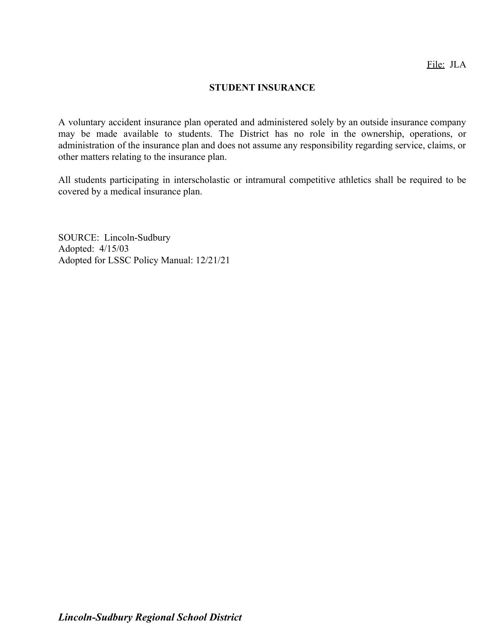## **STUDENT INSURANCE**

A voluntary accident insurance plan operated and administered solely by an outside insurance company may be made available to students. The District has no role in the ownership, operations, or administration of the insurance plan and does not assume any responsibility regarding service, claims, or other matters relating to the insurance plan.

All students participating in interscholastic or intramural competitive athletics shall be required to be covered by a medical insurance plan.

SOURCE: Lincoln-Sudbury Adopted: 4/15/03 Adopted for LSSC Policy Manual: 12/21/21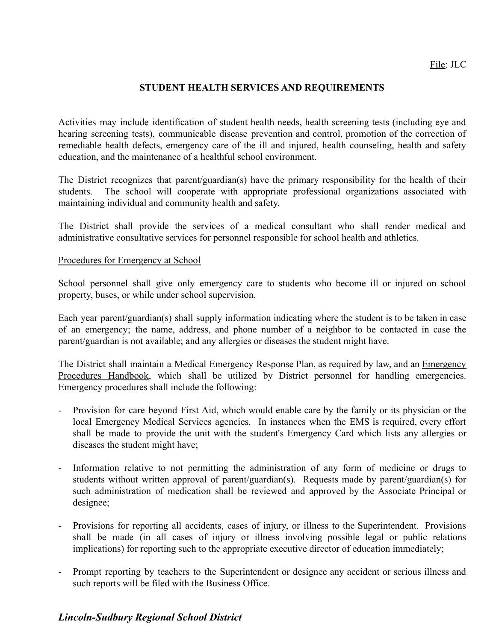## **STUDENT HEALTH SERVICES AND REQUIREMENTS**

Activities may include identification of student health needs, health screening tests (including eye and hearing screening tests), communicable disease prevention and control, promotion of the correction of remediable health defects, emergency care of the ill and injured, health counseling, health and safety education, and the maintenance of a healthful school environment.

The District recognizes that parent/guardian(s) have the primary responsibility for the health of their students. The school will cooperate with appropriate professional organizations associated with maintaining individual and community health and safety.

The District shall provide the services of a medical consultant who shall render medical and administrative consultative services for personnel responsible for school health and athletics.

#### Procedures for Emergency at School

School personnel shall give only emergency care to students who become ill or injured on school property, buses, or while under school supervision.

Each year parent/guardian(s) shall supply information indicating where the student is to be taken in case of an emergency; the name, address, and phone number of a neighbor to be contacted in case the parent/guardian is not available; and any allergies or diseases the student might have.

The District shall maintain a Medical Emergency Response Plan, as required by law, and an Emergency Procedures Handbook, which shall be utilized by District personnel for handling emergencies. Emergency procedures shall include the following:

- Provision for care beyond First Aid, which would enable care by the family or its physician or the local Emergency Medical Services agencies. In instances when the EMS is required, every effort shall be made to provide the unit with the student's Emergency Card which lists any allergies or diseases the student might have;
- Information relative to not permitting the administration of any form of medicine or drugs to students without written approval of parent/guardian(s). Requests made by parent/guardian(s) for such administration of medication shall be reviewed and approved by the Associate Principal or designee;
- Provisions for reporting all accidents, cases of injury, or illness to the Superintendent. Provisions shall be made (in all cases of injury or illness involving possible legal or public relations implications) for reporting such to the appropriate executive director of education immediately;
- Prompt reporting by teachers to the Superintendent or designee any accident or serious illness and such reports will be filed with the Business Office.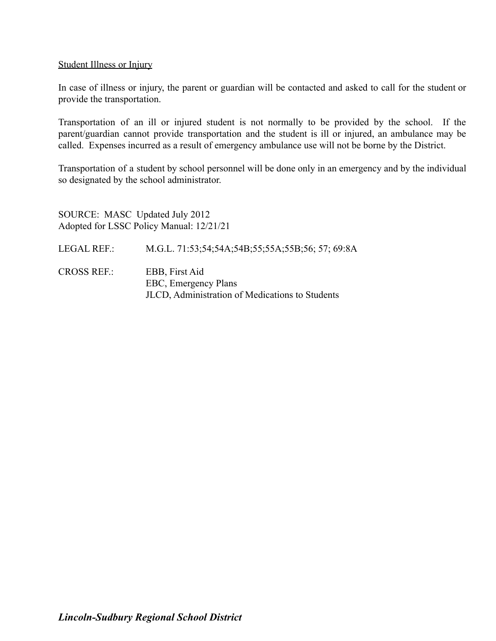#### Student Illness or Injury

In case of illness or injury, the parent or guardian will be contacted and asked to call for the student or provide the transportation.

Transportation of an ill or injured student is not normally to be provided by the school. If the parent/guardian cannot provide transportation and the student is ill or injured, an ambulance may be called. Expenses incurred as a result of emergency ambulance use will not be borne by the District.

Transportation of a student by school personnel will be done only in an emergency and by the individual so designated by the school administrator.

SOURCE: MASC Updated July 2012 Adopted for LSSC Policy Manual: 12/21/21 LEGAL REF.: M.G.L. 71:53;54;54A;54B;55;55A;55B;56; 57; 69:8A CROSS REF.: EBB, First Aid EBC, Emergency Plans JLCD, Administration of Medications to Students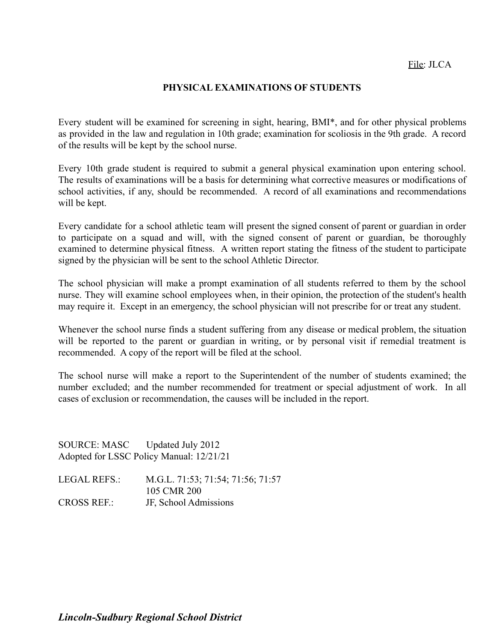## **PHYSICAL EXAMINATIONS OF STUDENTS**

Every student will be examined for screening in sight, hearing, BMI\*, and for other physical problems as provided in the law and regulation in 10th grade; examination for scoliosis in the 9th grade. A record of the results will be kept by the school nurse.

Every 10th grade student is required to submit a general physical examination upon entering school. The results of examinations will be a basis for determining what corrective measures or modifications of school activities, if any, should be recommended. A record of all examinations and recommendations will be kept.

Every candidate for a school athletic team will present the signed consent of parent or guardian in order to participate on a squad and will, with the signed consent of parent or guardian, be thoroughly examined to determine physical fitness. A written report stating the fitness of the student to participate signed by the physician will be sent to the school Athletic Director.

The school physician will make a prompt examination of all students referred to them by the school nurse. They will examine school employees when, in their opinion, the protection of the student's health may require it. Except in an emergency, the school physician will not prescribe for or treat any student.

Whenever the school nurse finds a student suffering from any disease or medical problem, the situation will be reported to the parent or guardian in writing, or by personal visit if remedial treatment is recommended. A copy of the report will be filed at the school.

The school nurse will make a report to the Superintendent of the number of students examined; the number excluded; and the number recommended for treatment or special adjustment of work. In all cases of exclusion or recommendation, the causes will be included in the report.

SOURCE: MASC Updated July 2012 Adopted for LSSC Policy Manual: 12/21/21

LEGAL REFS.: M.G.L. 71:53; 71:54; 71:56; 71:57 105 CMR 200 CROSS REF.: JF, School Admissions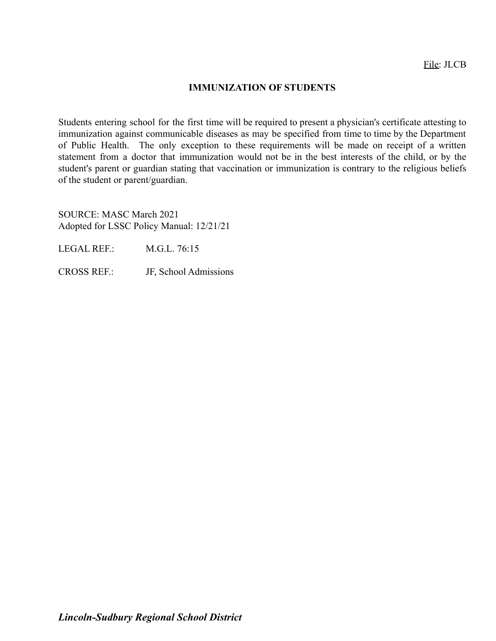## **IMMUNIZATION OF STUDENTS**

Students entering school for the first time will be required to present a physician's certificate attesting to immunization against communicable diseases as may be specified from time to time by the Department of Public Health. The only exception to these requirements will be made on receipt of a written statement from a doctor that immunization would not be in the best interests of the child, or by the student's parent or guardian stating that vaccination or immunization is contrary to the religious beliefs of the student or parent/guardian.

SOURCE: MASC March 2021 Adopted for LSSC Policy Manual: 12/21/21

LEGAL REF.: M.G.L. 76:15

CROSS REF.: JF, School Admissions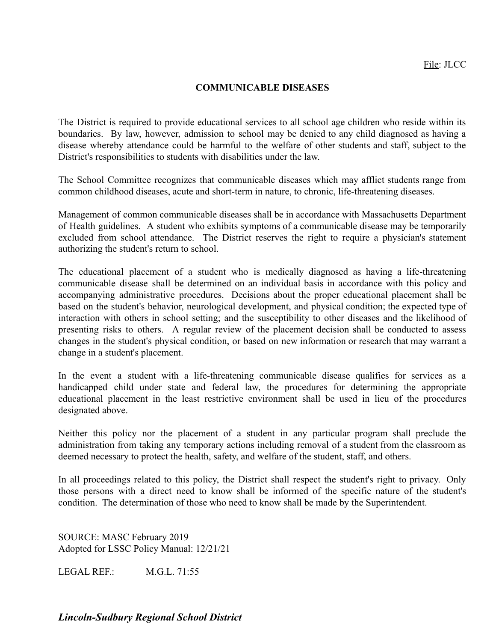## **COMMUNICABLE DISEASES**

The District is required to provide educational services to all school age children who reside within its boundaries. By law, however, admission to school may be denied to any child diagnosed as having a disease whereby attendance could be harmful to the welfare of other students and staff, subject to the District's responsibilities to students with disabilities under the law.

The School Committee recognizes that communicable diseases which may afflict students range from common childhood diseases, acute and short-term in nature, to chronic, life-threatening diseases.

Management of common communicable diseases shall be in accordance with Massachusetts Department of Health guidelines. A student who exhibits symptoms of a communicable disease may be temporarily excluded from school attendance. The District reserves the right to require a physician's statement authorizing the student's return to school.

The educational placement of a student who is medically diagnosed as having a life-threatening communicable disease shall be determined on an individual basis in accordance with this policy and accompanying administrative procedures. Decisions about the proper educational placement shall be based on the student's behavior, neurological development, and physical condition; the expected type of interaction with others in school setting; and the susceptibility to other diseases and the likelihood of presenting risks to others. A regular review of the placement decision shall be conducted to assess changes in the student's physical condition, or based on new information or research that may warrant a change in a student's placement.

In the event a student with a life-threatening communicable disease qualifies for services as a handicapped child under state and federal law, the procedures for determining the appropriate educational placement in the least restrictive environment shall be used in lieu of the procedures designated above.

Neither this policy nor the placement of a student in any particular program shall preclude the administration from taking any temporary actions including removal of a student from the classroom as deemed necessary to protect the health, safety, and welfare of the student, staff, and others.

In all proceedings related to this policy, the District shall respect the student's right to privacy. Only those persons with a direct need to know shall be informed of the specific nature of the student's condition. The determination of those who need to know shall be made by the Superintendent.

SOURCE: MASC February 2019 Adopted for LSSC Policy Manual: 12/21/21

LEGAL REF. M.G.L. 71:55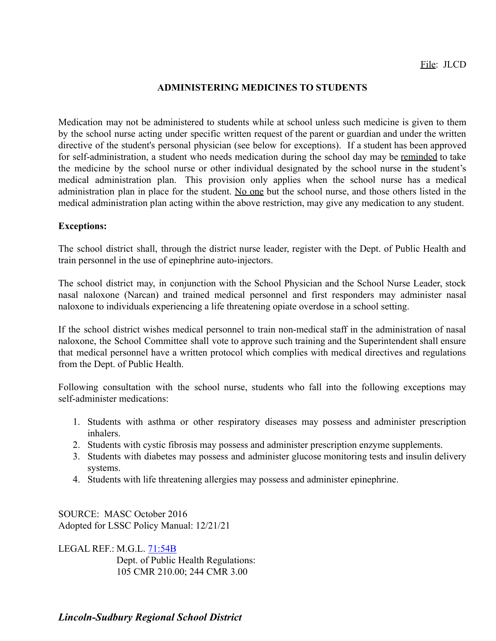## **ADMINISTERING MEDICINES TO STUDENTS**

Medication may not be administered to students while at school unless such medicine is given to them by the school nurse acting under specific written request of the parent or guardian and under the written directive of the student's personal physician (see below for exceptions). If a student has been approved for self-administration, a student who needs medication during the school day may be reminded to take the medicine by the school nurse or other individual designated by the school nurse in the student's medical administration plan. This provision only applies when the school nurse has a medical administration plan in place for the student. No one but the school nurse, and those others listed in the medical administration plan acting within the above restriction, may give any medication to any student.

#### **Exceptions:**

The school district shall, through the district nurse leader, register with the Dept. of Public Health and train personnel in the use of epinephrine auto-injectors.

The school district may, in conjunction with the School Physician and the School Nurse Leader, stock nasal naloxone (Narcan) and trained medical personnel and first responders may administer nasal naloxone to individuals experiencing a life threatening opiate overdose in a school setting.

If the school district wishes medical personnel to train non-medical staff in the administration of nasal naloxone, the School Committee shall vote to approve such training and the Superintendent shall ensure that medical personnel have a written protocol which complies with medical directives and regulations from the Dept. of Public Health.

Following consultation with the school nurse, students who fall into the following exceptions may self-administer medications:

- 1. Students with asthma or other respiratory diseases may possess and administer prescription inhalers.
- 2. Students with cystic fibrosis may possess and administer prescription enzyme supplements.
- 3. Students with diabetes may possess and administer glucose monitoring tests and insulin delivery systems.
- 4. Students with life threatening allergies may possess and administer epinephrine.

SOURCE: MASC October 2016 Adopted for LSSC Policy Manual: 12/21/21

LEGAL REF.: M.G.L. [71:54B](http://www.malegislature.gov/Laws/GeneralLaws/PartI/TitleXII/Chapter71/Section54b) Dept. of Public Health Regulations: 105 CMR 210.00; 244 CMR 3.00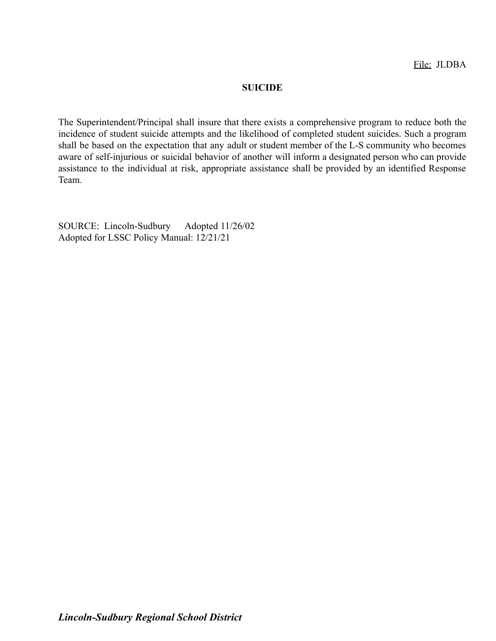## **SUICIDE**

The Superintendent/Principal shall insure that there exists a comprehensive program to reduce both the incidence of student suicide attempts and the likelihood of completed student suicides. Such a program shall be based on the expectation that any adult or student member of the L-S community who becomes aware of self-injurious or suicidal behavior of another will inform a designated person who can provide assistance to the individual at risk, appropriate assistance shall be provided by an identified Response Team.

SOURCE: Lincoln-Sudbury Adopted 11/26/02 Adopted for LSSC Policy Manual: 12/21/21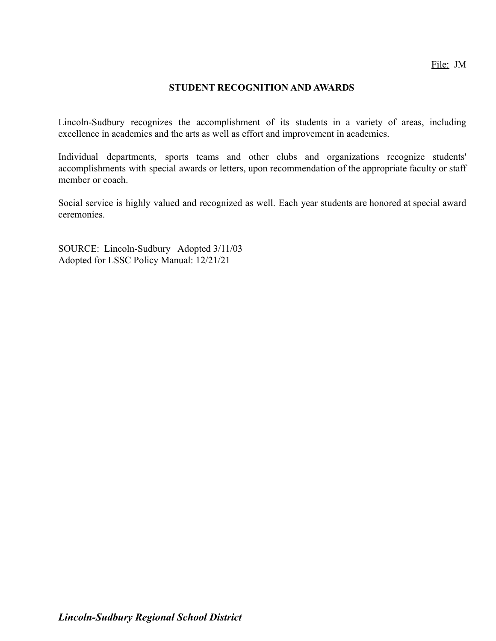## **STUDENT RECOGNITION AND AWARDS**

Lincoln-Sudbury recognizes the accomplishment of its students in a variety of areas, including excellence in academics and the arts as well as effort and improvement in academics.

Individual departments, sports teams and other clubs and organizations recognize students' accomplishments with special awards or letters, upon recommendation of the appropriate faculty or staff member or coach.

Social service is highly valued and recognized as well. Each year students are honored at special award ceremonies.

SOURCE: Lincoln-Sudbury Adopted 3/11/03 Adopted for LSSC Policy Manual: 12/21/21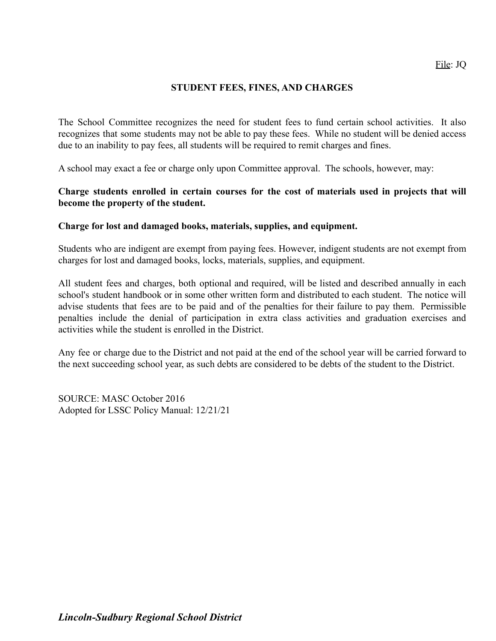## **STUDENT FEES, FINES, AND CHARGES**

The School Committee recognizes the need for student fees to fund certain school activities. It also recognizes that some students may not be able to pay these fees. While no student will be denied access due to an inability to pay fees, all students will be required to remit charges and fines.

A school may exact a fee or charge only upon Committee approval. The schools, however, may:

## **Charge students enrolled in certain courses for the cost of materials used in projects that will become the property of the student.**

#### **Charge for lost and damaged books, materials, supplies, and equipment.**

Students who are indigent are exempt from paying fees. However, indigent students are not exempt from charges for lost and damaged books, locks, materials, supplies, and equipment.

All student fees and charges, both optional and required, will be listed and described annually in each school's student handbook or in some other written form and distributed to each student. The notice will advise students that fees are to be paid and of the penalties for their failure to pay them. Permissible penalties include the denial of participation in extra class activities and graduation exercises and activities while the student is enrolled in the District.

Any fee or charge due to the District and not paid at the end of the school year will be carried forward to the next succeeding school year, as such debts are considered to be debts of the student to the District.

SOURCE: MASC October 2016 Adopted for LSSC Policy Manual: 12/21/21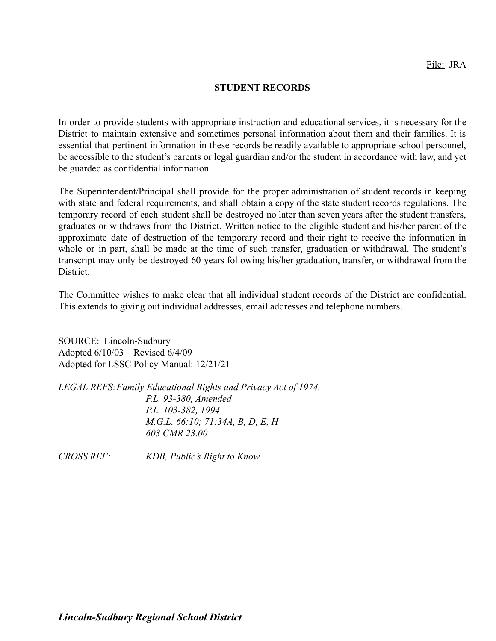#### **STUDENT RECORDS**

In order to provide students with appropriate instruction and educational services, it is necessary for the District to maintain extensive and sometimes personal information about them and their families. It is essential that pertinent information in these records be readily available to appropriate school personnel, be accessible to the student's parents or legal guardian and/or the student in accordance with law, and yet be guarded as confidential information.

The Superintendent/Principal shall provide for the proper administration of student records in keeping with state and federal requirements, and shall obtain a copy of the state student records regulations. The temporary record of each student shall be destroyed no later than seven years after the student transfers, graduates or withdraws from the District. Written notice to the eligible student and his/her parent of the approximate date of destruction of the temporary record and their right to receive the information in whole or in part, shall be made at the time of such transfer, graduation or withdrawal. The student's transcript may only be destroyed 60 years following his/her graduation, transfer, or withdrawal from the **District** 

The Committee wishes to make clear that all individual student records of the District are confidential. This extends to giving out individual addresses, email addresses and telephone numbers.

SOURCE: Lincoln-Sudbury Adopted 6/10/03 – Revised 6/4/09 Adopted for LSSC Policy Manual: 12/21/21

*LEGAL REFS:Family Educational Rights and Privacy Act of 1974, P.L. 93-380, Amended P.L. 103-382, 1994 M.G.L. 66:10; 71:34A, B, D, E, H 603 CMR 23.00*

*CROSS REF: KDB, Public's Right to Know*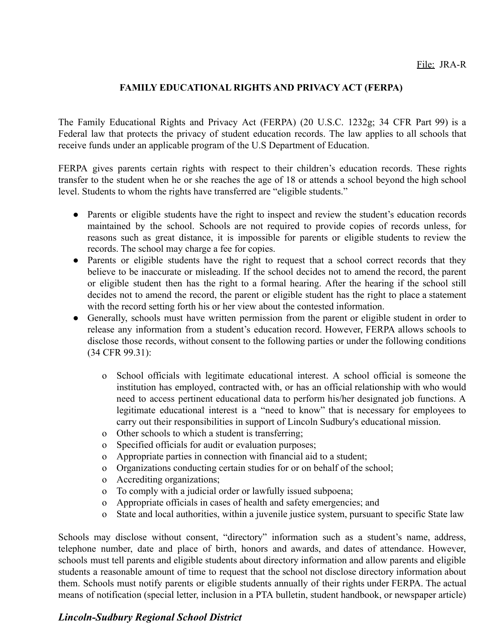## **FAMILY EDUCATIONAL RIGHTS AND PRIVACY ACT (FERPA)**

The Family Educational Rights and Privacy Act (FERPA) (20 U.S.C. 1232g; 34 CFR Part 99) is a Federal law that protects the privacy of student education records. The law applies to all schools that receive funds under an applicable program of the U.S Department of Education.

FERPA gives parents certain rights with respect to their children's education records. These rights transfer to the student when he or she reaches the age of 18 or attends a school beyond the high school level. Students to whom the rights have transferred are "eligible students."

- Parents or eligible students have the right to inspect and review the student's education records maintained by the school. Schools are not required to provide copies of records unless, for reasons such as great distance, it is impossible for parents or eligible students to review the records. The school may charge a fee for copies.
- Parents or eligible students have the right to request that a school correct records that they believe to be inaccurate or misleading. If the school decides not to amend the record, the parent or eligible student then has the right to a formal hearing. After the hearing if the school still decides not to amend the record, the parent or eligible student has the right to place a statement with the record setting forth his or her view about the contested information.
- Generally, schools must have written permission from the parent or eligible student in order to release any information from a student's education record. However, FERPA allows schools to disclose those records, without consent to the following parties or under the following conditions (34 CFR 99.31):
	- o School officials with legitimate educational interest. A school official is someone the institution has employed, contracted with, or has an official relationship with who would need to access pertinent educational data to perform his/her designated job functions. A legitimate educational interest is a "need to know" that is necessary for employees to carry out their responsibilities in support of Lincoln Sudbury's educational mission.
	- o Other schools to which a student is transferring;
	- o Specified officials for audit or evaluation purposes;
	- o Appropriate parties in connection with financial aid to a student;
	- o Organizations conducting certain studies for or on behalf of the school;
	- o Accrediting organizations;
	- o To comply with a judicial order or lawfully issued subpoena;
	- o Appropriate officials in cases of health and safety emergencies; and
	- o State and local authorities, within a juvenile justice system, pursuant to specific State law

Schools may disclose without consent, "directory" information such as a student's name, address, telephone number, date and place of birth, honors and awards, and dates of attendance. However, schools must tell parents and eligible students about directory information and allow parents and eligible students a reasonable amount of time to request that the school not disclose directory information about them. Schools must notify parents or eligible students annually of their rights under FERPA. The actual means of notification (special letter, inclusion in a PTA bulletin, student handbook, or newspaper article)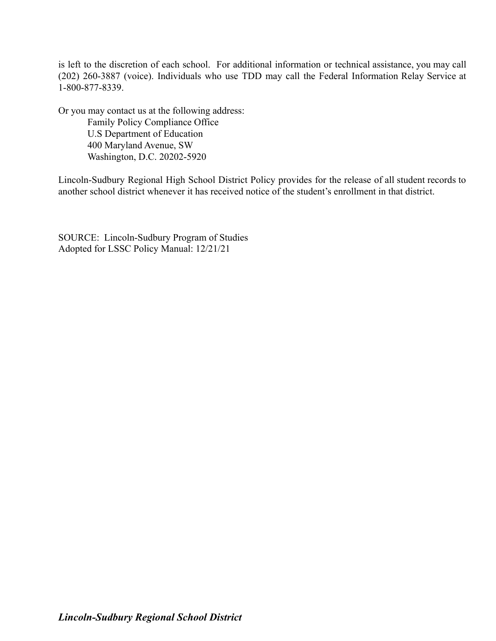is left to the discretion of each school. For additional information or technical assistance, you may call (202) 260-3887 (voice). Individuals who use TDD may call the Federal Information Relay Service at 1-800-877-8339.

Or you may contact us at the following address:

Family Policy Compliance Office U.S Department of Education 400 Maryland Avenue, SW Washington, D.C. 20202-5920

Lincoln-Sudbury Regional High School District Policy provides for the release of all student records to another school district whenever it has received notice of the student's enrollment in that district.

SOURCE: Lincoln-Sudbury Program of Studies Adopted for LSSC Policy Manual: 12/21/21